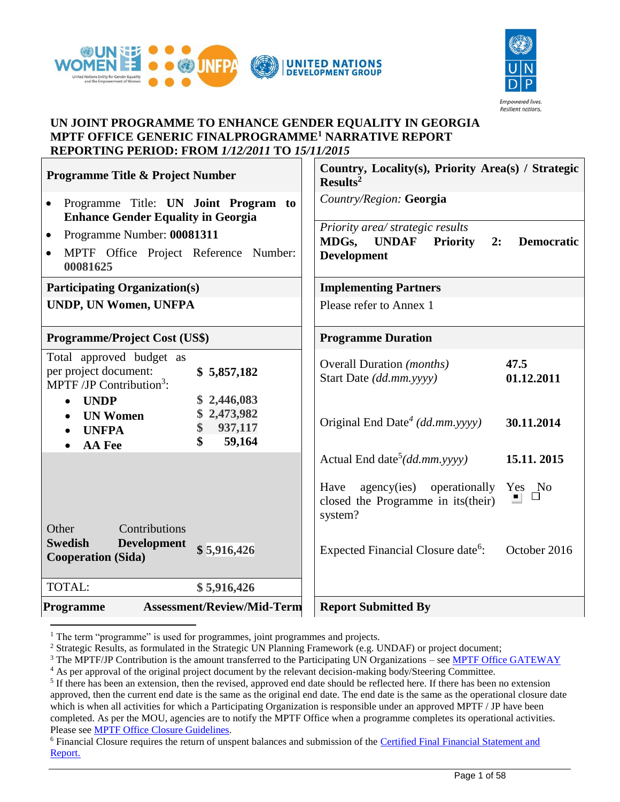



#### **UN JOINT PROGRAMME TO ENHANCE GENDER EQUALITY IN GEORGIA MPTF OFFICE GENERIC FINALPROGRAMME<sup>1</sup> NARRATIVE REPORT REPORTING PERIOD: FROM** *1/12/2011* **TO** *15/11/2015*

| <b>Programme Title &amp; Project Number</b>                                                                                                                                                                                                                                       | Country, Locality(s), Priority Area(s) / Strategic<br>Results <sup>2</sup>                                                                                                                                            |
|-----------------------------------------------------------------------------------------------------------------------------------------------------------------------------------------------------------------------------------------------------------------------------------|-----------------------------------------------------------------------------------------------------------------------------------------------------------------------------------------------------------------------|
| Programme Title: UN Joint Program to<br>$\bullet$<br><b>Enhance Gender Equality in Georgia</b>                                                                                                                                                                                    | Country/Region: Georgia                                                                                                                                                                                               |
| Programme Number: 00081311<br>$\bullet$<br>MPTF Office Project Reference Number:<br>$\bullet$<br>00081625                                                                                                                                                                         | Priority area/ strategic results<br>MDGs,<br><b>UNDAF</b><br><b>Priority</b><br>2:<br><b>Democratic</b><br><b>Development</b>                                                                                         |
| <b>Participating Organization(s)</b>                                                                                                                                                                                                                                              | <b>Implementing Partners</b>                                                                                                                                                                                          |
| <b>UNDP, UN Women, UNFPA</b>                                                                                                                                                                                                                                                      | Please refer to Annex 1                                                                                                                                                                                               |
| <b>Programme/Project Cost (US\$)</b>                                                                                                                                                                                                                                              | <b>Programme Duration</b>                                                                                                                                                                                             |
| Total approved budget as<br>per project document:<br>\$5,857,182<br>MPTF /JP Contribution <sup>3</sup> :<br>2,446,083<br><b>UNDP</b><br>\$<br>$\bullet$<br>2,473,982<br><b>UN Women</b><br>$\bullet$<br>937,117<br>\$<br><b>UNFPA</b><br>$\mathbf{\$}$<br>59,164<br><b>AA</b> Fee | <b>Overall Duration</b> ( <i>months</i> )<br>47.5<br>Start Date (dd.mm.yyyy)<br>01.12.2011<br>Original End Date <sup>4</sup> (dd.mm.yyyy)<br>30.11.2014<br>Actual End date <sup>5</sup> $(dd.mm.$ yyyy)<br>15.11.2015 |
| Contributions<br>Other<br><b>Swedish</b><br><b>Development</b><br>\$5,916,426<br><b>Cooperation (Sida)</b>                                                                                                                                                                        | agency(ies) operationally<br>Have<br>Yes No<br>closed the Programme in its (their)<br>system?<br>Expected Financial Closure date <sup>6</sup> :<br>October 2016                                                       |
| TOTAL:<br>\$5,916,426                                                                                                                                                                                                                                                             |                                                                                                                                                                                                                       |
| <b>Assessment/Review/Mid-Term</b><br>Programme                                                                                                                                                                                                                                    | <b>Report Submitted By</b>                                                                                                                                                                                            |

<sup>1</sup> The term "programme" is used for programmes, joint programmes and projects.

<sup>&</sup>lt;sup>2</sup> Strategic Results, as formulated in the Strategic UN Planning Framework (e.g. UNDAF) or project document;

<sup>&</sup>lt;sup>3</sup> The MPTF/JP Contribution is the amount transferred to the Participating UN Organizations – see [MPTF Office GATEWAY](http://mdtf.undp.org/)

<sup>&</sup>lt;sup>4</sup> As per approval of the original project document by the relevant decision-making body/Steering Committee.

<sup>&</sup>lt;sup>5</sup> If there has been an extension, then the revised, approved end date should be reflected here. If there has been no extension approved, then the current end date is the same as the original end date. The end date is the same as the operational closure date which is when all activities for which a Participating Organization is responsible under an approved MPTF / JP have been completed. As per the MOU, agencies are to notify the MPTF Office when a programme completes its operational activities. Please see [MPTF Office Closure Guidelines.](http://mdtf.undp.org/document/download/5449)

<sup>6</sup> Financial Closure requires the return of unspent balances and submission of the [Certified Final Financial Statement and](http://mdtf.undp.org/document/download/5388)  [Report.](http://mdtf.undp.org/document/download/5388)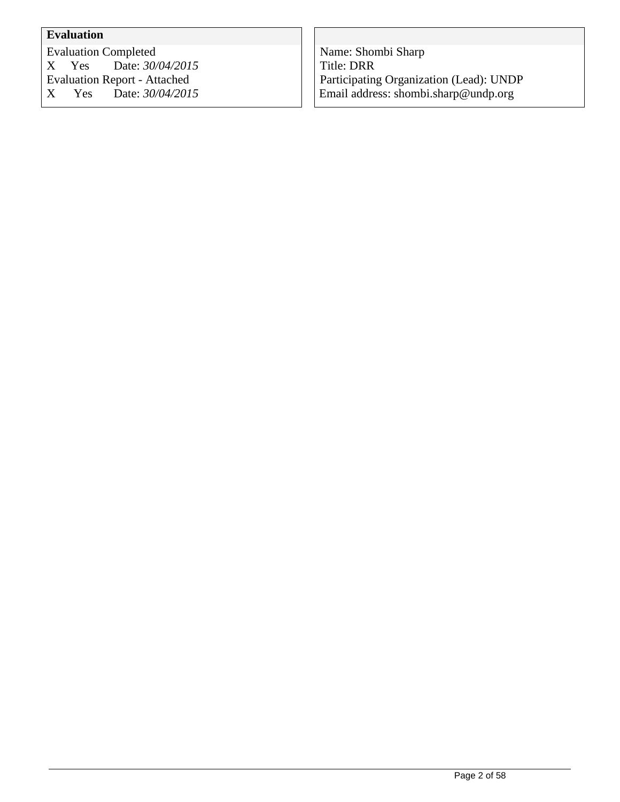# **Evaluation**

Evaluation Completed<br>X Yes Date: 30/ X Yes Date: *30/04/2015* Evaluation Report - Attached Date:  $30/04/2015$ 

Name: Shombi Sharp Title: DRR Participating Organization (Lead): UNDP Email address: shombi.sharp@undp.org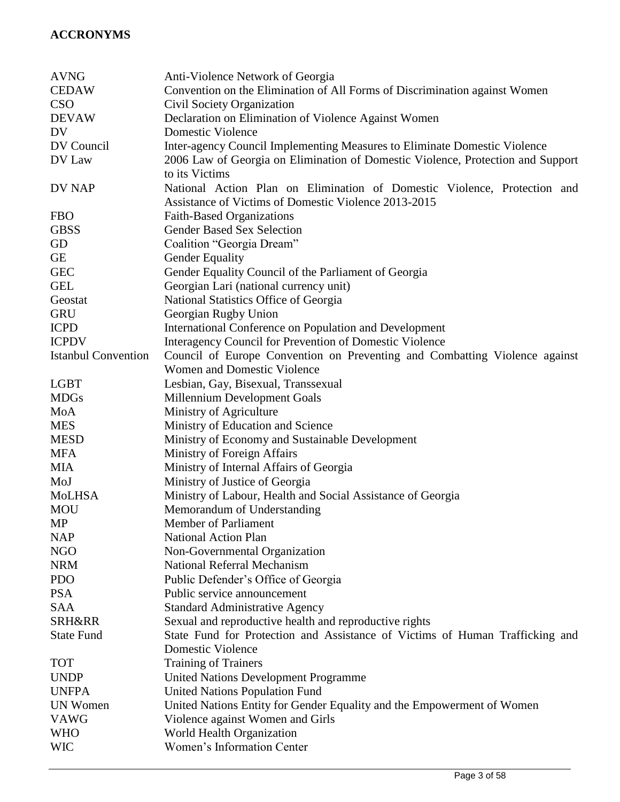# **ACCRONYMS**

| <b>CEDAW</b><br>Convention on the Elimination of All Forms of Discrimination against Women<br><b>CSO</b><br>Civil Society Organization<br><b>DEVAW</b><br>Declaration on Elimination of Violence Against Women<br>DV<br>Domestic Violence<br>DV Council<br>Inter-agency Council Implementing Measures to Eliminate Domestic Violence<br>2006 Law of Georgia on Elimination of Domestic Violence, Protection and Support<br>DV Law<br>to its Victims<br>National Action Plan on Elimination of Domestic Violence, Protection and<br>DV NAP<br>Assistance of Victims of Domestic Violence 2013-2015<br><b>FBO</b><br>Faith-Based Organizations<br><b>GBSS</b><br><b>Gender Based Sex Selection</b><br>Coalition "Georgia Dream"<br>GD<br><b>GE</b><br><b>Gender Equality</b><br><b>GEC</b><br>Gender Equality Council of the Parliament of Georgia<br><b>GEL</b><br>Georgian Lari (national currency unit)<br>National Statistics Office of Georgia<br>Geostat<br><b>GRU</b><br>Georgian Rugby Union<br><b>ICPD</b><br>International Conference on Population and Development<br><b>ICPDV</b><br>Interagency Council for Prevention of Domestic Violence<br><b>Istanbul Convention</b><br>Council of Europe Convention on Preventing and Combatting Violence against<br>Women and Domestic Violence<br><b>LGBT</b><br>Lesbian, Gay, Bisexual, Transsexual<br>Millennium Development Goals<br><b>MDGs</b><br>Ministry of Agriculture<br>MoA<br><b>MES</b><br>Ministry of Education and Science<br>Ministry of Economy and Sustainable Development<br><b>MESD</b><br>Ministry of Foreign Affairs<br><b>MFA</b><br>Ministry of Internal Affairs of Georgia<br><b>MIA</b><br>Ministry of Justice of Georgia<br>MoJ<br><b>MoLHSA</b><br>Ministry of Labour, Health and Social Assistance of Georgia<br><b>MOU</b><br>Memorandum of Understanding<br>MP<br>Member of Parliament<br><b>NAP</b><br><b>National Action Plan</b><br><b>NGO</b><br>Non-Governmental Organization<br><b>NRM</b><br><b>National Referral Mechanism</b><br>Public Defender's Office of Georgia<br><b>PDO</b><br><b>PSA</b><br>Public service announcement<br><b>SAA</b><br><b>Standard Administrative Agency</b><br><b>SRH&amp;RR</b><br>Sexual and reproductive health and reproductive rights |
|-----------------------------------------------------------------------------------------------------------------------------------------------------------------------------------------------------------------------------------------------------------------------------------------------------------------------------------------------------------------------------------------------------------------------------------------------------------------------------------------------------------------------------------------------------------------------------------------------------------------------------------------------------------------------------------------------------------------------------------------------------------------------------------------------------------------------------------------------------------------------------------------------------------------------------------------------------------------------------------------------------------------------------------------------------------------------------------------------------------------------------------------------------------------------------------------------------------------------------------------------------------------------------------------------------------------------------------------------------------------------------------------------------------------------------------------------------------------------------------------------------------------------------------------------------------------------------------------------------------------------------------------------------------------------------------------------------------------------------------------------------------------------------------------------------------------------------------------------------------------------------------------------------------------------------------------------------------------------------------------------------------------------------------------------------------------------------------------------------------------------------------------------------------------------------------------------------------------------------------------------------------------|
|                                                                                                                                                                                                                                                                                                                                                                                                                                                                                                                                                                                                                                                                                                                                                                                                                                                                                                                                                                                                                                                                                                                                                                                                                                                                                                                                                                                                                                                                                                                                                                                                                                                                                                                                                                                                                                                                                                                                                                                                                                                                                                                                                                                                                                                                 |
|                                                                                                                                                                                                                                                                                                                                                                                                                                                                                                                                                                                                                                                                                                                                                                                                                                                                                                                                                                                                                                                                                                                                                                                                                                                                                                                                                                                                                                                                                                                                                                                                                                                                                                                                                                                                                                                                                                                                                                                                                                                                                                                                                                                                                                                                 |
|                                                                                                                                                                                                                                                                                                                                                                                                                                                                                                                                                                                                                                                                                                                                                                                                                                                                                                                                                                                                                                                                                                                                                                                                                                                                                                                                                                                                                                                                                                                                                                                                                                                                                                                                                                                                                                                                                                                                                                                                                                                                                                                                                                                                                                                                 |
|                                                                                                                                                                                                                                                                                                                                                                                                                                                                                                                                                                                                                                                                                                                                                                                                                                                                                                                                                                                                                                                                                                                                                                                                                                                                                                                                                                                                                                                                                                                                                                                                                                                                                                                                                                                                                                                                                                                                                                                                                                                                                                                                                                                                                                                                 |
|                                                                                                                                                                                                                                                                                                                                                                                                                                                                                                                                                                                                                                                                                                                                                                                                                                                                                                                                                                                                                                                                                                                                                                                                                                                                                                                                                                                                                                                                                                                                                                                                                                                                                                                                                                                                                                                                                                                                                                                                                                                                                                                                                                                                                                                                 |
|                                                                                                                                                                                                                                                                                                                                                                                                                                                                                                                                                                                                                                                                                                                                                                                                                                                                                                                                                                                                                                                                                                                                                                                                                                                                                                                                                                                                                                                                                                                                                                                                                                                                                                                                                                                                                                                                                                                                                                                                                                                                                                                                                                                                                                                                 |
|                                                                                                                                                                                                                                                                                                                                                                                                                                                                                                                                                                                                                                                                                                                                                                                                                                                                                                                                                                                                                                                                                                                                                                                                                                                                                                                                                                                                                                                                                                                                                                                                                                                                                                                                                                                                                                                                                                                                                                                                                                                                                                                                                                                                                                                                 |
|                                                                                                                                                                                                                                                                                                                                                                                                                                                                                                                                                                                                                                                                                                                                                                                                                                                                                                                                                                                                                                                                                                                                                                                                                                                                                                                                                                                                                                                                                                                                                                                                                                                                                                                                                                                                                                                                                                                                                                                                                                                                                                                                                                                                                                                                 |
|                                                                                                                                                                                                                                                                                                                                                                                                                                                                                                                                                                                                                                                                                                                                                                                                                                                                                                                                                                                                                                                                                                                                                                                                                                                                                                                                                                                                                                                                                                                                                                                                                                                                                                                                                                                                                                                                                                                                                                                                                                                                                                                                                                                                                                                                 |
|                                                                                                                                                                                                                                                                                                                                                                                                                                                                                                                                                                                                                                                                                                                                                                                                                                                                                                                                                                                                                                                                                                                                                                                                                                                                                                                                                                                                                                                                                                                                                                                                                                                                                                                                                                                                                                                                                                                                                                                                                                                                                                                                                                                                                                                                 |
|                                                                                                                                                                                                                                                                                                                                                                                                                                                                                                                                                                                                                                                                                                                                                                                                                                                                                                                                                                                                                                                                                                                                                                                                                                                                                                                                                                                                                                                                                                                                                                                                                                                                                                                                                                                                                                                                                                                                                                                                                                                                                                                                                                                                                                                                 |
|                                                                                                                                                                                                                                                                                                                                                                                                                                                                                                                                                                                                                                                                                                                                                                                                                                                                                                                                                                                                                                                                                                                                                                                                                                                                                                                                                                                                                                                                                                                                                                                                                                                                                                                                                                                                                                                                                                                                                                                                                                                                                                                                                                                                                                                                 |
|                                                                                                                                                                                                                                                                                                                                                                                                                                                                                                                                                                                                                                                                                                                                                                                                                                                                                                                                                                                                                                                                                                                                                                                                                                                                                                                                                                                                                                                                                                                                                                                                                                                                                                                                                                                                                                                                                                                                                                                                                                                                                                                                                                                                                                                                 |
|                                                                                                                                                                                                                                                                                                                                                                                                                                                                                                                                                                                                                                                                                                                                                                                                                                                                                                                                                                                                                                                                                                                                                                                                                                                                                                                                                                                                                                                                                                                                                                                                                                                                                                                                                                                                                                                                                                                                                                                                                                                                                                                                                                                                                                                                 |
|                                                                                                                                                                                                                                                                                                                                                                                                                                                                                                                                                                                                                                                                                                                                                                                                                                                                                                                                                                                                                                                                                                                                                                                                                                                                                                                                                                                                                                                                                                                                                                                                                                                                                                                                                                                                                                                                                                                                                                                                                                                                                                                                                                                                                                                                 |
|                                                                                                                                                                                                                                                                                                                                                                                                                                                                                                                                                                                                                                                                                                                                                                                                                                                                                                                                                                                                                                                                                                                                                                                                                                                                                                                                                                                                                                                                                                                                                                                                                                                                                                                                                                                                                                                                                                                                                                                                                                                                                                                                                                                                                                                                 |
|                                                                                                                                                                                                                                                                                                                                                                                                                                                                                                                                                                                                                                                                                                                                                                                                                                                                                                                                                                                                                                                                                                                                                                                                                                                                                                                                                                                                                                                                                                                                                                                                                                                                                                                                                                                                                                                                                                                                                                                                                                                                                                                                                                                                                                                                 |
|                                                                                                                                                                                                                                                                                                                                                                                                                                                                                                                                                                                                                                                                                                                                                                                                                                                                                                                                                                                                                                                                                                                                                                                                                                                                                                                                                                                                                                                                                                                                                                                                                                                                                                                                                                                                                                                                                                                                                                                                                                                                                                                                                                                                                                                                 |
|                                                                                                                                                                                                                                                                                                                                                                                                                                                                                                                                                                                                                                                                                                                                                                                                                                                                                                                                                                                                                                                                                                                                                                                                                                                                                                                                                                                                                                                                                                                                                                                                                                                                                                                                                                                                                                                                                                                                                                                                                                                                                                                                                                                                                                                                 |
|                                                                                                                                                                                                                                                                                                                                                                                                                                                                                                                                                                                                                                                                                                                                                                                                                                                                                                                                                                                                                                                                                                                                                                                                                                                                                                                                                                                                                                                                                                                                                                                                                                                                                                                                                                                                                                                                                                                                                                                                                                                                                                                                                                                                                                                                 |
|                                                                                                                                                                                                                                                                                                                                                                                                                                                                                                                                                                                                                                                                                                                                                                                                                                                                                                                                                                                                                                                                                                                                                                                                                                                                                                                                                                                                                                                                                                                                                                                                                                                                                                                                                                                                                                                                                                                                                                                                                                                                                                                                                                                                                                                                 |
|                                                                                                                                                                                                                                                                                                                                                                                                                                                                                                                                                                                                                                                                                                                                                                                                                                                                                                                                                                                                                                                                                                                                                                                                                                                                                                                                                                                                                                                                                                                                                                                                                                                                                                                                                                                                                                                                                                                                                                                                                                                                                                                                                                                                                                                                 |
|                                                                                                                                                                                                                                                                                                                                                                                                                                                                                                                                                                                                                                                                                                                                                                                                                                                                                                                                                                                                                                                                                                                                                                                                                                                                                                                                                                                                                                                                                                                                                                                                                                                                                                                                                                                                                                                                                                                                                                                                                                                                                                                                                                                                                                                                 |
|                                                                                                                                                                                                                                                                                                                                                                                                                                                                                                                                                                                                                                                                                                                                                                                                                                                                                                                                                                                                                                                                                                                                                                                                                                                                                                                                                                                                                                                                                                                                                                                                                                                                                                                                                                                                                                                                                                                                                                                                                                                                                                                                                                                                                                                                 |
|                                                                                                                                                                                                                                                                                                                                                                                                                                                                                                                                                                                                                                                                                                                                                                                                                                                                                                                                                                                                                                                                                                                                                                                                                                                                                                                                                                                                                                                                                                                                                                                                                                                                                                                                                                                                                                                                                                                                                                                                                                                                                                                                                                                                                                                                 |
|                                                                                                                                                                                                                                                                                                                                                                                                                                                                                                                                                                                                                                                                                                                                                                                                                                                                                                                                                                                                                                                                                                                                                                                                                                                                                                                                                                                                                                                                                                                                                                                                                                                                                                                                                                                                                                                                                                                                                                                                                                                                                                                                                                                                                                                                 |
|                                                                                                                                                                                                                                                                                                                                                                                                                                                                                                                                                                                                                                                                                                                                                                                                                                                                                                                                                                                                                                                                                                                                                                                                                                                                                                                                                                                                                                                                                                                                                                                                                                                                                                                                                                                                                                                                                                                                                                                                                                                                                                                                                                                                                                                                 |
|                                                                                                                                                                                                                                                                                                                                                                                                                                                                                                                                                                                                                                                                                                                                                                                                                                                                                                                                                                                                                                                                                                                                                                                                                                                                                                                                                                                                                                                                                                                                                                                                                                                                                                                                                                                                                                                                                                                                                                                                                                                                                                                                                                                                                                                                 |
|                                                                                                                                                                                                                                                                                                                                                                                                                                                                                                                                                                                                                                                                                                                                                                                                                                                                                                                                                                                                                                                                                                                                                                                                                                                                                                                                                                                                                                                                                                                                                                                                                                                                                                                                                                                                                                                                                                                                                                                                                                                                                                                                                                                                                                                                 |
|                                                                                                                                                                                                                                                                                                                                                                                                                                                                                                                                                                                                                                                                                                                                                                                                                                                                                                                                                                                                                                                                                                                                                                                                                                                                                                                                                                                                                                                                                                                                                                                                                                                                                                                                                                                                                                                                                                                                                                                                                                                                                                                                                                                                                                                                 |
|                                                                                                                                                                                                                                                                                                                                                                                                                                                                                                                                                                                                                                                                                                                                                                                                                                                                                                                                                                                                                                                                                                                                                                                                                                                                                                                                                                                                                                                                                                                                                                                                                                                                                                                                                                                                                                                                                                                                                                                                                                                                                                                                                                                                                                                                 |
|                                                                                                                                                                                                                                                                                                                                                                                                                                                                                                                                                                                                                                                                                                                                                                                                                                                                                                                                                                                                                                                                                                                                                                                                                                                                                                                                                                                                                                                                                                                                                                                                                                                                                                                                                                                                                                                                                                                                                                                                                                                                                                                                                                                                                                                                 |
|                                                                                                                                                                                                                                                                                                                                                                                                                                                                                                                                                                                                                                                                                                                                                                                                                                                                                                                                                                                                                                                                                                                                                                                                                                                                                                                                                                                                                                                                                                                                                                                                                                                                                                                                                                                                                                                                                                                                                                                                                                                                                                                                                                                                                                                                 |
|                                                                                                                                                                                                                                                                                                                                                                                                                                                                                                                                                                                                                                                                                                                                                                                                                                                                                                                                                                                                                                                                                                                                                                                                                                                                                                                                                                                                                                                                                                                                                                                                                                                                                                                                                                                                                                                                                                                                                                                                                                                                                                                                                                                                                                                                 |
|                                                                                                                                                                                                                                                                                                                                                                                                                                                                                                                                                                                                                                                                                                                                                                                                                                                                                                                                                                                                                                                                                                                                                                                                                                                                                                                                                                                                                                                                                                                                                                                                                                                                                                                                                                                                                                                                                                                                                                                                                                                                                                                                                                                                                                                                 |
|                                                                                                                                                                                                                                                                                                                                                                                                                                                                                                                                                                                                                                                                                                                                                                                                                                                                                                                                                                                                                                                                                                                                                                                                                                                                                                                                                                                                                                                                                                                                                                                                                                                                                                                                                                                                                                                                                                                                                                                                                                                                                                                                                                                                                                                                 |
|                                                                                                                                                                                                                                                                                                                                                                                                                                                                                                                                                                                                                                                                                                                                                                                                                                                                                                                                                                                                                                                                                                                                                                                                                                                                                                                                                                                                                                                                                                                                                                                                                                                                                                                                                                                                                                                                                                                                                                                                                                                                                                                                                                                                                                                                 |
|                                                                                                                                                                                                                                                                                                                                                                                                                                                                                                                                                                                                                                                                                                                                                                                                                                                                                                                                                                                                                                                                                                                                                                                                                                                                                                                                                                                                                                                                                                                                                                                                                                                                                                                                                                                                                                                                                                                                                                                                                                                                                                                                                                                                                                                                 |
|                                                                                                                                                                                                                                                                                                                                                                                                                                                                                                                                                                                                                                                                                                                                                                                                                                                                                                                                                                                                                                                                                                                                                                                                                                                                                                                                                                                                                                                                                                                                                                                                                                                                                                                                                                                                                                                                                                                                                                                                                                                                                                                                                                                                                                                                 |
| <b>State Fund</b><br>State Fund for Protection and Assistance of Victims of Human Trafficking and                                                                                                                                                                                                                                                                                                                                                                                                                                                                                                                                                                                                                                                                                                                                                                                                                                                                                                                                                                                                                                                                                                                                                                                                                                                                                                                                                                                                                                                                                                                                                                                                                                                                                                                                                                                                                                                                                                                                                                                                                                                                                                                                                               |
| Domestic Violence                                                                                                                                                                                                                                                                                                                                                                                                                                                                                                                                                                                                                                                                                                                                                                                                                                                                                                                                                                                                                                                                                                                                                                                                                                                                                                                                                                                                                                                                                                                                                                                                                                                                                                                                                                                                                                                                                                                                                                                                                                                                                                                                                                                                                                               |
| <b>Training of Trainers</b><br><b>TOT</b>                                                                                                                                                                                                                                                                                                                                                                                                                                                                                                                                                                                                                                                                                                                                                                                                                                                                                                                                                                                                                                                                                                                                                                                                                                                                                                                                                                                                                                                                                                                                                                                                                                                                                                                                                                                                                                                                                                                                                                                                                                                                                                                                                                                                                       |
| <b>United Nations Development Programme</b><br><b>UNDP</b>                                                                                                                                                                                                                                                                                                                                                                                                                                                                                                                                                                                                                                                                                                                                                                                                                                                                                                                                                                                                                                                                                                                                                                                                                                                                                                                                                                                                                                                                                                                                                                                                                                                                                                                                                                                                                                                                                                                                                                                                                                                                                                                                                                                                      |
|                                                                                                                                                                                                                                                                                                                                                                                                                                                                                                                                                                                                                                                                                                                                                                                                                                                                                                                                                                                                                                                                                                                                                                                                                                                                                                                                                                                                                                                                                                                                                                                                                                                                                                                                                                                                                                                                                                                                                                                                                                                                                                                                                                                                                                                                 |
|                                                                                                                                                                                                                                                                                                                                                                                                                                                                                                                                                                                                                                                                                                                                                                                                                                                                                                                                                                                                                                                                                                                                                                                                                                                                                                                                                                                                                                                                                                                                                                                                                                                                                                                                                                                                                                                                                                                                                                                                                                                                                                                                                                                                                                                                 |
| <b>United Nations Population Fund</b><br><b>UNFPA</b>                                                                                                                                                                                                                                                                                                                                                                                                                                                                                                                                                                                                                                                                                                                                                                                                                                                                                                                                                                                                                                                                                                                                                                                                                                                                                                                                                                                                                                                                                                                                                                                                                                                                                                                                                                                                                                                                                                                                                                                                                                                                                                                                                                                                           |
| United Nations Entity for Gender Equality and the Empowerment of Women<br><b>UN Women</b>                                                                                                                                                                                                                                                                                                                                                                                                                                                                                                                                                                                                                                                                                                                                                                                                                                                                                                                                                                                                                                                                                                                                                                                                                                                                                                                                                                                                                                                                                                                                                                                                                                                                                                                                                                                                                                                                                                                                                                                                                                                                                                                                                                       |
| <b>VAWG</b><br>Violence against Women and Girls<br>World Health Organization<br><b>WHO</b>                                                                                                                                                                                                                                                                                                                                                                                                                                                                                                                                                                                                                                                                                                                                                                                                                                                                                                                                                                                                                                                                                                                                                                                                                                                                                                                                                                                                                                                                                                                                                                                                                                                                                                                                                                                                                                                                                                                                                                                                                                                                                                                                                                      |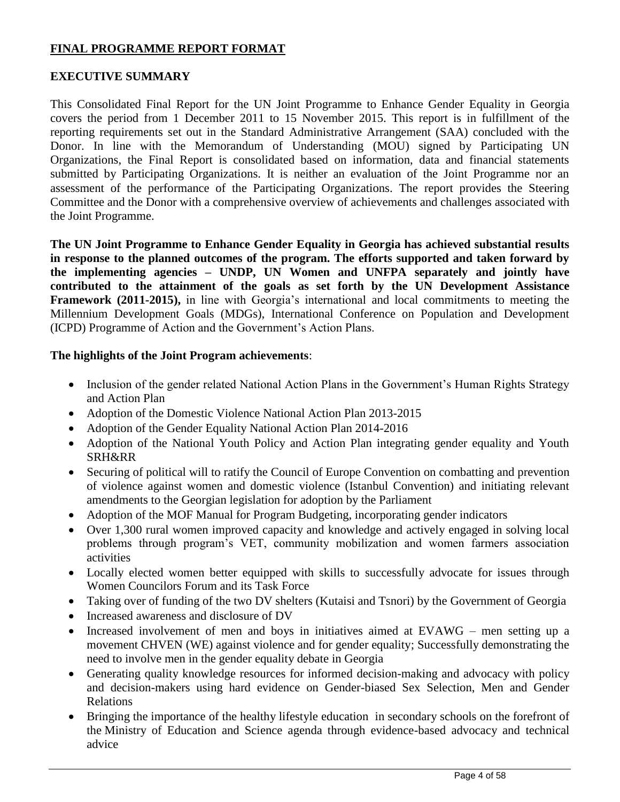### **FINAL PROGRAMME REPORT FORMAT**

#### **EXECUTIVE SUMMARY**

This Consolidated Final Report for the UN Joint Programme to Enhance Gender Equality in Georgia covers the period from 1 December 2011 to 15 November 2015. This report is in fulfillment of the reporting requirements set out in the Standard Administrative Arrangement (SAA) concluded with the Donor. In line with the Memorandum of Understanding (MOU) signed by Participating UN Organizations, the Final Report is consolidated based on information, data and financial statements submitted by Participating Organizations. It is neither an evaluation of the Joint Programme nor an assessment of the performance of the Participating Organizations. The report provides the Steering Committee and the Donor with a comprehensive overview of achievements and challenges associated with the Joint Programme.

**The UN Joint Programme to Enhance Gender Equality in Georgia has achieved substantial results in response to the planned outcomes of the program. The efforts supported and taken forward by the implementing agencies – UNDP, UN Women and UNFPA separately and jointly have contributed to the attainment of the goals as set forth by the UN Development Assistance Framework (2011-2015),** in line with Georgia's international and local commitments to meeting the Millennium Development Goals (MDGs), International Conference on Population and Development (ICPD) Programme of Action and the Government's Action Plans.

#### **The highlights of the Joint Program achievements**:

- Inclusion of the gender related National Action Plans in the Government's Human Rights Strategy and Action Plan
- Adoption of the Domestic Violence National Action Plan 2013-2015
- Adoption of the Gender Equality National Action Plan 2014-2016
- Adoption of the National Youth Policy and Action Plan integrating gender equality and Youth SRH&RR
- Securing of political will to ratify the Council of Europe Convention on combatting and prevention of violence against women and domestic violence (Istanbul Convention) and initiating relevant amendments to the Georgian legislation for adoption by the Parliament
- Adoption of the MOF Manual for Program Budgeting, incorporating gender indicators
- Over 1,300 rural women improved capacity and knowledge and actively engaged in solving local problems through program's VET, community mobilization and women farmers association activities
- Locally elected women better equipped with skills to successfully advocate for issues through Women Councilors Forum and its Task Force
- Taking over of funding of the two DV shelters (Kutaisi and Tsnori) by the Government of Georgia
- Increased awareness and disclosure of DV
- Increased involvement of men and boys in initiatives aimed at EVAWG men setting up a movement CHVEN (WE) against violence and for gender equality; Successfully demonstrating the need to involve men in the gender equality debate in Georgia
- Generating quality knowledge resources for informed decision-making and advocacy with policy and decision-makers using hard evidence on Gender-biased Sex Selection, Men and Gender Relations
- Bringing the importance of the healthy lifestyle education in secondary schools on the forefront of the Ministry of Education and Science agenda through evidence-based advocacy and technical advice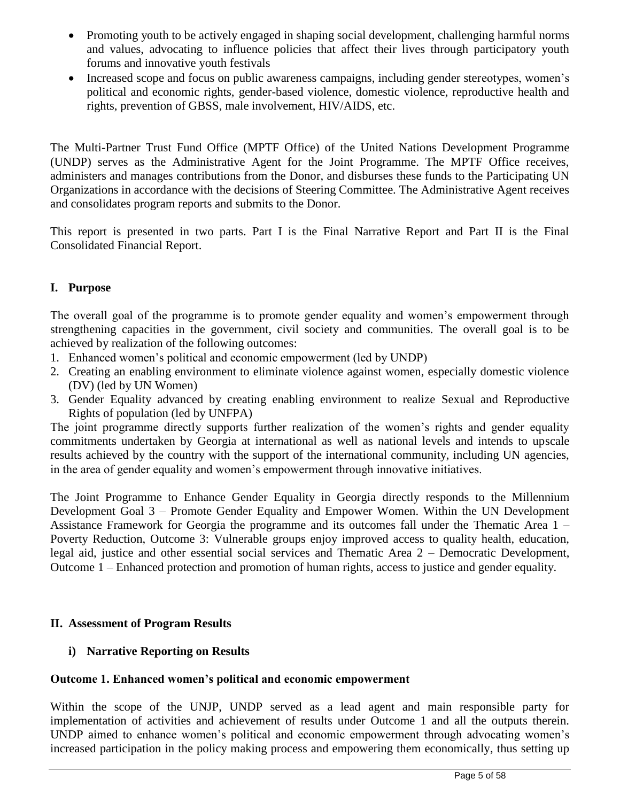- Promoting youth to be actively engaged in shaping social development, challenging harmful norms and values, advocating to influence policies that affect their lives through participatory youth forums and innovative youth festivals
- Increased scope and focus on public awareness campaigns, including gender stereotypes, women's political and economic rights, gender-based violence, domestic violence, reproductive health and rights, prevention of GBSS, male involvement, HIV/AIDS, etc.

The Multi-Partner Trust Fund Office (MPTF Office) of the United Nations Development Programme (UNDP) serves as the Administrative Agent for the Joint Programme. The MPTF Office receives, administers and manages contributions from the Donor, and disburses these funds to the Participating UN Organizations in accordance with the decisions of Steering Committee. The Administrative Agent receives and consolidates program reports and submits to the Donor.

This report is presented in two parts. Part I is the Final Narrative Report and Part II is the Final Consolidated Financial Report.

# **I. Purpose**

The overall goal of the programme is to promote gender equality and women's empowerment through strengthening capacities in the government, civil society and communities. The overall goal is to be achieved by realization of the following outcomes:

- 1. Enhanced women's political and economic empowerment (led by UNDP)
- 2. Creating an enabling environment to eliminate violence against women, especially domestic violence (DV) (led by UN Women)
- 3. Gender Equality advanced by creating enabling environment to realize Sexual and Reproductive Rights of population (led by UNFPA)

The joint programme directly supports further realization of the women's rights and gender equality commitments undertaken by Georgia at international as well as national levels and intends to upscale results achieved by the country with the support of the international community, including UN agencies, in the area of gender equality and women's empowerment through innovative initiatives.

The Joint Programme to Enhance Gender Equality in Georgia directly responds to the Millennium Development Goal 3 – Promote Gender Equality and Empower Women. Within the UN Development Assistance Framework for Georgia the programme and its outcomes fall under the Thematic Area 1 – Poverty Reduction, Outcome 3: Vulnerable groups enjoy improved access to quality health, education, legal aid, justice and other essential social services and Thematic Area 2 – Democratic Development, Outcome 1 – Enhanced protection and promotion of human rights, access to justice and gender equality.

# **II. Assessment of Program Results**

# **i) Narrative Reporting on Results**

#### **Outcome 1. Enhanced women's political and economic empowerment**

Within the scope of the UNJP, UNDP served as a lead agent and main responsible party for implementation of activities and achievement of results under Outcome 1 and all the outputs therein. UNDP aimed to enhance women's political and economic empowerment through advocating women's increased participation in the policy making process and empowering them economically, thus setting up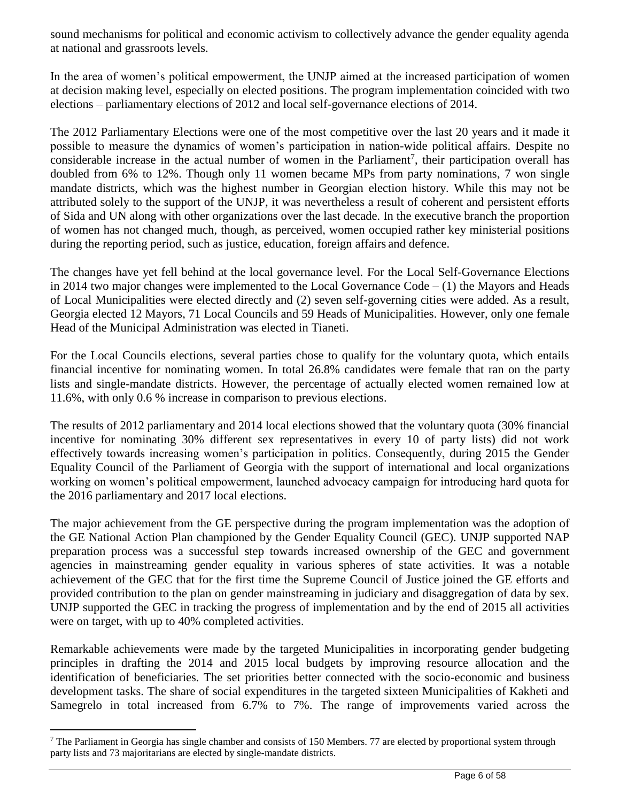sound mechanisms for political and economic activism to collectively advance the gender equality agenda at national and grassroots levels.

In the area of women's political empowerment, the UNJP aimed at the increased participation of women at decision making level, especially on elected positions. The program implementation coincided with two elections – parliamentary elections of 2012 and local self-governance elections of 2014.

The 2012 Parliamentary Elections were one of the most competitive over the last 20 years and it made it possible to measure the dynamics of women's participation in nation-wide political affairs. Despite no considerable increase in the actual number of women in the Parliament<sup>7</sup>, their participation overall has doubled from 6% to 12%. Though only 11 women became MPs from party nominations, 7 won single mandate districts, which was the highest number in Georgian election history. While this may not be attributed solely to the support of the UNJP, it was nevertheless a result of coherent and persistent efforts of Sida and UN along with other organizations over the last decade. In the executive branch the proportion of women has not changed much, though, as perceived, women occupied rather key ministerial positions during the reporting period, such as justice, education, foreign affairs and defence.

The changes have yet fell behind at the local governance level. For the Local Self-Governance Elections in 2014 two major changes were implemented to the Local Governance  $Code - (1)$  the Mayors and Heads of Local Municipalities were elected directly and (2) seven self-governing cities were added. As a result, Georgia elected 12 Mayors, 71 Local Councils and 59 Heads of Municipalities. However, only one female Head of the Municipal Administration was elected in Tianeti.

For the Local Councils elections, several parties chose to qualify for the voluntary quota, which entails financial incentive for nominating women. In total 26.8% candidates were female that ran on the party lists and single-mandate districts. However, the percentage of actually elected women remained low at 11.6%, with only 0.6 % increase in comparison to previous elections.

The results of 2012 parliamentary and 2014 local elections showed that the voluntary quota (30% financial incentive for nominating 30% different sex representatives in every 10 of party lists) did not work effectively towards increasing women's participation in politics. Consequently, during 2015 the Gender Equality Council of the Parliament of Georgia with the support of international and local organizations working on women's political empowerment, launched advocacy campaign for introducing hard quota for the 2016 parliamentary and 2017 local elections.

The major achievement from the GE perspective during the program implementation was the adoption of the GE National Action Plan championed by the Gender Equality Council (GEC). UNJP supported NAP preparation process was a successful step towards increased ownership of the GEC and government agencies in mainstreaming gender equality in various spheres of state activities. It was a notable achievement of the GEC that for the first time the Supreme Council of Justice joined the GE efforts and provided contribution to the plan on gender mainstreaming in judiciary and disaggregation of data by sex. UNJP supported the GEC in tracking the progress of implementation and by the end of 2015 all activities were on target, with up to 40% completed activities.

Remarkable achievements were made by the targeted Municipalities in incorporating gender budgeting principles in drafting the 2014 and 2015 local budgets by improving resource allocation and the identification of beneficiaries. The set priorities better connected with the socio-economic and business development tasks. The share of social expenditures in the targeted sixteen Municipalities of Kakheti and Samegrelo in total increased from 6.7% to 7%. The range of improvements varied across the

<sup>&</sup>lt;sup>7</sup> The Parliament in Georgia has single chamber and consists of 150 Members. 77 are elected by proportional system through party lists and 73 majoritarians are elected by single-mandate districts.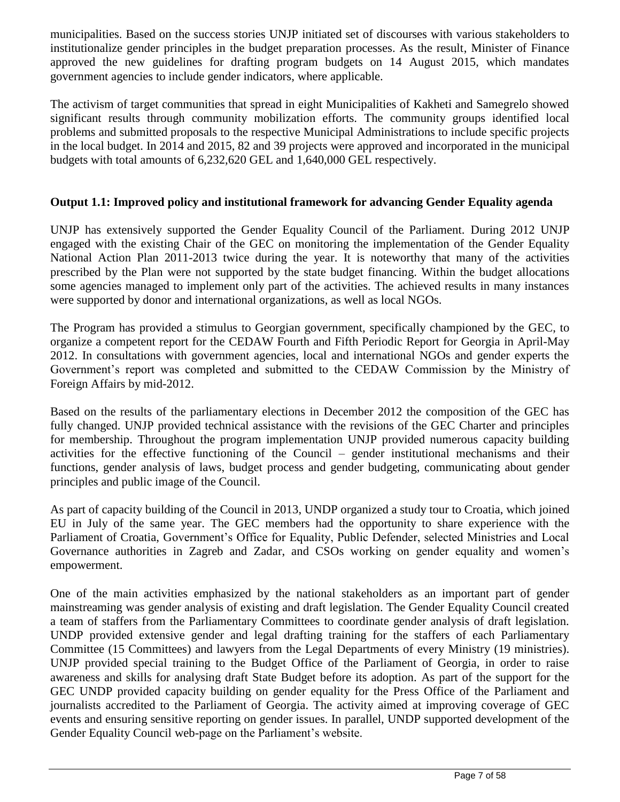municipalities. Based on the success stories UNJP initiated set of discourses with various stakeholders to institutionalize gender principles in the budget preparation processes. As the result, Minister of Finance approved the new guidelines for drafting program budgets on 14 August 2015, which mandates government agencies to include gender indicators, where applicable.

The activism of target communities that spread in eight Municipalities of Kakheti and Samegrelo showed significant results through community mobilization efforts. The community groups identified local problems and submitted proposals to the respective Municipal Administrations to include specific projects in the local budget. In 2014 and 2015, 82 and 39 projects were approved and incorporated in the municipal budgets with total amounts of 6,232,620 GEL and 1,640,000 GEL respectively.

### **Output 1.1: Improved policy and institutional framework for advancing Gender Equality agenda**

UNJP has extensively supported the Gender Equality Council of the Parliament. During 2012 UNJP engaged with the existing Chair of the GEC on monitoring the implementation of the Gender Equality National Action Plan 2011-2013 twice during the year. It is noteworthy that many of the activities prescribed by the Plan were not supported by the state budget financing. Within the budget allocations some agencies managed to implement only part of the activities. The achieved results in many instances were supported by donor and international organizations, as well as local NGOs.

The Program has provided a stimulus to Georgian government, specifically championed by the GEC, to organize a competent report for the CEDAW Fourth and Fifth Periodic Report for Georgia in April-May 2012. In consultations with government agencies, local and international NGOs and gender experts the Government's report was completed and submitted to the CEDAW Commission by the Ministry of Foreign Affairs by mid-2012.

Based on the results of the parliamentary elections in December 2012 the composition of the GEC has fully changed. UNJP provided technical assistance with the revisions of the GEC Charter and principles for membership. Throughout the program implementation UNJP provided numerous capacity building activities for the effective functioning of the Council – gender institutional mechanisms and their functions, gender analysis of laws, budget process and gender budgeting, communicating about gender principles and public image of the Council.

As part of capacity building of the Council in 2013, UNDP organized a study tour to Croatia, which joined EU in July of the same year. The GEC members had the opportunity to share experience with the Parliament of Croatia, Government's Office for Equality, Public Defender, selected Ministries and Local Governance authorities in Zagreb and Zadar, and CSOs working on gender equality and women's empowerment.

One of the main activities emphasized by the national stakeholders as an important part of gender mainstreaming was gender analysis of existing and draft legislation. The Gender Equality Council created a team of staffers from the Parliamentary Committees to coordinate gender analysis of draft legislation. UNDP provided extensive gender and legal drafting training for the staffers of each Parliamentary Committee (15 Committees) and lawyers from the Legal Departments of every Ministry (19 ministries). UNJP provided special training to the Budget Office of the Parliament of Georgia, in order to raise awareness and skills for analysing draft State Budget before its adoption. As part of the support for the GEC UNDP provided capacity building on gender equality for the Press Office of the Parliament and journalists accredited to the Parliament of Georgia. The activity aimed at improving coverage of GEC events and ensuring sensitive reporting on gender issues. In parallel, UNDP supported development of the Gender Equality Council web-page on the Parliament's website.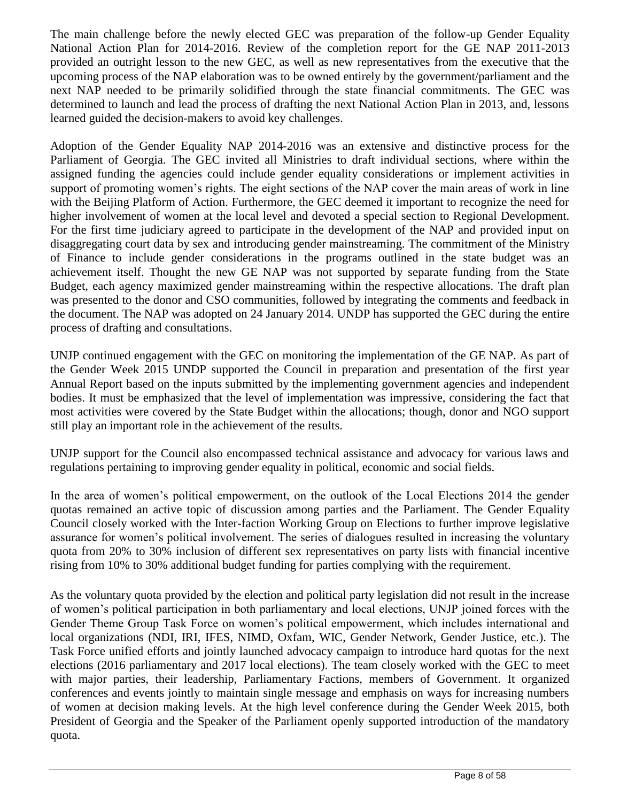The main challenge before the newly elected GEC was preparation of the follow-up Gender Equality National Action Plan for 2014-2016. Review of the completion report for the GE NAP 2011-2013 provided an outright lesson to the new GEC, as well as new representatives from the executive that the upcoming process of the NAP elaboration was to be owned entirely by the government/parliament and the next NAP needed to be primarily solidified through the state financial commitments. The GEC was determined to launch and lead the process of drafting the next National Action Plan in 2013, and, lessons learned guided the decision-makers to avoid key challenges.

Adoption of the Gender Equality NAP 2014-2016 was an extensive and distinctive process for the Parliament of Georgia. The GEC invited all Ministries to draft individual sections, where within the assigned funding the agencies could include gender equality considerations or implement activities in support of promoting women's rights. The eight sections of the NAP cover the main areas of work in line with the Beijing Platform of Action. Furthermore, the GEC deemed it important to recognize the need for higher involvement of women at the local level and devoted a special section to Regional Development. For the first time judiciary agreed to participate in the development of the NAP and provided input on disaggregating court data by sex and introducing gender mainstreaming. The commitment of the Ministry of Finance to include gender considerations in the programs outlined in the state budget was an achievement itself. Thought the new GE NAP was not supported by separate funding from the State Budget, each agency maximized gender mainstreaming within the respective allocations. The draft plan was presented to the donor and CSO communities, followed by integrating the comments and feedback in the document. The NAP was adopted on 24 January 2014. UNDP has supported the GEC during the entire process of drafting and consultations.

UNJP continued engagement with the GEC on monitoring the implementation of the GE NAP. As part of the Gender Week 2015 UNDP supported the Council in preparation and presentation of the first year Annual Report based on the inputs submitted by the implementing government agencies and independent bodies. It must be emphasized that the level of implementation was impressive, considering the fact that most activities were covered by the State Budget within the allocations; though, donor and NGO support still play an important role in the achievement of the results.

UNJP support for the Council also encompassed technical assistance and advocacy for various laws and regulations pertaining to improving gender equality in political, economic and social fields.

In the area of women's political empowerment, on the outlook of the Local Elections 2014 the gender quotas remained an active topic of discussion among parties and the Parliament. The Gender Equality Council closely worked with the Inter-faction Working Group on Elections to further improve legislative assurance for women's political involvement. The series of dialogues resulted in increasing the voluntary quota from 20% to 30% inclusion of different sex representatives on party lists with financial incentive rising from 10% to 30% additional budget funding for parties complying with the requirement.

As the voluntary quota provided by the election and political party legislation did not result in the increase of women's political participation in both parliamentary and local elections, UNJP joined forces with the Gender Theme Group Task Force on women's political empowerment, which includes international and local organizations (NDI, IRI, IFES, NIMD, Oxfam, WIC, Gender Network, Gender Justice, etc.). The Task Force unified efforts and jointly launched advocacy campaign to introduce hard quotas for the next elections (2016 parliamentary and 2017 local elections). The team closely worked with the GEC to meet with major parties, their leadership, Parliamentary Factions, members of Government. It organized conferences and events jointly to maintain single message and emphasis on ways for increasing numbers of women at decision making levels. At the high level conference during the Gender Week 2015, both President of Georgia and the Speaker of the Parliament openly supported introduction of the mandatory quota.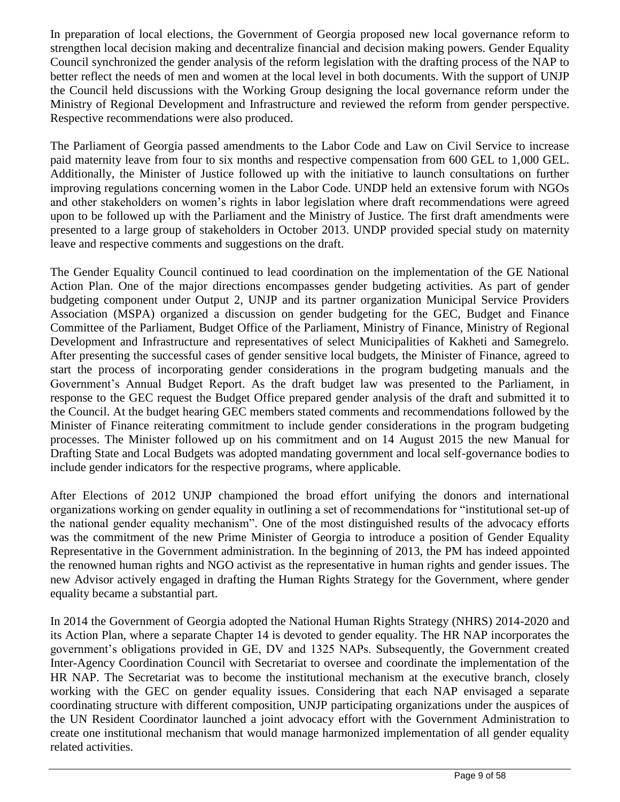In preparation of local elections, the Government of Georgia proposed new local governance reform to strengthen local decision making and decentralize financial and decision making powers. Gender Equality Council synchronized the gender analysis of the reform legislation with the drafting process of the NAP to better reflect the needs of men and women at the local level in both documents. With the support of UNJP the Council held discussions with the Working Group designing the local governance reform under the Ministry of Regional Development and Infrastructure and reviewed the reform from gender perspective. Respective recommendations were also produced.

The Parliament of Georgia passed amendments to the Labor Code and Law on Civil Service to increase paid maternity leave from four to six months and respective compensation from 600 GEL to 1,000 GEL. Additionally, the Minister of Justice followed up with the initiative to launch consultations on further improving regulations concerning women in the Labor Code. UNDP held an extensive forum with NGOs and other stakeholders on women's rights in labor legislation where draft recommendations were agreed upon to be followed up with the Parliament and the Ministry of Justice. The first draft amendments were presented to a large group of stakeholders in October 2013. UNDP provided special study on maternity leave and respective comments and suggestions on the draft.

The Gender Equality Council continued to lead coordination on the implementation of the GE National Action Plan. One of the major directions encompasses gender budgeting activities. As part of gender budgeting component under Output 2, UNJP and its partner organization Municipal Service Providers Association (MSPA) organized a discussion on gender budgeting for the GEC, Budget and Finance Committee of the Parliament, Budget Office of the Parliament, Ministry of Finance, Ministry of Regional Development and Infrastructure and representatives of select Municipalities of Kakheti and Samegrelo. After presenting the successful cases of gender sensitive local budgets, the Minister of Finance, agreed to start the process of incorporating gender considerations in the program budgeting manuals and the Government's Annual Budget Report. As the draft budget law was presented to the Parliament, in response to the GEC request the Budget Office prepared gender analysis of the draft and submitted it to the Council. At the budget hearing GEC members stated comments and recommendations followed by the Minister of Finance reiterating commitment to include gender considerations in the program budgeting processes. The Minister followed up on his commitment and on 14 August 2015 the new Manual for Drafting State and Local Budgets was adopted mandating government and local self-governance bodies to include gender indicators for the respective programs, where applicable.

After Elections of 2012 UNJP championed the broad effort unifying the donors and international organizations working on gender equality in outlining a set of recommendations for "institutional set-up of the national gender equality mechanism". One of the most distinguished results of the advocacy efforts was the commitment of the new Prime Minister of Georgia to introduce a position of Gender Equality Representative in the Government administration. In the beginning of 2013, the PM has indeed appointed the renowned human rights and NGO activist as the representative in human rights and gender issues. The new Advisor actively engaged in drafting the Human Rights Strategy for the Government, where gender equality became a substantial part.

In 2014 the Government of Georgia adopted the National Human Rights Strategy (NHRS) 2014-2020 and its Action Plan, where a separate Chapter 14 is devoted to gender equality. The HR NAP incorporates the government's obligations provided in GE, DV and 1325 NAPs. Subsequently, the Government created Inter-Agency Coordination Council with Secretariat to oversee and coordinate the implementation of the HR NAP. The Secretariat was to become the institutional mechanism at the executive branch, closely working with the GEC on gender equality issues. Considering that each NAP envisaged a separate coordinating structure with different composition, UNJP participating organizations under the auspices of the UN Resident Coordinator launched a joint advocacy effort with the Government Administration to create one institutional mechanism that would manage harmonized implementation of all gender equality related activities.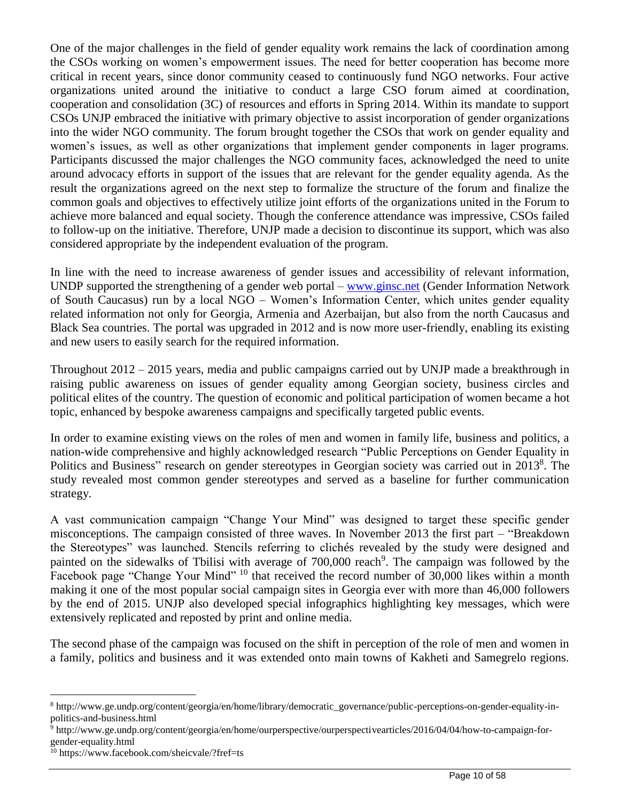One of the major challenges in the field of gender equality work remains the lack of coordination among the CSOs working on women's empowerment issues. The need for better cooperation has become more critical in recent years, since donor community ceased to continuously fund NGO networks. Four active organizations united around the initiative to conduct a large CSO forum aimed at coordination, cooperation and consolidation (3C) of resources and efforts in Spring 2014. Within its mandate to support CSOs UNJP embraced the initiative with primary objective to assist incorporation of gender organizations into the wider NGO community. The forum brought together the CSOs that work on gender equality and women's issues, as well as other organizations that implement gender components in lager programs. Participants discussed the major challenges the NGO community faces, acknowledged the need to unite around advocacy efforts in support of the issues that are relevant for the gender equality agenda. As the result the organizations agreed on the next step to formalize the structure of the forum and finalize the common goals and objectives to effectively utilize joint efforts of the organizations united in the Forum to achieve more balanced and equal society. Though the conference attendance was impressive, CSOs failed to follow-up on the initiative. Therefore, UNJP made a decision to discontinue its support, which was also considered appropriate by the independent evaluation of the program.

In line with the need to increase awareness of gender issues and accessibility of relevant information, UNDP supported the strengthening of a gender web portal – [www.ginsc.net](http://www.ginsc.net/) (Gender Information Network of South Caucasus) run by a local NGO – Women's Information Center, which unites gender equality related information not only for Georgia, Armenia and Azerbaijan, but also from the north Caucasus and Black Sea countries. The portal was upgraded in 2012 and is now more user-friendly, enabling its existing and new users to easily search for the required information.

Throughout 2012 – 2015 years, media and public campaigns carried out by UNJP made a breakthrough in raising public awareness on issues of gender equality among Georgian society, business circles and political elites of the country. The question of economic and political participation of women became a hot topic, enhanced by bespoke awareness campaigns and specifically targeted public events.

In order to examine existing views on the roles of men and women in family life, business and politics, a nation-wide comprehensive and highly acknowledged research "Public Perceptions on Gender Equality in Politics and Business" research on gender stereotypes in Georgian society was carried out in 2013<sup>8</sup>. The study revealed most common gender stereotypes and served as a baseline for further communication strategy.

A vast communication campaign "Change Your Mind" was designed to target these specific gender misconceptions. The campaign consisted of three waves. In November 2013 the first part – "Breakdown the Stereotypes" was launched. Stencils referring to clichés revealed by the study were designed and painted on the sidewalks of Tbilisi with average of 700,000 reach<sup>9</sup>. The campaign was followed by the Facebook page "Change Your Mind" <sup>10</sup> that received the record number of 30,000 likes within a month making it one of the most popular social campaign sites in Georgia ever with more than 46,000 followers by the end of 2015. UNJP also developed special infographics highlighting key messages, which were extensively replicated and reposted by print and online media.

The second phase of the campaign was focused on the shift in perception of the role of men and women in a family, politics and business and it was extended onto main towns of Kakheti and Samegrelo regions.

<sup>8</sup> http://www.ge.undp.org/content/georgia/en/home/library/democratic\_governance/public-perceptions-on-gender-equality-inpolitics-and-business.html

<sup>9</sup> http://www.ge.undp.org/content/georgia/en/home/ourperspective/ourperspectivearticles/2016/04/04/how-to-campaign-forgender-equality.html

<sup>10</sup> https://www.facebook.com/sheicvale/?fref=ts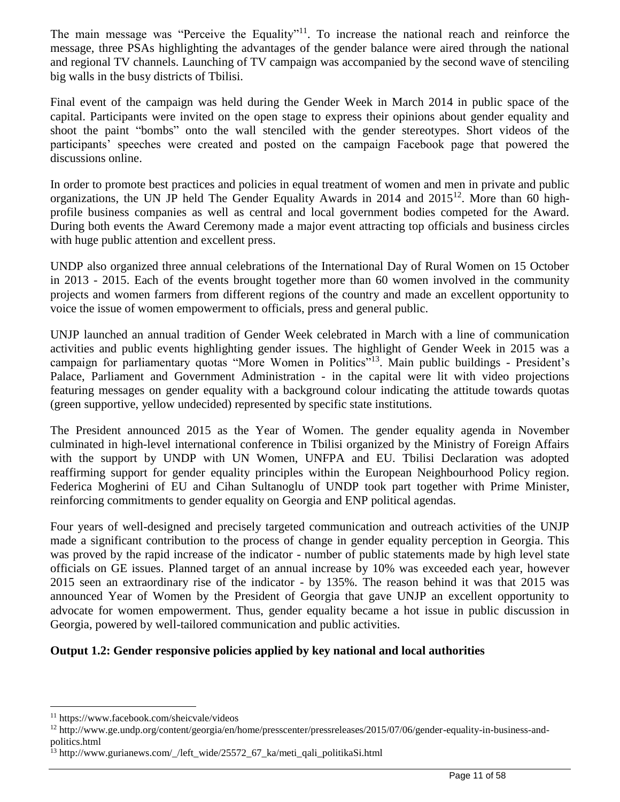The main message was "Perceive the Equality"<sup>11</sup>. To increase the national reach and reinforce the message, three PSAs highlighting the advantages of the gender balance were aired through the national and regional TV channels. Launching of TV campaign was accompanied by the second wave of stenciling big walls in the busy districts of Tbilisi.

Final event of the campaign was held during the Gender Week in March 2014 in public space of the capital. Participants were invited on the open stage to express their opinions about gender equality and shoot the paint "bombs" onto the wall stenciled with the gender stereotypes. Short videos of the participants' speeches were created and posted on the campaign Facebook page that powered the discussions online.

In order to promote best practices and policies in equal treatment of women and men in private and public organizations, the UN JP held The Gender Equality Awards in 2014 and 2015<sup>12</sup>. More than 60 highprofile business companies as well as central and local government bodies competed for the Award. During both events the Award Ceremony made a major event attracting top officials and business circles with huge public attention and excellent press.

UNDP also organized three annual celebrations of the International Day of Rural Women on 15 October in 2013 - 2015. Each of the events brought together more than 60 women involved in the community projects and women farmers from different regions of the country and made an excellent opportunity to voice the issue of women empowerment to officials, press and general public.

UNJP launched an annual tradition of Gender Week celebrated in March with a line of communication activities and public events highlighting gender issues. The highlight of Gender Week in 2015 was a campaign for parliamentary quotas "More Women in Politics"<sup>13</sup>. Main public buildings - President's Palace, Parliament and Government Administration - in the capital were lit with video projections featuring messages on gender equality with a background colour indicating the attitude towards quotas (green supportive, yellow undecided) represented by specific state institutions.

The President announced 2015 as the Year of Women. The gender equality agenda in November culminated in high-level international conference in Tbilisi organized by the Ministry of Foreign Affairs with the support by UNDP with UN Women, UNFPA and EU. Tbilisi Declaration was adopted reaffirming support for gender equality principles within the European Neighbourhood Policy region. Federica Mogherini of EU and Cihan Sultanoglu of UNDP took part together with Prime Minister, reinforcing commitments to gender equality on Georgia and ENP political agendas.

Four years of well-designed and precisely targeted communication and outreach activities of the UNJP made a significant contribution to the process of change in gender equality perception in Georgia. This was proved by the rapid increase of the indicator - number of public statements made by high level state officials on GE issues. Planned target of an annual increase by 10% was exceeded each year, however 2015 seen an extraordinary rise of the indicator - by 135%. The reason behind it was that 2015 was announced Year of Women by the President of Georgia that gave UNJP an excellent opportunity to advocate for women empowerment. Thus, gender equality became a hot issue in public discussion in Georgia, powered by well-tailored communication and public activities.

#### **Output 1.2: Gender responsive policies applied by key national and local authorities**

<sup>11</sup> https://www.facebook.com/sheicvale/videos

<sup>12</sup> http://www.ge.undp.org/content/georgia/en/home/presscenter/pressreleases/2015/07/06/gender-equality-in-business-andpolitics.html

<sup>13</sup> http://www.gurianews.com/\_/left\_wide/25572\_67\_ka/meti\_qali\_politikaSi.html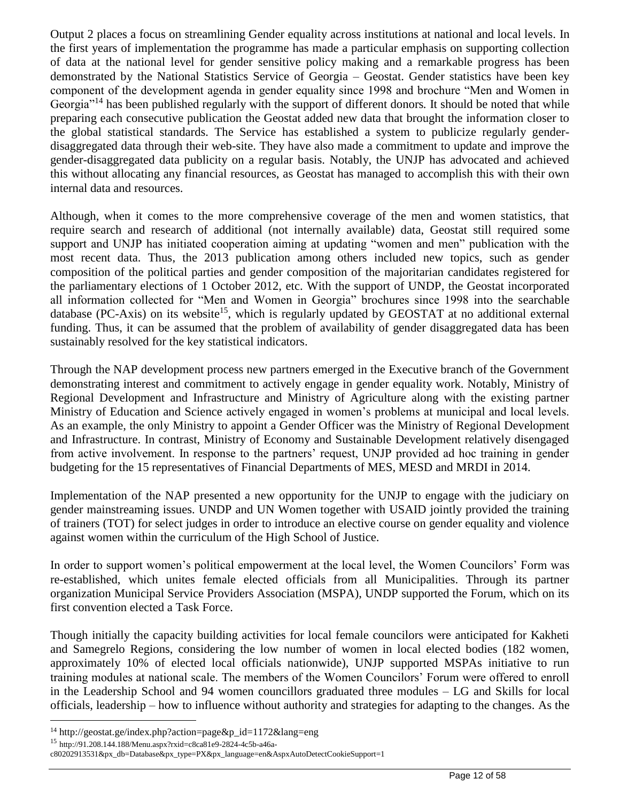Output 2 places a focus on streamlining Gender equality across institutions at national and local levels. In the first years of implementation the programme has made a particular emphasis on supporting collection of data at the national level for gender sensitive policy making and a remarkable progress has been demonstrated by the National Statistics Service of Georgia – Geostat. Gender statistics have been key component of the development agenda in gender equality since 1998 and brochure "Men and Women in Georgia"<sup>14</sup> has been published regularly with the support of different donors*.* It should be noted that while preparing each consecutive publication the Geostat added new data that brought the information closer to the global statistical standards. The Service has established a system to publicize regularly genderdisaggregated data through their web-site. They have also made a commitment to update and improve the gender-disaggregated data publicity on a regular basis. Notably, the UNJP has advocated and achieved this without allocating any financial resources, as Geostat has managed to accomplish this with their own internal data and resources.

Although, when it comes to the more comprehensive coverage of the men and women statistics, that require search and research of additional (not internally available) data, Geostat still required some support and UNJP has initiated cooperation aiming at updating "women and men" publication with the most recent data. Thus, the 2013 publication among others included new topics, such as gender composition of the political parties and gender composition of the majoritarian candidates registered for the parliamentary elections of 1 October 2012, etc. With the support of UNDP, the Geostat incorporated all information collected for "Men and Women in Georgia" brochures since 1998 into the searchable database (PC-Axis) on its website<sup>15</sup>, which is regularly updated by GEOSTAT at no additional external funding. Thus, it can be assumed that the problem of availability of gender disaggregated data has been sustainably resolved for the key statistical indicators.

Through the NAP development process new partners emerged in the Executive branch of the Government demonstrating interest and commitment to actively engage in gender equality work. Notably, Ministry of Regional Development and Infrastructure and Ministry of Agriculture along with the existing partner Ministry of Education and Science actively engaged in women's problems at municipal and local levels. As an example, the only Ministry to appoint a Gender Officer was the Ministry of Regional Development and Infrastructure. In contrast, Ministry of Economy and Sustainable Development relatively disengaged from active involvement. In response to the partners' request, UNJP provided ad hoc training in gender budgeting for the 15 representatives of Financial Departments of MES, MESD and MRDI in 2014.

Implementation of the NAP presented a new opportunity for the UNJP to engage with the judiciary on gender mainstreaming issues. UNDP and UN Women together with USAID jointly provided the training of trainers (TOT) for select judges in order to introduce an elective course on gender equality and violence against women within the curriculum of the High School of Justice.

In order to support women's political empowerment at the local level, the Women Councilors' Form was re-established, which unites female elected officials from all Municipalities. Through its partner organization Municipal Service Providers Association (MSPA), UNDP supported the Forum, which on its first convention elected a Task Force.

Though initially the capacity building activities for local female councilors were anticipated for Kakheti and Samegrelo Regions, considering the low number of women in local elected bodies (182 women, approximately 10% of elected local officials nationwide), UNJP supported MSPAs initiative to run training modules at national scale. The members of the Women Councilors' Forum were offered to enroll in the Leadership School and 94 women councillors graduated three modules – LG and Skills for local officials, leadership – how to influence without authority and strategies for adapting to the changes. As the

<sup>&</sup>lt;sup>14</sup> http://geostat.ge/index.php?action=page&p\_id=1172&lang=eng

<sup>15</sup> http://91.208.144.188/Menu.aspx?rxid=c8ca81e9-2824-4c5b-a46a-

c80202913531&px\_db=Database&px\_type=PX&px\_language=en&AspxAutoDetectCookieSupport=1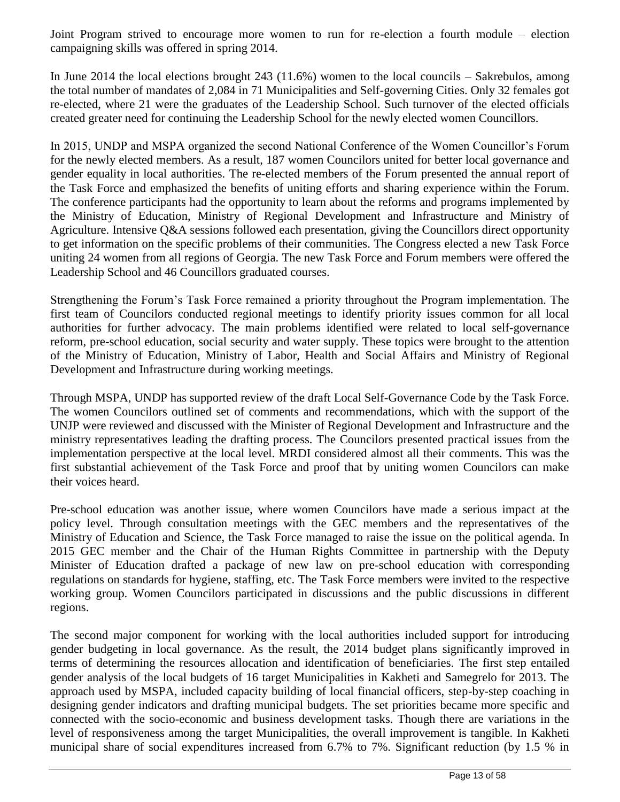Joint Program strived to encourage more women to run for re-election a fourth module – election campaigning skills was offered in spring 2014.

In June 2014 the local elections brought 243 (11.6%) women to the local councils – Sakrebulos, among the total number of mandates of 2,084 in 71 Municipalities and Self-governing Cities. Only 32 females got re-elected, where 21 were the graduates of the Leadership School. Such turnover of the elected officials created greater need for continuing the Leadership School for the newly elected women Councillors.

In 2015, UNDP and MSPA organized the second National Conference of the Women Councillor's Forum for the newly elected members. As a result, 187 women Councilors united for better local governance and gender equality in local authorities. The re-elected members of the Forum presented the annual report of the Task Force and emphasized the benefits of uniting efforts and sharing experience within the Forum. The conference participants had the opportunity to learn about the reforms and programs implemented by the Ministry of Education, Ministry of Regional Development and Infrastructure and Ministry of Agriculture. Intensive Q&A sessions followed each presentation, giving the Councillors direct opportunity to get information on the specific problems of their communities. The Congress elected a new Task Force uniting 24 women from all regions of Georgia. The new Task Force and Forum members were offered the Leadership School and 46 Councillors graduated courses.

Strengthening the Forum's Task Force remained a priority throughout the Program implementation. The first team of Councilors conducted regional meetings to identify priority issues common for all local authorities for further advocacy. The main problems identified were related to local self-governance reform, pre-school education, social security and water supply. These topics were brought to the attention of the Ministry of Education, Ministry of Labor, Health and Social Affairs and Ministry of Regional Development and Infrastructure during working meetings.

Through MSPA, UNDP has supported review of the draft Local Self-Governance Code by the Task Force. The women Councilors outlined set of comments and recommendations, which with the support of the UNJP were reviewed and discussed with the Minister of Regional Development and Infrastructure and the ministry representatives leading the drafting process. The Councilors presented practical issues from the implementation perspective at the local level. MRDI considered almost all their comments. This was the first substantial achievement of the Task Force and proof that by uniting women Councilors can make their voices heard.

Pre-school education was another issue, where women Councilors have made a serious impact at the policy level. Through consultation meetings with the GEC members and the representatives of the Ministry of Education and Science, the Task Force managed to raise the issue on the political agenda. In 2015 GEC member and the Chair of the Human Rights Committee in partnership with the Deputy Minister of Education drafted a package of new law on pre-school education with corresponding regulations on standards for hygiene, staffing, etc. The Task Force members were invited to the respective working group. Women Councilors participated in discussions and the public discussions in different regions.

The second major component for working with the local authorities included support for introducing gender budgeting in local governance. As the result, the 2014 budget plans significantly improved in terms of determining the resources allocation and identification of beneficiaries. The first step entailed gender analysis of the local budgets of 16 target Municipalities in Kakheti and Samegrelo for 2013. The approach used by MSPA, included capacity building of local financial officers, step-by-step coaching in designing gender indicators and drafting municipal budgets. The set priorities became more specific and connected with the socio-economic and business development tasks. Though there are variations in the level of responsiveness among the target Municipalities, the overall improvement is tangible. In Kakheti municipal share of social expenditures increased from 6.7% to 7%. Significant reduction (by 1.5 % in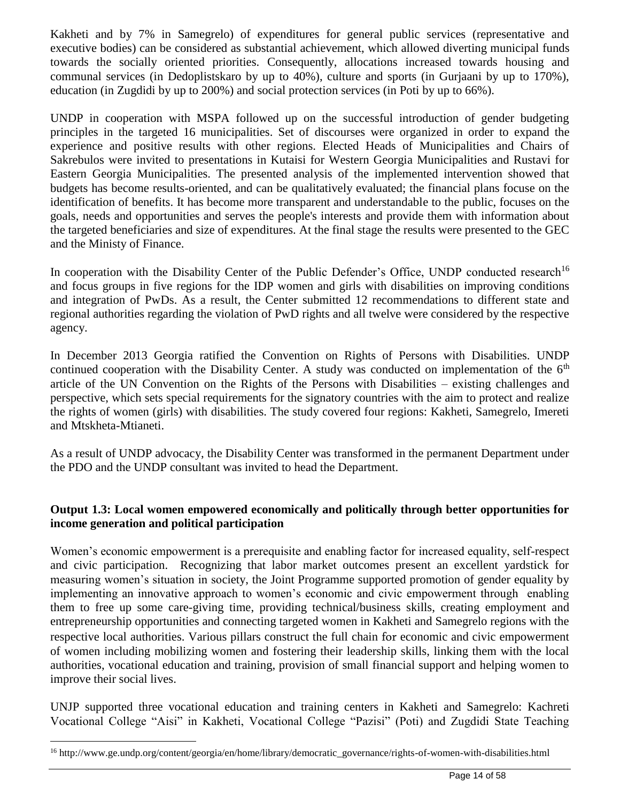Kakheti and by 7% in Samegrelo) of expenditures for general public services (representative and executive bodies) can be considered as substantial achievement, which allowed diverting municipal funds towards the socially oriented priorities. Consequently, allocations increased towards housing and communal services (in Dedoplistskaro by up to 40%), culture and sports (in Gurjaani by up to 170%), education (in Zugdidi by up to 200%) and social protection services (in Poti by up to 66%).

UNDP in cooperation with MSPA followed up on the successful introduction of gender budgeting principles in the targeted 16 municipalities. Set of discourses were organized in order to expand the experience and positive results with other regions. Elected Heads of Municipalities and Chairs of Sakrebulos were invited to presentations in Kutaisi for Western Georgia Municipalities and Rustavi for Eastern Georgia Municipalities. The presented analysis of the implemented intervention showed that budgets has become results-oriented, and can be qualitatively evaluated; the financial plans focuse on the identification of benefits. It has become more transparent and understandable to the public, focuses on the goals, needs and opportunities and serves the people's interests and provide them with information about the targeted beneficiaries and size of expenditures. At the final stage the results were presented to the GEC and the Ministy of Finance.

In cooperation with the Disability Center of the Public Defender's Office, UNDP conducted research<sup>16</sup> and focus groups in five regions for the IDP women and girls with disabilities on improving conditions and integration of PwDs. As a result, the Center submitted 12 recommendations to different state and regional authorities regarding the violation of PwD rights and all twelve were considered by the respective agency.

In December 2013 Georgia ratified the Convention on Rights of Persons with Disabilities. UNDP continued cooperation with the Disability Center. A study was conducted on implementation of the  $6<sup>th</sup>$ article of the UN Convention on the Rights of the Persons with Disabilities – existing challenges and perspective, which sets special requirements for the signatory countries with the aim to protect and realize the rights of women (girls) with disabilities. The study covered four regions: Kakheti, Samegrelo, Imereti and Mtskheta-Mtianeti.

As a result of UNDP advocacy, the Disability Center was transformed in the permanent Department under the PDO and the UNDP consultant was invited to head the Department.

# **Output 1.3: Local women empowered economically and politically through better opportunities for income generation and political participation**

Women's economic empowerment is a prerequisite and enabling factor for increased equality, self-respect and civic participation. Recognizing that labor market outcomes present an excellent yardstick for measuring women's situation in society, the Joint Programme supported promotion of gender equality by implementing an innovative approach to women's economic and civic empowerment through enabling them to free up some care-giving time, providing technical/business skills, creating employment and entrepreneurship opportunities and connecting targeted women in Kakheti and Samegrelo regions with the respective local authorities. Various pillars construct the full chain for economic and civic empowerment of women including mobilizing women and fostering their leadership skills, linking them with the local authorities, vocational education and training, provision of small financial support and helping women to improve their social lives.

UNJP supported three vocational education and training centers in Kakheti and Samegrelo: Kachreti Vocational College "Aisi" in Kakheti, Vocational College "Pazisi" (Poti) and Zugdidi State Teaching

<sup>&</sup>lt;sup>16</sup> http://www.ge.undp.org/content/georgia/en/home/library/democratic\_governance/rights-of-women-with-disabilities.html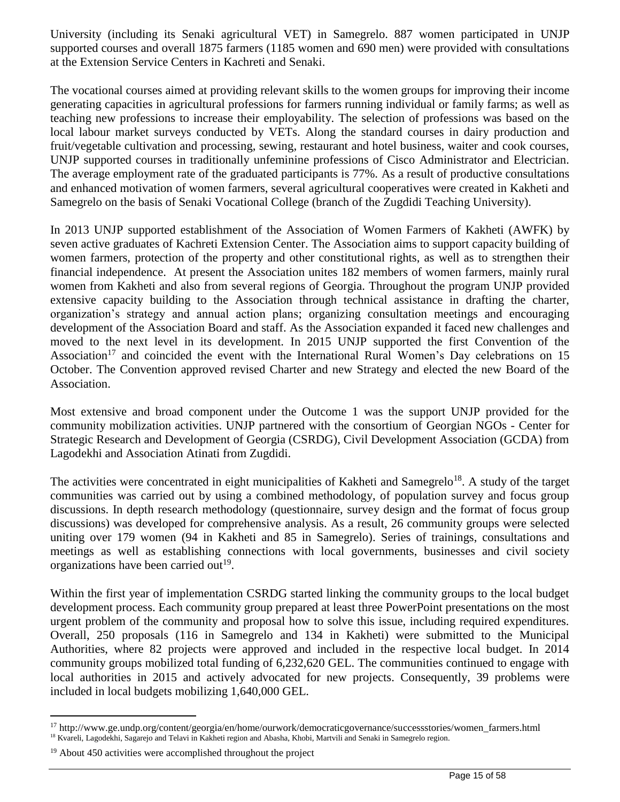University (including its Senaki agricultural VET) in Samegrelo. 887 women participated in UNJP supported courses and overall 1875 farmers (1185 women and 690 men) were provided with consultations at the Extension Service Centers in Kachreti and Senaki.

The vocational courses aimed at providing relevant skills to the women groups for improving their income generating capacities in agricultural professions for farmers running individual or family farms; as well as teaching new professions to increase their employability. The selection of professions was based on the local labour market surveys conducted by VETs. Along the standard courses in dairy production and fruit/vegetable cultivation and processing, sewing, restaurant and hotel business, waiter and cook courses, UNJP supported courses in traditionally unfeminine professions of Cisco Administrator and Electrician. The average employment rate of the graduated participants is 77%. As a result of productive consultations and enhanced motivation of women farmers, several agricultural cooperatives were created in Kakheti and Samegrelo on the basis of Senaki Vocational College (branch of the Zugdidi Teaching University).

In 2013 UNJP supported establishment of the Association of Women Farmers of Kakheti (AWFK) by seven active graduates of Kachreti Extension Center. The Association aims to support capacity building of women farmers, protection of the property and other constitutional rights, as well as to strengthen their financial independence. At present the Association unites 182 members of women farmers, mainly rural women from Kakheti and also from several regions of Georgia. Throughout the program UNJP provided extensive capacity building to the Association through technical assistance in drafting the charter, organization's strategy and annual action plans; organizing consultation meetings and encouraging development of the Association Board and staff. As the Association expanded it faced new challenges and moved to the next level in its development. In 2015 UNJP supported the first Convention of the Association<sup>17</sup> and coincided the event with the International Rural Women's Day celebrations on 15 October. The Convention approved revised Charter and new Strategy and elected the new Board of the Association.

Most extensive and broad component under the Outcome 1 was the support UNJP provided for the community mobilization activities. UNJP partnered with the consortium of Georgian NGOs - Center for Strategic Research and Development of Georgia (CSRDG), Civil Development Association (GCDA) from Lagodekhi and Association Atinati from Zugdidi.

The activities were concentrated in eight municipalities of Kakheti and Samegrelo<sup>18</sup>. A study of the target communities was carried out by using a combined methodology, of population survey and focus group discussions. In depth research methodology (questionnaire, survey design and the format of focus group discussions) was developed for comprehensive analysis. As a result, 26 community groups were selected uniting over 179 women (94 in Kakheti and 85 in Samegrelo). Series of trainings, consultations and meetings as well as establishing connections with local governments, businesses and civil society organizations have been carried out<sup>19</sup>.

Within the first year of implementation CSRDG started linking the community groups to the local budget development process. Each community group prepared at least three PowerPoint presentations on the most urgent problem of the community and proposal how to solve this issue, including required expenditures. Overall, 250 proposals (116 in Samegrelo and 134 in Kakheti) were submitted to the Municipal Authorities, where 82 projects were approved and included in the respective local budget. In 2014 community groups mobilized total funding of 6,232,620 GEL. The communities continued to engage with local authorities in 2015 and actively advocated for new projects. Consequently, 39 problems were included in local budgets mobilizing 1,640,000 GEL.

<sup>&</sup>lt;sup>17</sup> http://www.ge.undp.org/content/georgia/en/home/ourwork/democraticgovernance/successstories/women\_farmers.html <sup>18</sup> Kvareli, Lagodekhi, Sagarejo and Telavi in Kakheti region and Abasha, Khobi, Martvili and Senaki in Samegrelo region.

<sup>19</sup> About 450 activities were accomplished throughout the project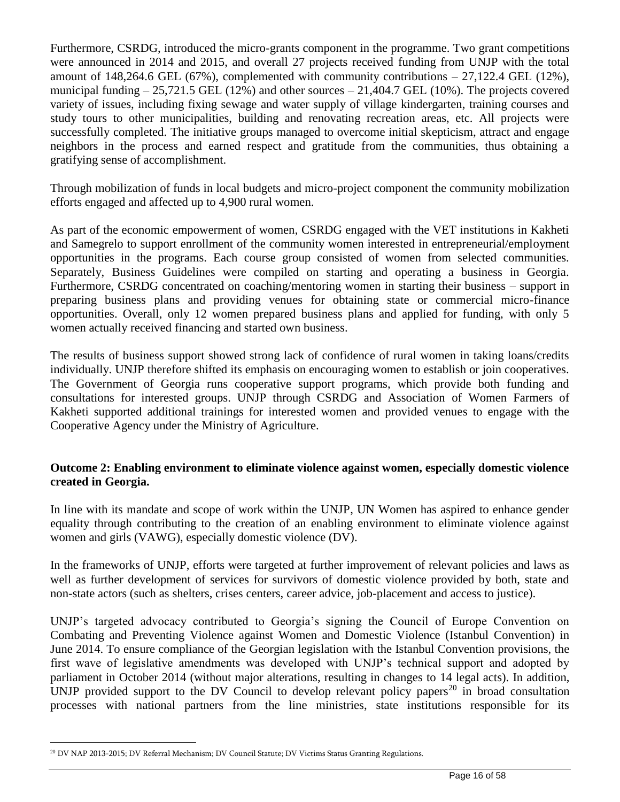Furthermore, CSRDG, introduced the micro-grants component in the programme. Two grant competitions were announced in 2014 and 2015, and overall 27 projects received funding from UNJP with the total amount of 148,264.6 GEL (67%), complemented with community contributions – 27,122.4 GEL (12%), municipal funding  $-25,721.5$  GEL (12%) and other sources  $-21,404.7$  GEL (10%). The projects covered variety of issues, including fixing sewage and water supply of village kindergarten, training courses and study tours to other municipalities, building and renovating recreation areas, etc. All projects were successfully completed. The initiative groups managed to overcome initial skepticism, attract and engage neighbors in the process and earned respect and gratitude from the communities, thus obtaining a gratifying sense of accomplishment.

Through mobilization of funds in local budgets and micro-project component the community mobilization efforts engaged and affected up to 4,900 rural women.

As part of the economic empowerment of women, CSRDG engaged with the VET institutions in Kakheti and Samegrelo to support enrollment of the community women interested in entrepreneurial/employment opportunities in the programs. Each course group consisted of women from selected communities. Separately, Business Guidelines were compiled on starting and operating a business in Georgia. Furthermore, CSRDG concentrated on coaching/mentoring women in starting their business – support in preparing business plans and providing venues for obtaining state or commercial micro-finance opportunities. Overall, only 12 women prepared business plans and applied for funding, with only 5 women actually received financing and started own business.

The results of business support showed strong lack of confidence of rural women in taking loans/credits individually. UNJP therefore shifted its emphasis on encouraging women to establish or join cooperatives. The Government of Georgia runs cooperative support programs, which provide both funding and consultations for interested groups. UNJP through CSRDG and Association of Women Farmers of Kakheti supported additional trainings for interested women and provided venues to engage with the Cooperative Agency under the Ministry of Agriculture.

#### **Outcome 2: Enabling environment to eliminate violence against women, especially domestic violence created in Georgia.**

In line with its mandate and scope of work within the UNJP, UN Women has aspired to enhance gender equality through contributing to the creation of an enabling environment to eliminate violence against women and girls (VAWG), especially domestic violence (DV).

In the frameworks of UNJP, efforts were targeted at further improvement of relevant policies and laws as well as further development of services for survivors of domestic violence provided by both, state and non-state actors (such as shelters, crises centers, career advice, job-placement and access to justice).

UNJP's targeted advocacy contributed to Georgia's signing the Council of Europe Convention on Combating and Preventing Violence against Women and Domestic Violence (Istanbul Convention) in June 2014. To ensure compliance of the Georgian legislation with the Istanbul Convention provisions, the first wave of legislative amendments was developed with UNJP's technical support and adopted by parliament in October 2014 (without major alterations, resulting in changes to 14 legal acts). In addition, UNJP provided support to the DV Council to develop relevant policy papers<sup>20</sup> in broad consultation processes with national partners from the line ministries, state institutions responsible for its

<sup>&</sup>lt;sup>20</sup> DV NAP 2013-2015; DV Referral Mechanism; DV Council Statute; DV Victims Status Granting Regulations.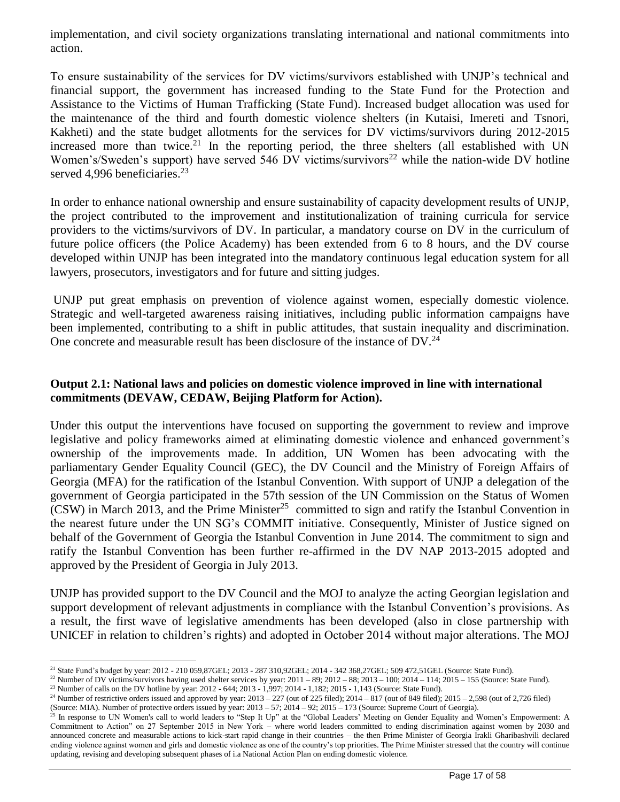implementation, and civil society organizations translating international and national commitments into action.

To ensure sustainability of the services for DV victims/survivors established with UNJP's technical and financial support, the government has increased funding to the State Fund for the Protection and Assistance to the Victims of Human Trafficking (State Fund). Increased budget allocation was used for the maintenance of the third and fourth domestic violence shelters (in Kutaisi, Imereti and Tsnori, Kakheti) and the state budget allotments for the services for DV victims/survivors during 2012-2015 increased more than twice.<sup>21</sup> In the reporting period, the three shelters (all established with UN Women's/Sweden's support) have served 546 DV victims/survivors<sup>22</sup> while the nation-wide DV hotline served 4,996 beneficiaries.<sup>23</sup>

In order to enhance national ownership and ensure sustainability of capacity development results of UNJP, the project contributed to the improvement and institutionalization of training curricula for service providers to the victims/survivors of DV. In particular, a mandatory course on DV in the curriculum of future police officers (the Police Academy) has been extended from 6 to 8 hours, and the DV course developed within UNJP has been integrated into the mandatory continuous legal education system for all lawyers, prosecutors, investigators and for future and sitting judges.

UNJP put great emphasis on prevention of violence against women, especially domestic violence. Strategic and well-targeted awareness raising initiatives, including public information campaigns have been implemented, contributing to a shift in public attitudes, that sustain inequality and discrimination. One concrete and measurable result has been disclosure of the instance of  $DV^{24}$ .

#### **Output 2.1: National laws and policies on domestic violence improved in line with international commitments (DEVAW, CEDAW, Beijing Platform for Action).**

Under this output the interventions have focused on supporting the government to review and improve legislative and policy frameworks aimed at eliminating domestic violence and enhanced government's ownership of the improvements made. In addition, UN Women has been advocating with the parliamentary Gender Equality Council (GEC), the DV Council and the Ministry of Foreign Affairs of Georgia (MFA) for the ratification of the Istanbul Convention. With support of UNJP a delegation of the government of Georgia participated in the 57th session of the UN Commission on the Status of Women  $(CSW)$  in March 2013, and the Prime Minister<sup>25</sup> committed to sign and ratify the Istanbul Convention in the nearest future under the UN SG's COMMIT initiative. Consequently, Minister of Justice signed on behalf of the Government of Georgia the Istanbul Convention in June 2014. The commitment to sign and ratify the Istanbul Convention has been further re-affirmed in the DV NAP 2013-2015 adopted and approved by the President of Georgia in July 2013.

UNJP has provided support to the DV Council and the MOJ to analyze the acting Georgian legislation and support development of relevant adjustments in compliance with the Istanbul Convention's provisions. As a result, the first wave of legislative amendments has been developed (also in close partnership with UNICEF in relation to children's rights) and adopted in October 2014 without major alterations. The MOJ

 $\overline{a}$ <sup>21</sup> State Fund's budget by year: 2012 - 210 059,87GEL; 2013 - 287 310,92GEL; 2014 - 342 368,27GEL; 509 472,51GEL (Source: State Fund).

 $^{22}$  Number of DV victims/survivors having used shelter services by year:  $2011 - 89$ ;  $2012 - 88$ ;  $2013 - 100$ ;  $2014 - 114$ ;  $2015 - 155$  (Source: State Fund).

<sup>23</sup> Number of calls on the DV hotline by year: 2012 - 644; 2013 - 1,997; 2014 - 1,182; 2015 - 1,143 (Source: State Fund).  $24$  Number of restrictive orders issued and approved by year:  $2013 - 227$  (out of  $225$  filed);  $2014 - 817$  (out of  $849$  filed);  $2015 - 2,598$  (out of  $2,726$  filed)

<sup>(</sup>Source: MIA). Number of protective orders issued by year: 2013 – 57; 2014 – 92; 2015 – 173 (Source: Supreme Court of Georgia).

<sup>&</sup>lt;sup>25</sup> In response to UN Women's call to world leaders to "Step It Up" at the "Global Leaders' Meeting on Gender Equality and Women's Empowerment: A Commitment to Action" on 27 September 2015 in New York – where world leaders committed to ending discrimination against women by 2030 and announced concrete and measurable actions to kick-start rapid change in their countries – the then Prime Minister of Georgia Irakli Gharibashvili declared ending violence against women and girls and domestic violence as one of the country's top priorities. The Prime Minister stressed that the country will continue updating, revising and developing subsequent phases of i.a National Action Plan on ending domestic violence.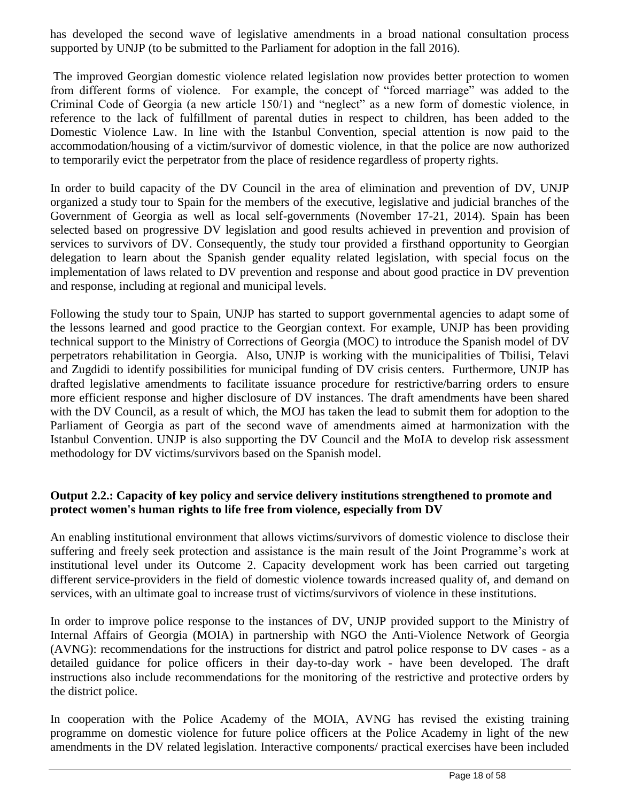has developed the second wave of legislative amendments in a broad national consultation process supported by UNJP (to be submitted to the Parliament for adoption in the fall 2016).

The improved Georgian domestic violence related legislation now provides better protection to women from different forms of violence. For example, the concept of "forced marriage" was added to the Criminal Code of Georgia (a new article 150/1) and "neglect" as a new form of domestic violence, in reference to the lack of fulfillment of parental duties in respect to children, has been added to the Domestic Violence Law. In line with the Istanbul Convention, special attention is now paid to the accommodation/housing of a victim/survivor of domestic violence, in that the police are now authorized to temporarily evict the perpetrator from the place of residence regardless of property rights.

In order to build capacity of the DV Council in the area of elimination and prevention of DV, UNJP organized a study tour to Spain for the members of the executive, legislative and judicial branches of the Government of Georgia as well as local self-governments (November 17-21, 2014). Spain has been selected based on progressive DV legislation and good results achieved in prevention and provision of services to survivors of DV. Consequently, the study tour provided a firsthand opportunity to Georgian delegation to learn about the Spanish gender equality related legislation, with special focus on the implementation of laws related to DV prevention and response and about good practice in DV prevention and response, including at regional and municipal levels.

Following the study tour to Spain, UNJP has started to support governmental agencies to adapt some of the lessons learned and good practice to the Georgian context. For example, UNJP has been providing technical support to the Ministry of Corrections of Georgia (MOC) to introduce the Spanish model of DV perpetrators rehabilitation in Georgia. Also, UNJP is working with the municipalities of Tbilisi, Telavi and Zugdidi to identify possibilities for municipal funding of DV crisis centers. Furthermore, UNJP has drafted legislative amendments to facilitate issuance procedure for restrictive/barring orders to ensure more efficient response and higher disclosure of DV instances. The draft amendments have been shared with the DV Council, as a result of which, the MOJ has taken the lead to submit them for adoption to the Parliament of Georgia as part of the second wave of amendments aimed at harmonization with the Istanbul Convention. UNJP is also supporting the DV Council and the MoIA to develop risk assessment methodology for DV victims/survivors based on the Spanish model.

#### **Output 2.2.: Capacity of key policy and service delivery institutions strengthened to promote and protect women's human rights to life free from violence, especially from DV**

An enabling institutional environment that allows victims/survivors of domestic violence to disclose their suffering and freely seek protection and assistance is the main result of the Joint Programme's work at institutional level under its Outcome 2. Capacity development work has been carried out targeting different service-providers in the field of domestic violence towards increased quality of, and demand on services, with an ultimate goal to increase trust of victims/survivors of violence in these institutions.

In order to improve police response to the instances of DV, UNJP provided support to the Ministry of Internal Affairs of Georgia (MOIA) in partnership with NGO the Anti-Violence Network of Georgia (AVNG): recommendations for the instructions for district and patrol police response to DV cases - as a detailed guidance for police officers in their day-to-day work - have been developed. The draft instructions also include recommendations for the monitoring of the restrictive and protective orders by the district police.

In cooperation with the Police Academy of the MOIA, AVNG has revised the existing training programme on domestic violence for future police officers at the Police Academy in light of the new amendments in the DV related legislation. Interactive components/ practical exercises have been included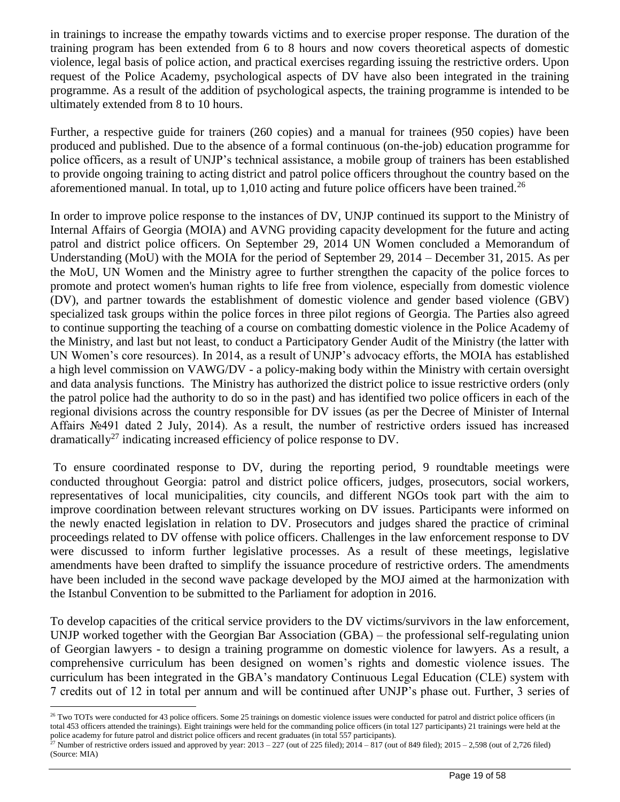in trainings to increase the empathy towards victims and to exercise proper response. The duration of the training program has been extended from 6 to 8 hours and now covers theoretical aspects of domestic violence, legal basis of police action, and practical exercises regarding issuing the restrictive orders. Upon request of the Police Academy, psychological aspects of DV have also been integrated in the training programme. As a result of the addition of psychological aspects, the training programme is intended to be ultimately extended from 8 to 10 hours.

Further, a respective guide for trainers (260 copies) and a manual for trainees (950 copies) have been produced and published. Due to the absence of a formal continuous (on-the-job) education programme for police officers, as a result of UNJP's technical assistance, a mobile group of trainers has been established to provide ongoing training to acting district and patrol police officers throughout the country based on the aforementioned manual. In total, up to  $1,010$  acting and future police officers have been trained.<sup>26</sup>

In order to improve police response to the instances of DV, UNJP continued its support to the Ministry of Internal Affairs of Georgia (MOIA) and AVNG providing capacity development for the future and acting patrol and district police officers. On September 29, 2014 UN Women concluded a Memorandum of Understanding (MoU) with the MOIA for the period of September 29, 2014 – December 31, 2015. As per the MoU, UN Women and the Ministry agree to further strengthen the capacity of the police forces to promote and protect women's human rights to life free from violence, especially from domestic violence (DV), and partner towards the establishment of domestic violence and gender based violence (GBV) specialized task groups within the police forces in three pilot regions of Georgia. The Parties also agreed to continue supporting the teaching of a course on combatting domestic violence in the Police Academy of the Ministry, and last but not least, to conduct a Participatory Gender Audit of the Ministry (the latter with UN Women's core resources). In 2014, as a result of UNJP's advocacy efforts, the MOIA has established a high level commission on VAWG/DV - a policy-making body within the Ministry with certain oversight and data analysis functions. The Ministry has authorized the district police to issue restrictive orders (only the patrol police had the authority to do so in the past) and has identified two police officers in each of the regional divisions across the country responsible for DV issues (as per the Decree of Minister of Internal Affairs №491 dated 2 July, 2014). As a result, the number of restrictive orders issued has increased dramatically<sup>27</sup> indicating increased efficiency of police response to DV.

To ensure coordinated response to DV, during the reporting period, 9 roundtable meetings were conducted throughout Georgia: patrol and district police officers, judges, prosecutors, social workers, representatives of local municipalities, city councils, and different NGOs took part with the aim to improve coordination between relevant structures working on DV issues. Participants were informed on the newly enacted legislation in relation to DV. Prosecutors and judges shared the practice of criminal proceedings related to DV offense with police officers. Challenges in the law enforcement response to DV were discussed to inform further legislative processes. As a result of these meetings, legislative amendments have been drafted to simplify the issuance procedure of restrictive orders. The amendments have been included in the second wave package developed by the MOJ aimed at the harmonization with the Istanbul Convention to be submitted to the Parliament for adoption in 2016.

To develop capacities of the critical service providers to the DV victims/survivors in the law enforcement, UNJP worked together with the Georgian Bar Association (GBA) – the professional self-regulating union of Georgian lawyers - to design a training programme on domestic violence for lawyers. As a result, a comprehensive curriculum has been designed on women's rights and domestic violence issues. The curriculum has been integrated in the GBA's mandatory Continuous Legal Education (CLE) system with 7 credits out of 12 in total per annum and will be continued after UNJP's phase out. Further, 3 series of

<sup>&</sup>lt;sup>26</sup> Two TOTs were conducted for 43 police officers. Some 25 trainings on domestic violence issues were conducted for patrol and district police officers (in total 453 officers attended the trainings). Eight trainings were held for the commanding police officers (in total 127 participants) 21 trainings were held at the police academy for future patrol and district police officers and recent graduates (in total 557 participants).

<sup>&</sup>lt;sup>27</sup> Number of restrictive orders issued and approved by year:  $2013 - 227$  (out of  $225$  filed);  $2014 - 817$  (out of  $849$  filed);  $2015 - 2,598$  (out of  $2,726$  filed) (Source: MIA)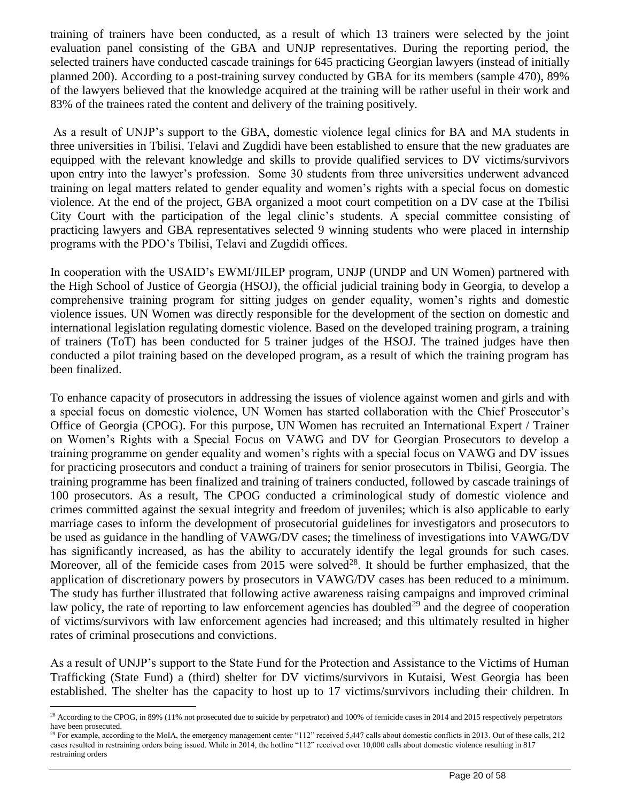training of trainers have been conducted, as a result of which 13 trainers were selected by the joint evaluation panel consisting of the GBA and UNJP representatives. During the reporting period, the selected trainers have conducted cascade trainings for 645 practicing Georgian lawyers (instead of initially planned 200). According to a post-training survey conducted by GBA for its members (sample 470), 89% of the lawyers believed that the knowledge acquired at the training will be rather useful in their work and 83% of the trainees rated the content and delivery of the training positively.

As a result of UNJP's support to the GBA, domestic violence legal clinics for BA and MA students in three universities in Tbilisi, Telavi and Zugdidi have been established to ensure that the new graduates are equipped with the relevant knowledge and skills to provide qualified services to DV victims/survivors upon entry into the lawyer's profession. Some 30 students from three universities underwent advanced training on legal matters related to gender equality and women's rights with a special focus on domestic violence. At the end of the project, GBA organized a moot court competition on a DV case at the Tbilisi City Court with the participation of the legal clinic's students. A special committee consisting of practicing lawyers and GBA representatives selected 9 winning students who were placed in internship programs with the PDO's Tbilisi, Telavi and Zugdidi offices.

In cooperation with the USAID's EWMI/JILEP program, UNJP (UNDP and UN Women) partnered with the High School of Justice of Georgia (HSOJ), the official judicial training body in Georgia, to develop a comprehensive training program for sitting judges on gender equality, women's rights and domestic violence issues. UN Women was directly responsible for the development of the section on domestic and international legislation regulating domestic violence. Based on the developed training program, a training of trainers (ToT) has been conducted for 5 trainer judges of the HSOJ. The trained judges have then conducted a pilot training based on the developed program, as a result of which the training program has been finalized.

To enhance capacity of prosecutors in addressing the issues of violence against women and girls and with a special focus on domestic violence, UN Women has started collaboration with the Chief Prosecutor's Office of Georgia (CPOG). For this purpose, UN Women has recruited an International Expert / Trainer on Women's Rights with a Special Focus on VAWG and DV for Georgian Prosecutors to develop a training programme on gender equality and women's rights with a special focus on VAWG and DV issues for practicing prosecutors and conduct a training of trainers for senior prosecutors in Tbilisi, Georgia. The training programme has been finalized and training of trainers conducted, followed by cascade trainings of 100 prosecutors. As a result, The CPOG conducted a criminological study of domestic violence and crimes committed against the sexual integrity and freedom of juveniles; which is also applicable to early marriage cases to inform the development of prosecutorial guidelines for investigators and prosecutors to be used as guidance in the handling of VAWG/DV cases; the timeliness of investigations into VAWG/DV has significantly increased, as has the ability to accurately identify the legal grounds for such cases. Moreover, all of the femicide cases from 2015 were solved<sup>28</sup>. It should be further emphasized, that the application of discretionary powers by prosecutors in VAWG/DV cases has been reduced to a minimum. The study has further illustrated that following active awareness raising campaigns and improved criminal law policy, the rate of reporting to law enforcement agencies has doubled<sup>29</sup> and the degree of cooperation of victims/survivors with law enforcement agencies had increased; and this ultimately resulted in higher rates of criminal prosecutions and convictions.

As a result of UNJP's support to the State Fund for the Protection and Assistance to the Victims of Human Trafficking (State Fund) a (third) shelter for DV victims/survivors in Kutaisi, West Georgia has been established. The shelter has the capacity to host up to 17 victims/survivors including their children. In

<sup>&</sup>lt;sup>28</sup> According to the CPOG, in 89% (11% not prosecuted due to suicide by perpetrator) and 100% of femicide cases in 2014 and 2015 respectively perpetrators have been prosecuted.

<sup>&</sup>lt;sup>29</sup> For example, according to the MoIA, the emergency management center "112" received 5,447 calls about domestic conflicts in 2013. Out of these calls, 212 cases resulted in restraining orders being issued. While in 2014, the hotline "112" received over 10,000 calls about domestic violence resulting in 817 restraining orders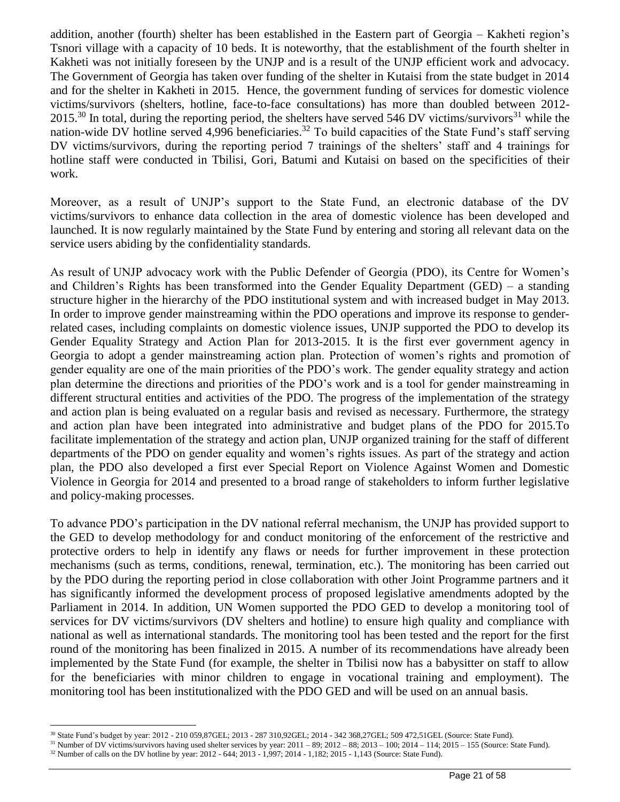addition, another (fourth) shelter has been established in the Eastern part of Georgia – Kakheti region's Tsnori village with a capacity of 10 beds. It is noteworthy, that the establishment of the fourth shelter in Kakheti was not initially foreseen by the UNJP and is a result of the UNJP efficient work and advocacy. The Government of Georgia has taken over funding of the shelter in Kutaisi from the state budget in 2014 and for the shelter in Kakheti in 2015. Hence, the government funding of services for domestic violence victims/survivors (shelters, hotline, face-to-face consultations) has more than doubled between 2012- 2015.<sup>30</sup> In total, during the reporting period, the shelters have served 546 DV victims/survivors<sup>31</sup> while the nation-wide DV hotline served 4,996 beneficiaries.<sup>32</sup> To build capacities of the State Fund's staff serving DV victims/survivors, during the reporting period 7 trainings of the shelters' staff and 4 trainings for hotline staff were conducted in Tbilisi, Gori, Batumi and Kutaisi on based on the specificities of their work.

Moreover, as a result of UNJP's support to the State Fund, an electronic database of the DV victims/survivors to enhance data collection in the area of domestic violence has been developed and launched. It is now regularly maintained by the State Fund by entering and storing all relevant data on the service users abiding by the confidentiality standards.

As result of UNJP advocacy work with the Public Defender of Georgia (PDO), its Centre for Women's and Children's Rights has been transformed into the Gender Equality Department (GED) – a standing structure higher in the hierarchy of the PDO institutional system and with increased budget in May 2013. In order to improve gender mainstreaming within the PDO operations and improve its response to genderrelated cases, including complaints on domestic violence issues, UNJP supported the PDO to develop its Gender Equality Strategy and Action Plan for 2013-2015. It is the first ever government agency in Georgia to adopt a gender mainstreaming action plan. Protection of women's rights and promotion of gender equality are one of the main priorities of the PDO's work. The gender equality strategy and action plan determine the directions and priorities of the PDO's work and is a tool for gender mainstreaming in different structural entities and activities of the PDO. The progress of the implementation of the strategy and action plan is being evaluated on a regular basis and revised as necessary. Furthermore, the strategy and action plan have been integrated into administrative and budget plans of the PDO for 2015.To facilitate implementation of the strategy and action plan, UNJP organized training for the staff of different departments of the PDO on gender equality and women's rights issues. As part of the strategy and action plan, the PDO also developed a first ever Special Report on Violence Against Women and Domestic Violence in Georgia for 2014 and presented to a broad range of stakeholders to inform further legislative and policy-making processes.

To advance PDO's participation in the DV national referral mechanism, the UNJP has provided support to the GED to develop methodology for and conduct monitoring of the enforcement of the restrictive and protective orders to help in identify any flaws or needs for further improvement in these protection mechanisms (such as terms, conditions, renewal, termination, etc.). The monitoring has been carried out by the PDO during the reporting period in close collaboration with other Joint Programme partners and it has significantly informed the development process of proposed legislative amendments adopted by the Parliament in 2014. In addition, UN Women supported the PDO GED to develop a monitoring tool of services for DV victims/survivors (DV shelters and hotline) to ensure high quality and compliance with national as well as international standards. The monitoring tool has been tested and the report for the first round of the monitoring has been finalized in 2015. A number of its recommendations have already been implemented by the State Fund (for example, the shelter in Tbilisi now has a babysitter on staff to allow for the beneficiaries with minor children to engage in vocational training and employment). The monitoring tool has been institutionalized with the PDO GED and will be used on an annual basis.

 $\overline{a}$ <sup>30</sup> State Fund's budget by year: 2012 - 210 059,87GEL; 2013 - 287 310,92GEL; 2014 - 342 368,27GEL; 509 472,51GEL (Source: State Fund).

 $31$  Number of DV victims/survivors having used shelter services by year:  $2011 - 89$ ;  $2012 - 88$ ;  $2013 - 100$ ;  $2014 - 114$ ;  $2015 - 155$  (Source: State Fund).

<sup>32</sup> Number of calls on the DV hotline by year: 2012 - 644; 2013 - 1,997; 2014 - 1,182; 2015 - 1,143 (Source: State Fund).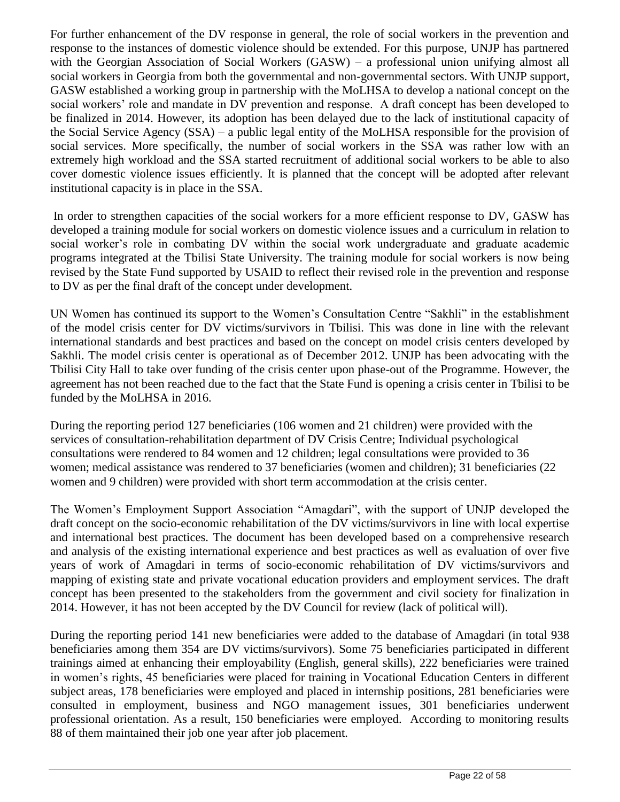For further enhancement of the DV response in general, the role of social workers in the prevention and response to the instances of domestic violence should be extended. For this purpose, UNJP has partnered with the Georgian Association of Social Workers (GASW) – a professional union unifying almost all social workers in Georgia from both the governmental and non-governmental sectors. With UNJP support, GASW established a working group in partnership with the MoLHSA to develop a national concept on the social workers' role and mandate in DV prevention and response. A draft concept has been developed to be finalized in 2014. However, its adoption has been delayed due to the lack of institutional capacity of the Social Service Agency (SSA) – a public legal entity of the MoLHSA responsible for the provision of social services. More specifically, the number of social workers in the SSA was rather low with an extremely high workload and the SSA started recruitment of additional social workers to be able to also cover domestic violence issues efficiently. It is planned that the concept will be adopted after relevant institutional capacity is in place in the SSA.

In order to strengthen capacities of the social workers for a more efficient response to DV, GASW has developed a training module for social workers on domestic violence issues and a curriculum in relation to social worker's role in combating DV within the social work undergraduate and graduate academic programs integrated at the Tbilisi State University. The training module for social workers is now being revised by the State Fund supported by USAID to reflect their revised role in the prevention and response to DV as per the final draft of the concept under development.

UN Women has continued its support to the Women's Consultation Centre "Sakhli" in the establishment of the model crisis center for DV victims/survivors in Tbilisi. This was done in line with the relevant international standards and best practices and based on the concept on model crisis centers developed by Sakhli. The model crisis center is operational as of December 2012. UNJP has been advocating with the Tbilisi City Hall to take over funding of the crisis center upon phase-out of the Programme. However, the agreement has not been reached due to the fact that the State Fund is opening a crisis center in Tbilisi to be funded by the MoLHSA in 2016.

During the reporting period 127 beneficiaries (106 women and 21 children) were provided with the services of consultation-rehabilitation department of DV Crisis Centre; Individual psychological consultations were rendered to 84 women and 12 children; legal consultations were provided to 36 women; medical assistance was rendered to 37 beneficiaries (women and children); 31 beneficiaries (22 women and 9 children) were provided with short term accommodation at the crisis center.

The Women's Employment Support Association "Amagdari", with the support of UNJP developed the draft concept on the socio-economic rehabilitation of the DV victims/survivors in line with local expertise and international best practices. The document has been developed based on a comprehensive research and analysis of the existing international experience and best practices as well as evaluation of over five years of work of Amagdari in terms of socio-economic rehabilitation of DV victims/survivors and mapping of existing state and private vocational education providers and employment services. The draft concept has been presented to the stakeholders from the government and civil society for finalization in 2014. However, it has not been accepted by the DV Council for review (lack of political will).

During the reporting period 141 new beneficiaries were added to the database of Amagdari (in total 938 beneficiaries among them 354 are DV victims/survivors). Some 75 beneficiaries participated in different trainings aimed at enhancing their employability (English, general skills), 222 beneficiaries were trained in women's rights, 45 beneficiaries were placed for training in Vocational Education Centers in different subject areas, 178 beneficiaries were employed and placed in internship positions, 281 beneficiaries were consulted in employment, business and NGO management issues, 301 beneficiaries underwent professional orientation. As a result, 150 beneficiaries were employed. According to monitoring results 88 of them maintained their job one year after job placement.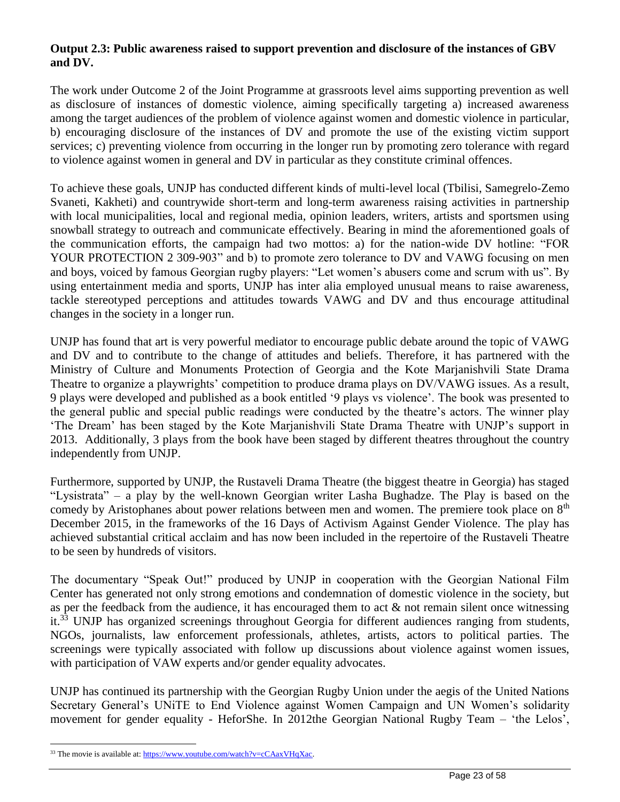#### **Output 2.3: Public awareness raised to support prevention and disclosure of the instances of GBV and DV.**

The work under Outcome 2 of the Joint Programme at grassroots level aims supporting prevention as well as disclosure of instances of domestic violence, aiming specifically targeting a) increased awareness among the target audiences of the problem of violence against women and domestic violence in particular, b) encouraging disclosure of the instances of DV and promote the use of the existing victim support services; c) preventing violence from occurring in the longer run by promoting zero tolerance with regard to violence against women in general and DV in particular as they constitute criminal offences.

To achieve these goals, UNJP has conducted different kinds of multi-level local (Tbilisi, Samegrelo-Zemo Svaneti, Kakheti) and countrywide short-term and long-term awareness raising activities in partnership with local municipalities, local and regional media, opinion leaders, writers, artists and sportsmen using snowball strategy to outreach and communicate effectively. Bearing in mind the aforementioned goals of the communication efforts, the campaign had two mottos: a) for the nation-wide DV hotline: "FOR YOUR PROTECTION 2 309-903" and b) to promote zero tolerance to DV and VAWG focusing on men and boys, voiced by famous Georgian rugby players: "Let women's abusers come and scrum with us". By using entertainment media and sports, UNJP has inter alia employed unusual means to raise awareness, tackle stereotyped perceptions and attitudes towards VAWG and DV and thus encourage attitudinal changes in the society in a longer run.

UNJP has found that art is very powerful mediator to encourage public debate around the topic of VAWG and DV and to contribute to the change of attitudes and beliefs. Therefore, it has partnered with the Ministry of Culture and Monuments Protection of Georgia and the Kote Marjanishvili State Drama Theatre to organize a playwrights' competition to produce drama plays on DV/VAWG issues. As a result, 9 plays were developed and published as a book entitled '9 plays vs violence'. The book was presented to the general public and special public readings were conducted by the theatre's actors. The winner play 'The Dream' has been staged by the Kote Marjanishvili State Drama Theatre with UNJP's support in 2013. Additionally, 3 plays from the book have been staged by different theatres throughout the country independently from UNJP.

Furthermore, supported by UNJP, the Rustaveli Drama Theatre (the biggest theatre in Georgia) has staged "Lysistrata" – a play by the well-known Georgian writer Lasha Bughadze. The Play is based on the comedy by Aristophanes about power relations between men and women. The premiere took place on 8<sup>th</sup> December 2015, in the frameworks of the 16 Days of Activism Against Gender Violence. The play has achieved substantial critical acclaim and has now been included in the repertoire of the Rustaveli Theatre to be seen by hundreds of visitors.

The documentary "Speak Out!" produced by UNJP in cooperation with the Georgian National Film Center has generated not only strong emotions and condemnation of domestic violence in the society, but as per the feedback from the audience, it has encouraged them to act & not remain silent once witnessing it.<sup>33</sup> UNJP has organized screenings throughout Georgia for different audiences ranging from students, NGOs, journalists, law enforcement professionals, athletes, artists, actors to political parties. The screenings were typically associated with follow up discussions about violence against women issues, with participation of VAW experts and/or gender equality advocates.

UNJP has continued its partnership with the Georgian Rugby Union under the aegis of the United Nations Secretary General's UNiTE to End Violence against Women Campaign and UN Women's solidarity movement for gender equality - HeforShe. In 2012the Georgian National Rugby Team – 'the Lelos',

<sup>&</sup>lt;sup>33</sup> The movie is available at[: https://www.youtube.com/watch?v=cCAaxVHqXac.](https://www.youtube.com/watch?v=cCAaxVHqXac)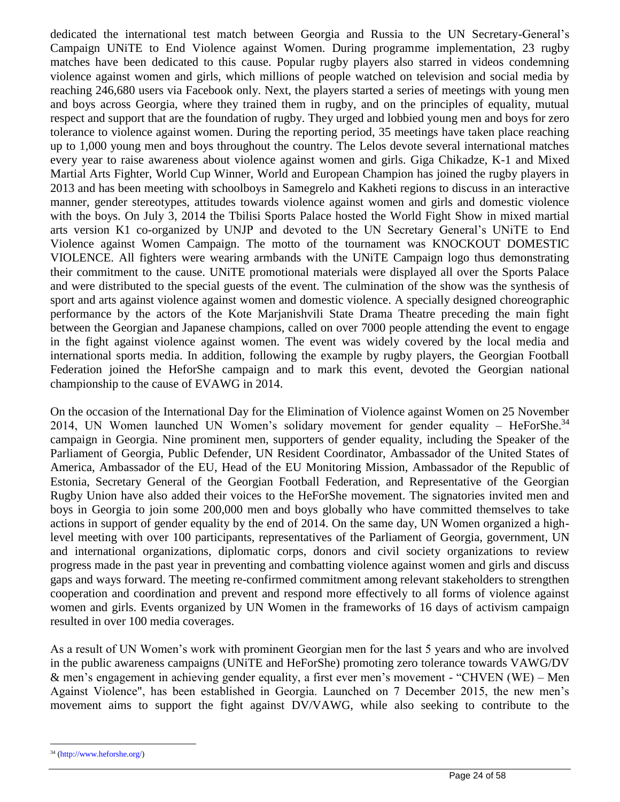dedicated the international test match between Georgia and Russia to the UN Secretary-General's Campaign UNiTE to End Violence against Women. During programme implementation, 23 rugby matches have been dedicated to this cause. Popular rugby players also starred in videos condemning violence against women and girls, which millions of people watched on television and social media by reaching 246,680 users via Facebook only. Next, the players started a series of meetings with young men and boys across Georgia, where they trained them in rugby, and on the principles of equality, mutual respect and support that are the foundation of rugby. They urged and lobbied young men and boys for zero tolerance to violence against women. During the reporting period, 35 meetings have taken place reaching up to 1,000 young men and boys throughout the country. The Lelos devote several international matches every year to raise awareness about violence against women and girls. Giga Chikadze, K-1 and Mixed Martial Arts Fighter, World Cup Winner, World and European Champion has joined the rugby players in 2013 and has been meeting with schoolboys in Samegrelo and Kakheti regions to discuss in an interactive manner, gender stereotypes, attitudes towards violence against women and girls and domestic violence with the boys. On July 3, 2014 the Tbilisi Sports Palace hosted the World Fight Show in mixed martial arts version K1 co-organized by UNJP and devoted to the UN Secretary General's UNiTE to End Violence against Women Campaign. The motto of the tournament was KNOCKOUT DOMESTIC VIOLENCE. All fighters were wearing armbands with the UNiTE Campaign logo thus demonstrating their commitment to the cause. UNiTE promotional materials were displayed all over the Sports Palace and were distributed to the special guests of the event. The culmination of the show was the synthesis of sport and arts against violence against women and domestic violence. A specially designed choreographic performance by the actors of the Kote Marjanishvili State Drama Theatre preceding the main fight between the Georgian and Japanese champions, called on over 7000 people attending the event to engage in the fight against violence against women. The event was widely covered by the local media and international sports media. In addition, following the example by rugby players, the Georgian Football Federation joined the HeforShe campaign and to mark this event, devoted the Georgian national championship to the cause of EVAWG in 2014.

On the occasion of the International Day for the Elimination of Violence against Women on 25 November 2014, UN Women launched UN Women's solidary movement for gender equality – HeForShe. $34$ campaign in Georgia. Nine prominent men, supporters of gender equality, including the Speaker of the Parliament of Georgia, Public Defender, UN Resident Coordinator, Ambassador of the United States of America, Ambassador of the EU, Head of the EU Monitoring Mission, Ambassador of the Republic of Estonia, Secretary General of the Georgian Football Federation, and Representative of the Georgian Rugby Union have also added their voices to the HeForShe movement. The signatories invited men and boys in Georgia to join some 200,000 men and boys globally who have committed themselves to take actions in support of gender equality by the end of 2014. On the same day, UN Women organized a highlevel meeting with over 100 participants, representatives of the Parliament of Georgia, government, UN and international organizations, diplomatic corps, donors and civil society organizations to review progress made in the past year in preventing and combatting violence against women and girls and discuss gaps and ways forward. The meeting re-confirmed commitment among relevant stakeholders to strengthen cooperation and coordination and prevent and respond more effectively to all forms of violence against women and girls. Events organized by UN Women in the frameworks of 16 days of activism campaign resulted in over 100 media coverages.

As a result of UN Women's work with prominent Georgian men for the last 5 years and who are involved in the public awareness campaigns (UNiTE and HeForShe) promoting zero tolerance towards VAWG/DV & men's engagement in achieving gender equality, a first ever men's movement - "CHVEN (WE) – Men Against Violence", has been established in Georgia. Launched on 7 December 2015, the new men's movement aims to support the fight against DV/VAWG, while also seeking to contribute to the

<sup>34</sup> (http://www.heforshe.org/)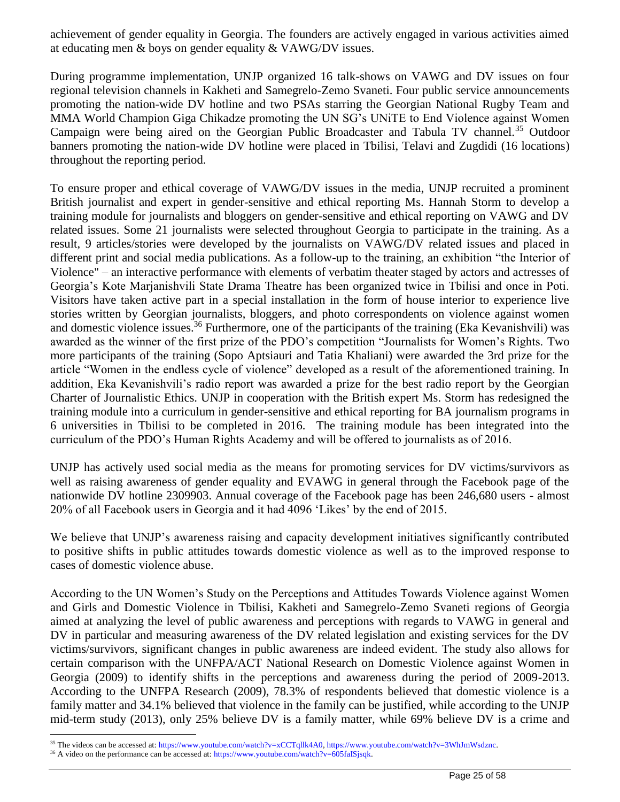achievement of gender equality in Georgia. The founders are actively engaged in various activities aimed at educating men & boys on gender equality & VAWG/DV issues.

During programme implementation, UNJP organized 16 talk-shows on VAWG and DV issues on four regional television channels in Kakheti and Samegrelo-Zemo Svaneti. Four public service announcements promoting the nation-wide DV hotline and two PSAs starring the Georgian National Rugby Team and MMA World Champion Giga Chikadze promoting the UN SG's UNiTE to End Violence against Women Campaign were being aired on the Georgian Public Broadcaster and Tabula TV channel.<sup>35</sup> Outdoor banners promoting the nation-wide DV hotline were placed in Tbilisi, Telavi and Zugdidi (16 locations) throughout the reporting period.

To ensure proper and ethical coverage of VAWG/DV issues in the media, UNJP recruited a prominent British journalist and expert in gender-sensitive and ethical reporting Ms. Hannah Storm to develop a training module for journalists and bloggers on gender-sensitive and ethical reporting on VAWG and DV related issues. Some 21 journalists were selected throughout Georgia to participate in the training. As a result, 9 articles/stories were developed by the journalists on VAWG/DV related issues and placed in different print and social media publications. As a follow-up to the training, an exhibition "the Interior of Violence" – an interactive performance with elements of verbatim theater staged by actors and actresses of Georgia's Kote Marjanishvili State Drama Theatre has been organized twice in Tbilisi and once in Poti. Visitors have taken active part in a special installation in the form of house interior to experience live stories written by Georgian journalists, bloggers, and photo correspondents on violence against women and domestic violence issues.<sup>36</sup> Furthermore, one of the participants of the training (Eka Kevanishvili) was awarded as the winner of the first prize of the PDO's competition "Journalists for Women's Rights. Two more participants of the training (Sopo Aptsiauri and Tatia Khaliani) were awarded the 3rd prize for the article "Women in the endless cycle of violence" developed as a result of the aforementioned training. In addition, Eka Kevanishvili's radio report was awarded a prize for the best radio report by the Georgian Charter of Journalistic Ethics. UNJP in cooperation with the British expert Ms. Storm has redesigned the training module into a curriculum in gender-sensitive and ethical reporting for BA journalism programs in 6 universities in Tbilisi to be completed in 2016. The training module has been integrated into the curriculum of the PDO's Human Rights Academy and will be offered to journalists as of 2016.

UNJP has actively used social media as the means for promoting services for DV victims/survivors as well as raising awareness of gender equality and EVAWG in general through the Facebook page of the nationwide DV hotline 2309903. Annual coverage of the Facebook page has been 246,680 users - almost 20% of all Facebook users in Georgia and it had 4096 'Likes' by the end of 2015.

We believe that UNJP's awareness raising and capacity development initiatives significantly contributed to positive shifts in public attitudes towards domestic violence as well as to the improved response to cases of domestic violence abuse.

According to the UN Women's Study on the Perceptions and Attitudes Towards Violence against Women and Girls and Domestic Violence in Tbilisi, Kakheti and Samegrelo-Zemo Svaneti regions of Georgia aimed at analyzing the level of public awareness and perceptions with regards to VAWG in general and DV in particular and measuring awareness of the DV related legislation and existing services for the DV victims/survivors, significant changes in public awareness are indeed evident. The study also allows for certain comparison with the UNFPA/ACT National Research on Domestic Violence against Women in Georgia (2009) to identify shifts in the perceptions and awareness during the period of 2009-2013. According to the UNFPA Research (2009), 78.3% of respondents believed that domestic violence is a family matter and 34.1% believed that violence in the family can be justified, while according to the UNJP mid-term study (2013), only 25% believe DV is a family matter, while 69% believe DV is a crime and

 $\overline{a}$ <sup>35</sup> The videos can be accessed at: https://www.youtube.com/watch?v=xCCTqllk4A0, https://www.youtube.com/watch?v=3WhJmWsdznc.

<sup>&</sup>lt;sup>36</sup> A video on the performance can be accessed at: https://www.youtube.com/watch?v=605faISjsqk.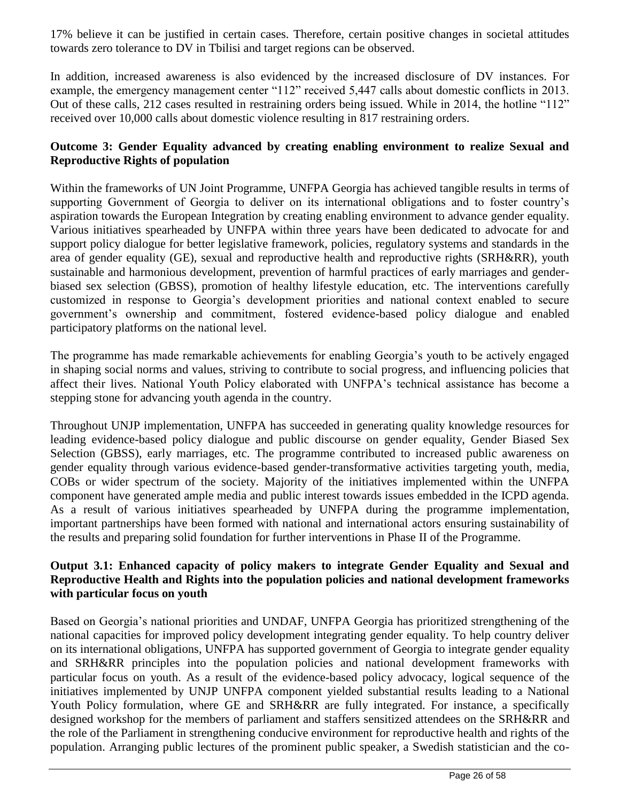17% believe it can be justified in certain cases. Therefore, certain positive changes in societal attitudes towards zero tolerance to DV in Tbilisi and target regions can be observed.

In addition, increased awareness is also evidenced by the increased disclosure of DV instances. For example, the emergency management center "112" received 5,447 calls about domestic conflicts in 2013. Out of these calls, 212 cases resulted in restraining orders being issued. While in 2014, the hotline "112" received over 10,000 calls about domestic violence resulting in 817 restraining orders.

#### **Outcome 3: Gender Equality advanced by creating enabling environment to realize Sexual and Reproductive Rights of population**

Within the frameworks of UN Joint Programme, UNFPA Georgia has achieved tangible results in terms of supporting Government of Georgia to deliver on its international obligations and to foster country's aspiration towards the European Integration by creating enabling environment to advance gender equality. Various initiatives spearheaded by UNFPA within three years have been dedicated to advocate for and support policy dialogue for better legislative framework, policies, regulatory systems and standards in the area of gender equality (GE), sexual and reproductive health and reproductive rights (SRH&RR), youth sustainable and harmonious development, prevention of harmful practices of early marriages and genderbiased sex selection (GBSS), promotion of healthy lifestyle education, etc. The interventions carefully customized in response to Georgia's development priorities and national context enabled to secure government's ownership and commitment, fostered evidence-based policy dialogue and enabled participatory platforms on the national level.

The programme has made remarkable achievements for enabling Georgia's youth to be actively engaged in shaping social norms and values, striving to contribute to social progress, and influencing policies that affect their lives. National Youth Policy elaborated with UNFPA's technical assistance has become a stepping stone for advancing youth agenda in the country.

Throughout UNJP implementation, UNFPA has succeeded in generating quality knowledge resources for leading evidence-based policy dialogue and public discourse on gender equality, Gender Biased Sex Selection (GBSS), early marriages, etc. The programme contributed to increased public awareness on gender equality through various evidence-based gender-transformative activities targeting youth, media, COBs or wider spectrum of the society. Majority of the initiatives implemented within the UNFPA component have generated ample media and public interest towards issues embedded in the ICPD agenda. As a result of various initiatives spearheaded by UNFPA during the programme implementation, important partnerships have been formed with national and international actors ensuring sustainability of the results and preparing solid foundation for further interventions in Phase II of the Programme.

#### **Output 3.1: Enhanced capacity of policy makers to integrate Gender Equality and Sexual and Reproductive Health and Rights into the population policies and national development frameworks with particular focus on youth**

Based on Georgia's national priorities and UNDAF, UNFPA Georgia has prioritized strengthening of the national capacities for improved policy development integrating gender equality. To help country deliver on its international obligations, UNFPA has supported government of Georgia to integrate gender equality and SRH&RR principles into the population policies and national development frameworks with particular focus on youth. As a result of the evidence-based policy advocacy, logical sequence of the initiatives implemented by UNJP UNFPA component yielded substantial results leading to a National Youth Policy formulation, where GE and SRH&RR are fully integrated. For instance, a specifically designed workshop for the members of parliament and staffers sensitized attendees on the SRH&RR and the role of the Parliament in strengthening conducive environment for reproductive health and rights of the population. Arranging public lectures of the prominent public speaker, a Swedish statistician and the co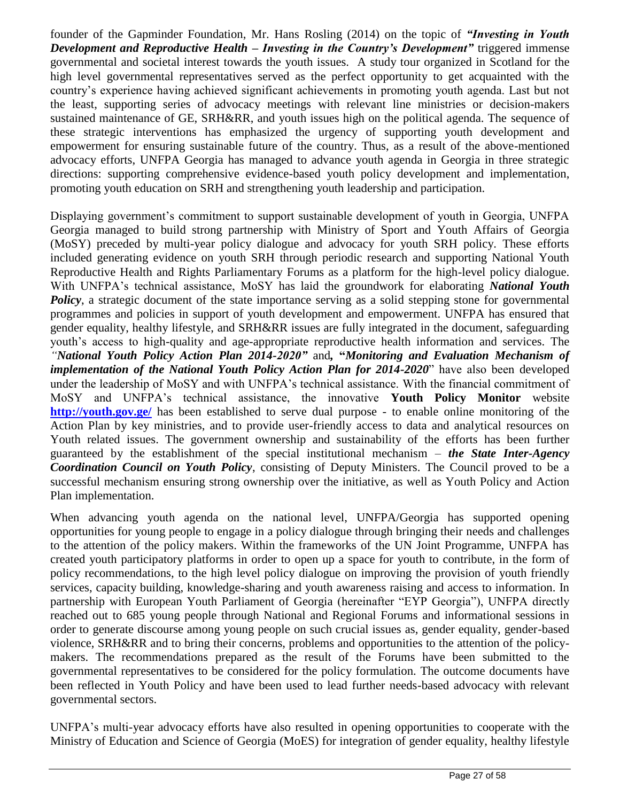founder of the Gapminder Foundation, Mr. Hans Rosling (2014) on the topic of *"Investing in Youth Development and Reproductive Health – Investing in the Country's Development"* triggered immense governmental and societal interest towards the youth issues. A study tour organized in Scotland for the high level governmental representatives served as the perfect opportunity to get acquainted with the country's experience having achieved significant achievements in promoting youth agenda. Last but not the least, supporting series of advocacy meetings with relevant line ministries or decision-makers sustained maintenance of GE, SRH&RR, and youth issues high on the political agenda. The sequence of these strategic interventions has emphasized the urgency of supporting youth development and empowerment for ensuring sustainable future of the country. Thus, as a result of the above-mentioned advocacy efforts, UNFPA Georgia has managed to advance youth agenda in Georgia in three strategic directions: supporting comprehensive evidence-based youth policy development and implementation, promoting youth education on SRH and strengthening youth leadership and participation.

Displaying government's commitment to support sustainable development of youth in Georgia, UNFPA Georgia managed to build strong partnership with Ministry of Sport and Youth Affairs of Georgia (MoSY) preceded by multi-year policy dialogue and advocacy for youth SRH policy. These efforts included generating evidence on youth SRH through periodic research and supporting National Youth Reproductive Health and Rights Parliamentary Forums as a platform for the high-level policy dialogue. With UNFPA's technical assistance, MoSY has laid the groundwork for elaborating *National Youth*  **Policy**, a strategic document of the state importance serving as a solid stepping stone for governmental programmes and policies in support of youth development and empowerment. UNFPA has ensured that gender equality, healthy lifestyle, and SRH&RR issues are fully integrated in the document, safeguarding youth's access to high-quality and age-appropriate reproductive health information and services. The *"National Youth Policy Action Plan 2014-2020"* and*,* **"***Monitoring and Evaluation Mechanism of implementation of the National Youth Policy Action Plan for 2014-2020*" have also been developed under the leadership of MoSY and with UNFPA's technical assistance. With the financial commitment of MoSY and UNFPA's technical assistance, the innovative **Youth Policy Monitor** website **<http://youth.gov.ge/>** has been established to serve dual purpose - to enable online monitoring of the Action Plan by key ministries, and to provide user-friendly access to data and analytical resources on Youth related issues. The government ownership and sustainability of the efforts has been further guaranteed by the establishment of the special institutional mechanism – *the State Inter-Agency Coordination Council on Youth Policy*, consisting of Deputy Ministers. The Council proved to be a successful mechanism ensuring strong ownership over the initiative, as well as Youth Policy and Action Plan implementation.

When advancing youth agenda on the national level, UNFPA/Georgia has supported opening opportunities for young people to engage in a policy dialogue through bringing their needs and challenges to the attention of the policy makers. Within the frameworks of the UN Joint Programme, UNFPA has created youth participatory platforms in order to open up a space for youth to contribute, in the form of policy recommendations, to the high level policy dialogue on improving the provision of youth friendly services, capacity building, knowledge-sharing and youth awareness raising and access to information. In partnership with European Youth Parliament of Georgia (hereinafter "EYP Georgia"), UNFPA directly reached out to 685 young people through National and Regional Forums and informational sessions in order to generate discourse among young people on such crucial issues as, gender equality, gender-based violence, SRH&RR and to bring their concerns, problems and opportunities to the attention of the policymakers. The recommendations prepared as the result of the Forums have been submitted to the governmental representatives to be considered for the policy formulation. The outcome documents have been reflected in Youth Policy and have been used to lead further needs-based advocacy with relevant governmental sectors.

UNFPA's multi-year advocacy efforts have also resulted in opening opportunities to cooperate with the Ministry of Education and Science of Georgia (MoES) for integration of gender equality, healthy lifestyle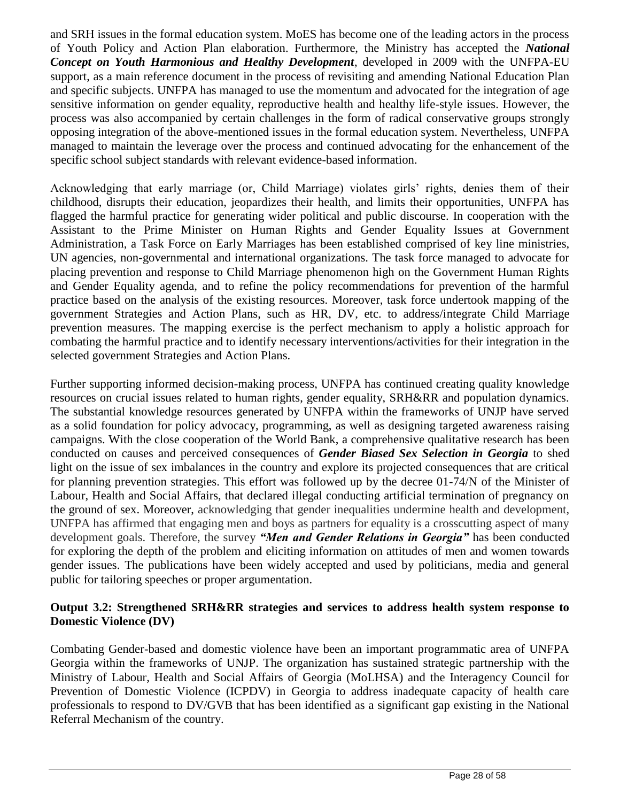and SRH issues in the formal education system. MoES has become one of the leading actors in the process of Youth Policy and Action Plan elaboration. Furthermore, the Ministry has accepted the *National Concept on Youth Harmonious and Healthy Development*, developed in 2009 with the UNFPA-EU support, as a main reference document in the process of revisiting and amending National Education Plan and specific subjects. UNFPA has managed to use the momentum and advocated for the integration of age sensitive information on gender equality, reproductive health and healthy life-style issues. However, the process was also accompanied by certain challenges in the form of radical conservative groups strongly opposing integration of the above-mentioned issues in the formal education system. Nevertheless, UNFPA managed to maintain the leverage over the process and continued advocating for the enhancement of the specific school subject standards with relevant evidence-based information.

Acknowledging that early marriage (or, Child Marriage) violates girls' rights, denies them of their childhood, disrupts their education, jeopardizes their health, and limits their opportunities, UNFPA has flagged the harmful practice for generating wider political and public discourse. In cooperation with the Assistant to the Prime Minister on Human Rights and Gender Equality Issues at Government Administration, a Task Force on Early Marriages has been established comprised of key line ministries, UN agencies, non-governmental and international organizations. The task force managed to advocate for placing prevention and response to Child Marriage phenomenon high on the Government Human Rights and Gender Equality agenda, and to refine the policy recommendations for prevention of the harmful practice based on the analysis of the existing resources. Moreover, task force undertook mapping of the government Strategies and Action Plans, such as HR, DV, etc. to address/integrate Child Marriage prevention measures. The mapping exercise is the perfect mechanism to apply a holistic approach for combating the harmful practice and to identify necessary interventions/activities for their integration in the selected government Strategies and Action Plans.

Further supporting informed decision-making process, UNFPA has continued creating quality knowledge resources on crucial issues related to human rights, gender equality, SRH&RR and population dynamics. The substantial knowledge resources generated by UNFPA within the frameworks of UNJP have served as a solid foundation for policy advocacy, programming, as well as designing targeted awareness raising campaigns. With the close cooperation of the World Bank, a comprehensive qualitative research has been conducted on causes and perceived consequences of *Gender Biased Sex Selection in Georgia* to shed light on the issue of sex imbalances in the country and explore its projected consequences that are critical for planning prevention strategies. This effort was followed up by the decree 01-74/N of the Minister of Labour, Health and Social Affairs, that declared illegal conducting artificial termination of pregnancy on the ground of sex. Moreover, acknowledging that gender inequalities undermine health and development, UNFPA has affirmed that engaging men and boys as partners for equality is a crosscutting aspect of many development goals. Therefore, the survey *"Men and Gender Relations in Georgia"* has been conducted for exploring the depth of the problem and eliciting information on attitudes of men and women towards gender issues. The publications have been widely accepted and used by politicians, media and general public for tailoring speeches or proper argumentation.

#### **Output 3.2: Strengthened SRH&RR strategies and services to address health system response to Domestic Violence (DV)**

Combating Gender-based and domestic violence have been an important programmatic area of UNFPA Georgia within the frameworks of UNJP. The organization has sustained strategic partnership with the Ministry of Labour, Health and Social Affairs of Georgia (MoLHSA) and the Interagency Council for Prevention of Domestic Violence (ICPDV) in Georgia to address inadequate capacity of health care professionals to respond to DV/GVB that has been identified as a significant gap existing in the National Referral Mechanism of the country.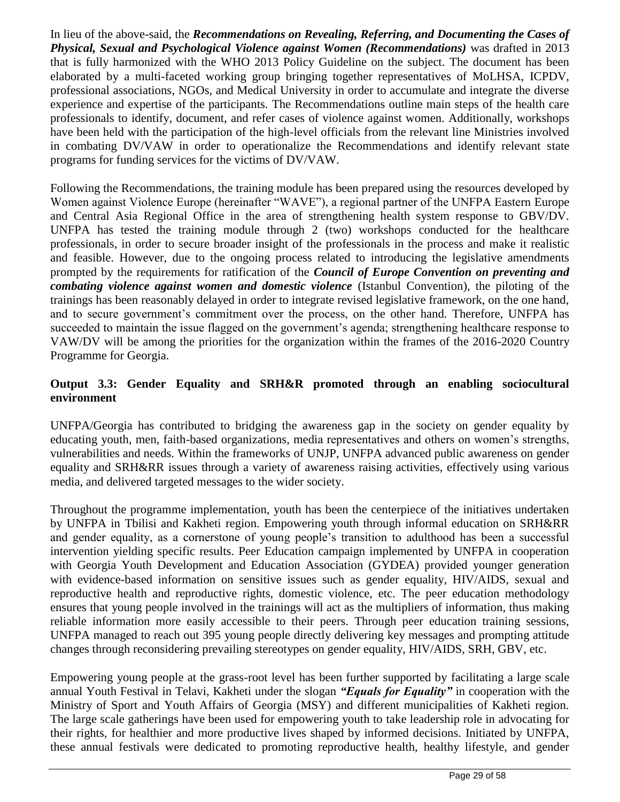In lieu of the above-said, the *Recommendations on Revealing, Referring, and Documenting the Cases of Physical, Sexual and Psychological Violence against Women (Recommendations)* was drafted in 2013 that is fully harmonized with the WHO 2013 Policy Guideline on the subject. The document has been elaborated by a multi-faceted working group bringing together representatives of MoLHSA, ICPDV, professional associations, NGOs, and Medical University in order to accumulate and integrate the diverse experience and expertise of the participants. The Recommendations outline main steps of the health care professionals to identify, document, and refer cases of violence against women. Additionally, workshops have been held with the participation of the high-level officials from the relevant line Ministries involved in combating DV/VAW in order to operationalize the Recommendations and identify relevant state programs for funding services for the victims of DV/VAW.

Following the Recommendations, the training module has been prepared using the resources developed by Women against Violence Europe (hereinafter "WAVE"), a regional partner of the UNFPA Eastern Europe and Central Asia Regional Office in the area of strengthening health system response to GBV/DV. UNFPA has tested the training module through 2 (two) workshops conducted for the healthcare professionals, in order to secure broader insight of the professionals in the process and make it realistic and feasible. However, due to the ongoing process related to introducing the legislative amendments prompted by the requirements for ratification of the *Council of Europe Convention on preventing and combating violence against women and domestic violence* (Istanbul Convention), the piloting of the trainings has been reasonably delayed in order to integrate revised legislative framework, on the one hand, and to secure government's commitment over the process, on the other hand. Therefore, UNFPA has succeeded to maintain the issue flagged on the government's agenda; strengthening healthcare response to VAW/DV will be among the priorities for the organization within the frames of the 2016-2020 Country Programme for Georgia.

### **Output 3.3: Gender Equality and SRH&R promoted through an enabling sociocultural environment**

UNFPA/Georgia has contributed to bridging the awareness gap in the society on gender equality by educating youth, men, faith-based organizations, media representatives and others on women's strengths, vulnerabilities and needs. Within the frameworks of UNJP, UNFPA advanced public awareness on gender equality and SRH&RR issues through a variety of awareness raising activities, effectively using various media, and delivered targeted messages to the wider society.

Throughout the programme implementation, youth has been the centerpiece of the initiatives undertaken by UNFPA in Tbilisi and Kakheti region. Empowering youth through informal education on SRH&RR and gender equality, as a cornerstone of young people's transition to adulthood has been a successful intervention yielding specific results. Peer Education campaign implemented by UNFPA in cooperation with Georgia Youth Development and Education Association (GYDEA) provided younger generation with evidence-based information on sensitive issues such as gender equality, HIV/AIDS, sexual and reproductive health and reproductive rights, domestic violence, etc. The peer education methodology ensures that young people involved in the trainings will act as the multipliers of information, thus making reliable information more easily accessible to their peers. Through peer education training sessions, UNFPA managed to reach out 395 young people directly delivering key messages and prompting attitude changes through reconsidering prevailing stereotypes on gender equality, HIV/AIDS, SRH, GBV, etc.

Empowering young people at the grass-root level has been further supported by facilitating a large scale annual Youth Festival in Telavi, Kakheti under the slogan *"Equals for Equality"* in cooperation with the Ministry of Sport and Youth Affairs of Georgia (MSY) and different municipalities of Kakheti region. The large scale gatherings have been used for empowering youth to take leadership role in advocating for their rights, for healthier and more productive lives shaped by informed decisions. Initiated by UNFPA, these annual festivals were dedicated to promoting reproductive health, healthy lifestyle, and gender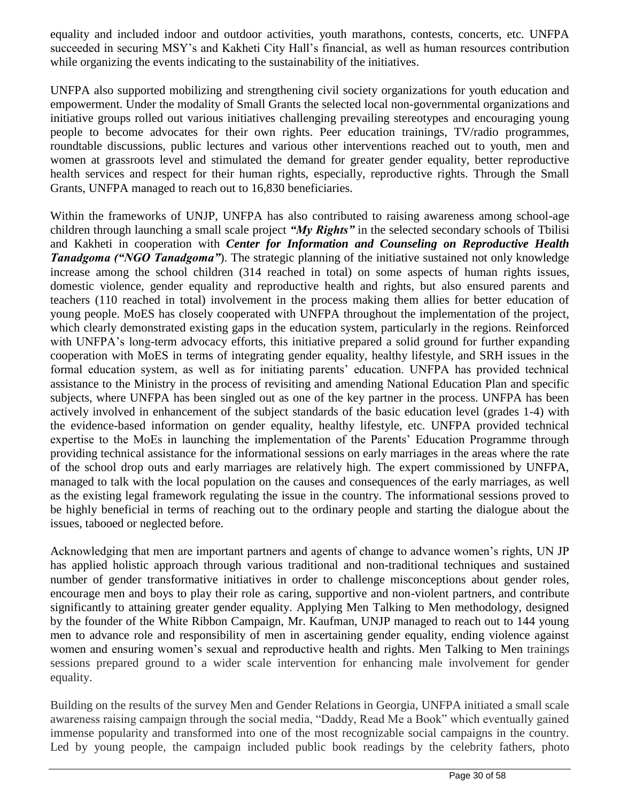equality and included indoor and outdoor activities, youth marathons, contests, concerts, etc. UNFPA succeeded in securing MSY's and Kakheti City Hall's financial, as well as human resources contribution while organizing the events indicating to the sustainability of the initiatives.

UNFPA also supported mobilizing and strengthening civil society organizations for youth education and empowerment. Under the modality of Small Grants the selected local non-governmental organizations and initiative groups rolled out various initiatives challenging prevailing stereotypes and encouraging young people to become advocates for their own rights. Peer education trainings, TV/radio programmes, roundtable discussions, public lectures and various other interventions reached out to youth, men and women at grassroots level and stimulated the demand for greater gender equality, better reproductive health services and respect for their human rights, especially, reproductive rights. Through the Small Grants, UNFPA managed to reach out to 16,830 beneficiaries.

Within the frameworks of UNJP, UNFPA has also contributed to raising awareness among school-age children through launching a small scale project *"My Rights"* in the selected secondary schools of Tbilisi and Kakheti in cooperation with *Center for Information and Counseling on Reproductive Health Tanadgoma ("NGO Tanadgoma"*). The strategic planning of the initiative sustained not only knowledge increase among the school children (314 reached in total) on some aspects of human rights issues, domestic violence, gender equality and reproductive health and rights, but also ensured parents and teachers (110 reached in total) involvement in the process making them allies for better education of young people. MoES has closely cooperated with UNFPA throughout the implementation of the project, which clearly demonstrated existing gaps in the education system, particularly in the regions. Reinforced with UNFPA's long-term advocacy efforts, this initiative prepared a solid ground for further expanding cooperation with MoES in terms of integrating gender equality, healthy lifestyle, and SRH issues in the formal education system, as well as for initiating parents' education. UNFPA has provided technical assistance to the Ministry in the process of revisiting and amending National Education Plan and specific subjects, where UNFPA has been singled out as one of the key partner in the process. UNFPA has been actively involved in enhancement of the subject standards of the basic education level (grades 1-4) with the evidence-based information on gender equality, healthy lifestyle, etc. UNFPA provided technical expertise to the MoEs in launching the implementation of the Parents' Education Programme through providing technical assistance for the informational sessions on early marriages in the areas where the rate of the school drop outs and early marriages are relatively high. The expert commissioned by UNFPA, managed to talk with the local population on the causes and consequences of the early marriages, as well as the existing legal framework regulating the issue in the country. The informational sessions proved to be highly beneficial in terms of reaching out to the ordinary people and starting the dialogue about the issues, tabooed or neglected before.

Acknowledging that men are important partners and agents of change to advance women's rights, UN JP has applied holistic approach through various traditional and non-traditional techniques and sustained number of gender transformative initiatives in order to challenge misconceptions about gender roles, encourage men and boys to play their role as caring, supportive and non-violent partners, and contribute significantly to attaining greater gender equality. Applying Men Talking to Men methodology, designed by the founder of the White Ribbon Campaign, Mr. Kaufman, UNJP managed to reach out to 144 young men to advance role and responsibility of men in ascertaining gender equality, ending violence against women and ensuring women's sexual and reproductive health and rights. Men Talking to Men trainings sessions prepared ground to a wider scale intervention for enhancing male involvement for gender equality.

Building on the results of the survey Men and Gender Relations in Georgia, UNFPA initiated a small scale awareness raising campaign through the social media, "Daddy, Read Me a Book" which eventually gained immense popularity and transformed into one of the most recognizable social campaigns in the country. Led by young people, the campaign included public book readings by the celebrity fathers, photo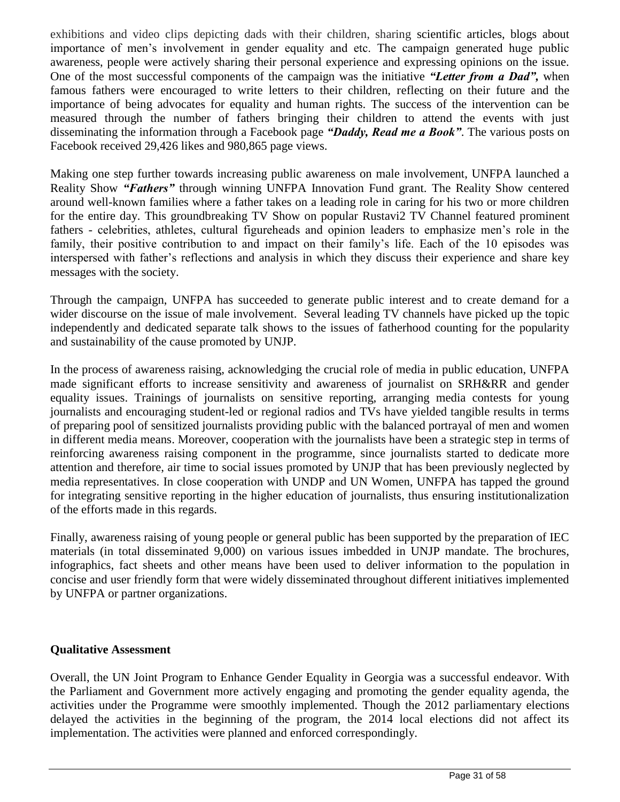exhibitions and video clips depicting dads with their children, sharing scientific articles, blogs about importance of men's involvement in gender equality and etc. The campaign generated huge public awareness, people were actively sharing their personal experience and expressing opinions on the issue. One of the most successful components of the campaign was the initiative *"Letter from a Dad",* when famous fathers were encouraged to write letters to their children, reflecting on their future and the importance of being advocates for equality and human rights. The success of the intervention can be measured through the number of fathers bringing their children to attend the events with just disseminating the information through a Facebook page *"Daddy, Read me a Book"*. The various posts on Facebook received 29,426 likes and 980,865 page views.

Making one step further towards increasing public awareness on male involvement, UNFPA launched a Reality Show *"Fathers"* through winning UNFPA Innovation Fund grant. The Reality Show centered around well-known families where a father takes on a leading role in caring for his two or more children for the entire day. This groundbreaking TV Show on popular Rustavi2 TV Channel featured prominent fathers - celebrities, athletes, cultural figureheads and opinion leaders to emphasize men's role in the family, their positive contribution to and impact on their family's life. Each of the 10 episodes was interspersed with father's reflections and analysis in which they discuss their experience and share key messages with the society.

Through the campaign, UNFPA has succeeded to generate public interest and to create demand for a wider discourse on the issue of male involvement. Several leading TV channels have picked up the topic independently and dedicated separate talk shows to the issues of fatherhood counting for the popularity and sustainability of the cause promoted by UNJP.

In the process of awareness raising, acknowledging the crucial role of media in public education, UNFPA made significant efforts to increase sensitivity and awareness of journalist on SRH&RR and gender equality issues. Trainings of journalists on sensitive reporting, arranging media contests for young journalists and encouraging student-led or regional radios and TVs have yielded tangible results in terms of preparing pool of sensitized journalists providing public with the balanced portrayal of men and women in different media means. Moreover, cooperation with the journalists have been a strategic step in terms of reinforcing awareness raising component in the programme, since journalists started to dedicate more attention and therefore, air time to social issues promoted by UNJP that has been previously neglected by media representatives. In close cooperation with UNDP and UN Women, UNFPA has tapped the ground for integrating sensitive reporting in the higher education of journalists, thus ensuring institutionalization of the efforts made in this regards.

Finally, awareness raising of young people or general public has been supported by the preparation of IEC materials (in total disseminated 9,000) on various issues imbedded in UNJP mandate. The brochures, infographics, fact sheets and other means have been used to deliver information to the population in concise and user friendly form that were widely disseminated throughout different initiatives implemented by UNFPA or partner organizations.

#### **Qualitative Assessment**

Overall, the UN Joint Program to Enhance Gender Equality in Georgia was a successful endeavor. With the Parliament and Government more actively engaging and promoting the gender equality agenda, the activities under the Programme were smoothly implemented. Though the 2012 parliamentary elections delayed the activities in the beginning of the program, the 2014 local elections did not affect its implementation. The activities were planned and enforced correspondingly.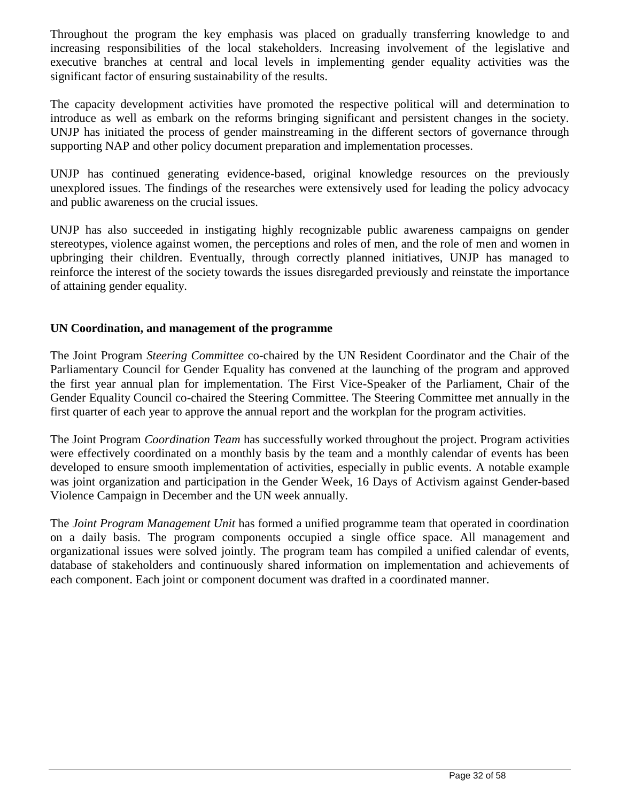Throughout the program the key emphasis was placed on gradually transferring knowledge to and increasing responsibilities of the local stakeholders. Increasing involvement of the legislative and executive branches at central and local levels in implementing gender equality activities was the significant factor of ensuring sustainability of the results.

The capacity development activities have promoted the respective political will and determination to introduce as well as embark on the reforms bringing significant and persistent changes in the society. UNJP has initiated the process of gender mainstreaming in the different sectors of governance through supporting NAP and other policy document preparation and implementation processes.

UNJP has continued generating evidence-based, original knowledge resources on the previously unexplored issues. The findings of the researches were extensively used for leading the policy advocacy and public awareness on the crucial issues.

UNJP has also succeeded in instigating highly recognizable public awareness campaigns on gender stereotypes, violence against women, the perceptions and roles of men, and the role of men and women in upbringing their children. Eventually, through correctly planned initiatives, UNJP has managed to reinforce the interest of the society towards the issues disregarded previously and reinstate the importance of attaining gender equality.

#### **UN Coordination, and management of the programme**

The Joint Program *Steering Committee* co-chaired by the UN Resident Coordinator and the Chair of the Parliamentary Council for Gender Equality has convened at the launching of the program and approved the first year annual plan for implementation. The First Vice-Speaker of the Parliament, Chair of the Gender Equality Council co-chaired the Steering Committee. The Steering Committee met annually in the first quarter of each year to approve the annual report and the workplan for the program activities.

The Joint Program *Coordination Team* has successfully worked throughout the project. Program activities were effectively coordinated on a monthly basis by the team and a monthly calendar of events has been developed to ensure smooth implementation of activities, especially in public events. A notable example was joint organization and participation in the Gender Week, 16 Days of Activism against Gender-based Violence Campaign in December and the UN week annually.

The *Joint Program Management Unit* has formed a unified programme team that operated in coordination on a daily basis. The program components occupied a single office space. All management and organizational issues were solved jointly. The program team has compiled a unified calendar of events, database of stakeholders and continuously shared information on implementation and achievements of each component. Each joint or component document was drafted in a coordinated manner.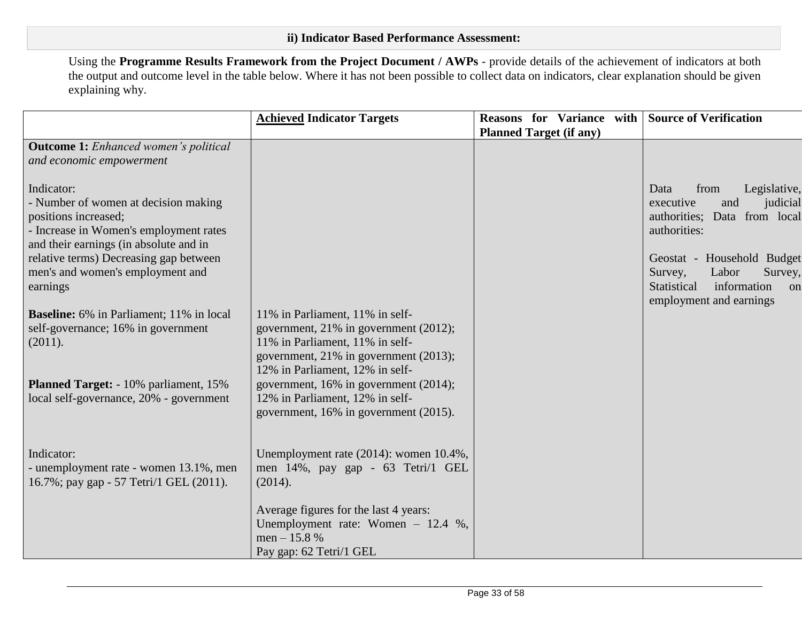Using the **Programme Results Framework from the Project Document / AWPs** - provide details of the achievement of indicators at both the output and outcome level in the table below. Where it has not been possible to collect data on indicators, clear explanation should be given explaining why.

|                                                                                                                                                                | <b>Achieved Indicator Targets</b>                                                      | <b>Reasons</b> for Variance with Source of Verification |                                                                                                                          |
|----------------------------------------------------------------------------------------------------------------------------------------------------------------|----------------------------------------------------------------------------------------|---------------------------------------------------------|--------------------------------------------------------------------------------------------------------------------------|
|                                                                                                                                                                |                                                                                        | <b>Planned Target (if any)</b>                          |                                                                                                                          |
| <b>Outcome 1:</b> Enhanced women's political<br>and economic empowerment                                                                                       |                                                                                        |                                                         |                                                                                                                          |
| Indicator:<br>- Number of women at decision making<br>positions increased;<br>- Increase in Women's employment rates<br>and their earnings (in absolute and in |                                                                                        |                                                         | from<br>Legislative,<br>Data<br>executive<br>judicial<br>and<br>authorities; Data from local<br>authorities:             |
| relative terms) Decreasing gap between<br>men's and women's employment and<br>earnings                                                                         |                                                                                        |                                                         | Geostat - Household Budget<br>Labor<br>Survey,<br>Survey,<br>Statistical<br>information<br>on<br>employment and earnings |
| <b>Baseline:</b> 6% in Parliament; 11% in local                                                                                                                | 11% in Parliament, 11% in self-                                                        |                                                         |                                                                                                                          |
| self-governance; 16% in government                                                                                                                             | government, 21% in government (2012);                                                  |                                                         |                                                                                                                          |
| (2011).                                                                                                                                                        | 11% in Parliament, 11% in self-<br>government, 21% in government (2013);               |                                                         |                                                                                                                          |
|                                                                                                                                                                | 12% in Parliament, 12% in self-                                                        |                                                         |                                                                                                                          |
| <b>Planned Target:</b> - 10% parliament, 15%                                                                                                                   | government, 16% in government (2014);                                                  |                                                         |                                                                                                                          |
| local self-governance, 20% - government                                                                                                                        | 12% in Parliament, 12% in self-                                                        |                                                         |                                                                                                                          |
|                                                                                                                                                                | government, 16% in government (2015).                                                  |                                                         |                                                                                                                          |
|                                                                                                                                                                |                                                                                        |                                                         |                                                                                                                          |
| Indicator:<br>- unemployment rate - women 13.1%, men<br>16.7%; pay gap - 57 Tetri/1 GEL (2011).                                                                | Unemployment rate (2014): women 10.4%,<br>men 14%, pay gap - 63 Tetri/1 GEL<br>(2014). |                                                         |                                                                                                                          |
|                                                                                                                                                                | Average figures for the last 4 years:                                                  |                                                         |                                                                                                                          |
|                                                                                                                                                                | Unemployment rate: Women - 12.4 %,                                                     |                                                         |                                                                                                                          |
|                                                                                                                                                                | men $-15.8%$                                                                           |                                                         |                                                                                                                          |
|                                                                                                                                                                | Pay gap: 62 Tetri/1 GEL                                                                |                                                         |                                                                                                                          |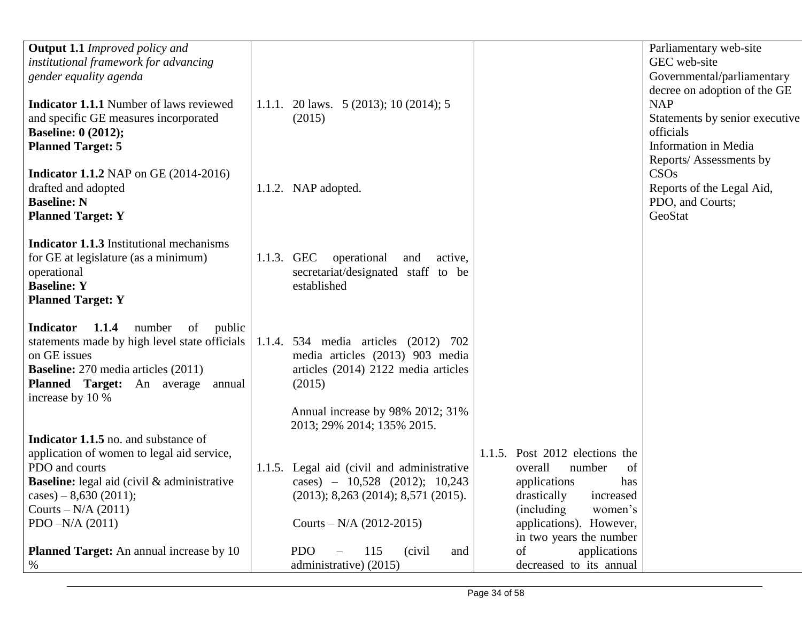| <b>Output 1.1</b> Improved policy and<br>institutional framework for advancing<br>gender equality agenda                                                                                                                                    |                                                                                                                                                              |                                                                                                                                                                                                  | Parliamentary web-site<br>GEC web-site<br>Governmental/parliamentary<br>decree on adoption of the GE |
|---------------------------------------------------------------------------------------------------------------------------------------------------------------------------------------------------------------------------------------------|--------------------------------------------------------------------------------------------------------------------------------------------------------------|--------------------------------------------------------------------------------------------------------------------------------------------------------------------------------------------------|------------------------------------------------------------------------------------------------------|
| <b>Indicator 1.1.1</b> Number of laws reviewed<br>and specific GE measures incorporated<br><b>Baseline: 0 (2012);</b><br><b>Planned Target: 5</b>                                                                                           | 1.1.1. 20 laws. $5(2013)$ ; 10 (2014); 5<br>(2015)                                                                                                           |                                                                                                                                                                                                  | <b>NAP</b><br>Statements by senior executive<br>officials<br>Information in Media                    |
| <b>Indicator 1.1.2</b> NAP on GE $(2014-2016)$<br>drafted and adopted<br><b>Baseline: N</b><br><b>Planned Target: Y</b>                                                                                                                     | 1.1.2. NAP adopted.                                                                                                                                          |                                                                                                                                                                                                  | Reports/Assessments by<br>CSOs<br>Reports of the Legal Aid,<br>PDO, and Courts;<br>GeoStat           |
| <b>Indicator 1.1.3</b> Institutional mechanisms<br>for GE at legislature (as a minimum)<br>operational<br><b>Baseline: Y</b><br><b>Planned Target: Y</b>                                                                                    | 1.1.3. GEC operational<br>and<br>active,<br>secretariat/designated staff to be<br>established                                                                |                                                                                                                                                                                                  |                                                                                                      |
| number<br><b>Indicator</b><br>1.1.4<br>of<br>public<br>statements made by high level state officials  <br>on GE issues<br><b>Baseline:</b> 270 media articles (2011)<br>Planned Target: An average annual<br>increase by 10 %               | 1.1.4. 534 media articles (2012) 702<br>media articles (2013) 903 media<br>articles (2014) 2122 media articles<br>(2015)<br>Annual increase by 98% 2012; 31% |                                                                                                                                                                                                  |                                                                                                      |
|                                                                                                                                                                                                                                             | 2013; 29% 2014; 135% 2015.                                                                                                                                   |                                                                                                                                                                                                  |                                                                                                      |
| <b>Indicator 1.1.5</b> no. and substance of<br>application of women to legal aid service,<br>PDO and courts<br><b>Baseline:</b> legal aid (civil & administrative<br>cases) $-8,630(2011)$ ;<br>Courts – $N/A$ (2011)<br>$PDO - N/A (2011)$ | 1.1.5. Legal aid (civil and administrative<br>cases) $-10,528$ (2012); 10,243<br>(2013); 8,263 (2014); 8,571 (2015).<br>Courts – $N/A$ (2012-2015)           | 1.1.5. Post 2012 elections the<br>overall<br>number<br>of<br>applications<br>has<br>drastically increased<br><i>(including)</i><br>women's<br>applications). However,<br>in two years the number |                                                                                                      |
| <b>Planned Target:</b> An annual increase by 10<br>%                                                                                                                                                                                        | <b>PDO</b><br>115<br>(civil)<br>and<br>administrative) (2015)                                                                                                | applications<br>of<br>decreased to its annual                                                                                                                                                    |                                                                                                      |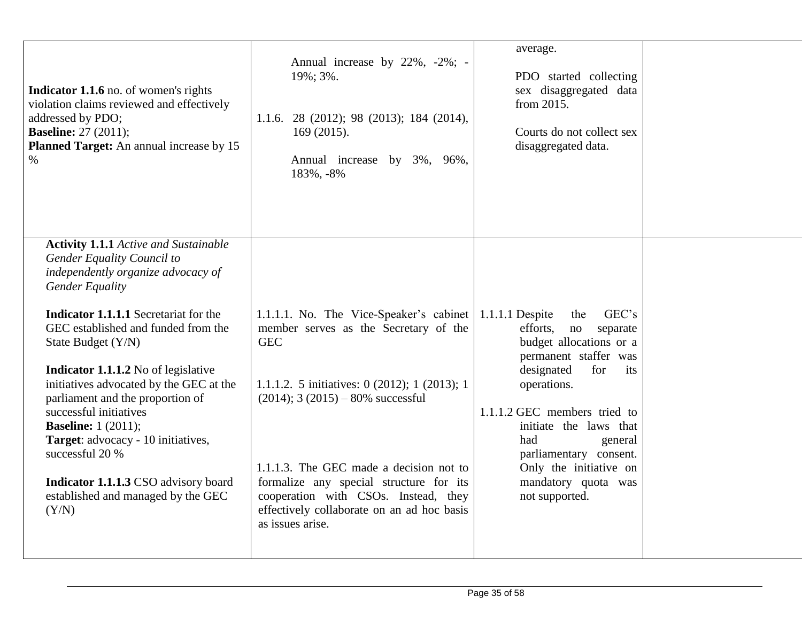| <b>Indicator 1.1.6</b> no. of women's rights                                                                                                                                                                                                                                                                                                                                                                                                                                                                                                                                                 | Annual increase by 22%, -2%; -                                                                                                                                                                                                                                                                                                                                                             | average.                                                                                                                                                                                                                                                                                                                              |  |
|----------------------------------------------------------------------------------------------------------------------------------------------------------------------------------------------------------------------------------------------------------------------------------------------------------------------------------------------------------------------------------------------------------------------------------------------------------------------------------------------------------------------------------------------------------------------------------------------|--------------------------------------------------------------------------------------------------------------------------------------------------------------------------------------------------------------------------------------------------------------------------------------------------------------------------------------------------------------------------------------------|---------------------------------------------------------------------------------------------------------------------------------------------------------------------------------------------------------------------------------------------------------------------------------------------------------------------------------------|--|
| violation claims reviewed and effectively                                                                                                                                                                                                                                                                                                                                                                                                                                                                                                                                                    | 19%; 3%.                                                                                                                                                                                                                                                                                                                                                                                   | PDO started collecting                                                                                                                                                                                                                                                                                                                |  |
| addressed by PDO;                                                                                                                                                                                                                                                                                                                                                                                                                                                                                                                                                                            | 1.1.6. 28 (2012); 98 (2013); 184 (2014),                                                                                                                                                                                                                                                                                                                                                   | sex disaggregated data                                                                                                                                                                                                                                                                                                                |  |
| <b>Baseline:</b> 27 (2011);                                                                                                                                                                                                                                                                                                                                                                                                                                                                                                                                                                  | 169 (2015).                                                                                                                                                                                                                                                                                                                                                                                | from 2015.                                                                                                                                                                                                                                                                                                                            |  |
| Planned Target: An annual increase by 15                                                                                                                                                                                                                                                                                                                                                                                                                                                                                                                                                     | Annual increase by 3%, 96%,                                                                                                                                                                                                                                                                                                                                                                | Courts do not collect sex                                                                                                                                                                                                                                                                                                             |  |
| $\%$                                                                                                                                                                                                                                                                                                                                                                                                                                                                                                                                                                                         | 183%, -8%                                                                                                                                                                                                                                                                                                                                                                                  | disaggregated data.                                                                                                                                                                                                                                                                                                                   |  |
| <b>Activity 1.1.1</b> Active and Sustainable<br>Gender Equality Council to<br>independently organize advocacy of<br><b>Gender Equality</b><br><b>Indicator 1.1.1.1</b> Secretariat for the<br>GEC established and funded from the<br>State Budget (Y/N)<br><b>Indicator 1.1.1.2</b> No of legislative<br>initiatives advocated by the GEC at the<br>parliament and the proportion of<br>successful initiatives<br><b>Baseline:</b> 1 (2011);<br>Target: advocacy - 10 initiatives,<br>successful 20 %<br>Indicator 1.1.1.3 CSO advisory board<br>established and managed by the GEC<br>(Y/N) | 1.1.1.1. No. The Vice-Speaker's cabinet<br>member serves as the Secretary of the<br><b>GEC</b><br>1.1.1.2. 5 initiatives: 0 (2012); 1 (2013); 1<br>$(2014)$ ; 3 $(2015) - 80\%$ successful<br>1.1.1.3. The GEC made a decision not to<br>formalize any special structure for its<br>cooperation with CSOs. Instead, they<br>effectively collaborate on an ad hoc basis<br>as issues arise. | GEC's<br>1.1.1.1 Despite<br>the<br>efforts,<br>separate<br>no<br>budget allocations or a<br>permanent staffer was<br>designated<br>for<br>its<br>operations.<br>1.1.1.2 GEC members tried to<br>initiate the laws that<br>had<br>general<br>parliamentary consent.<br>Only the initiative on<br>mandatory quota was<br>not supported. |  |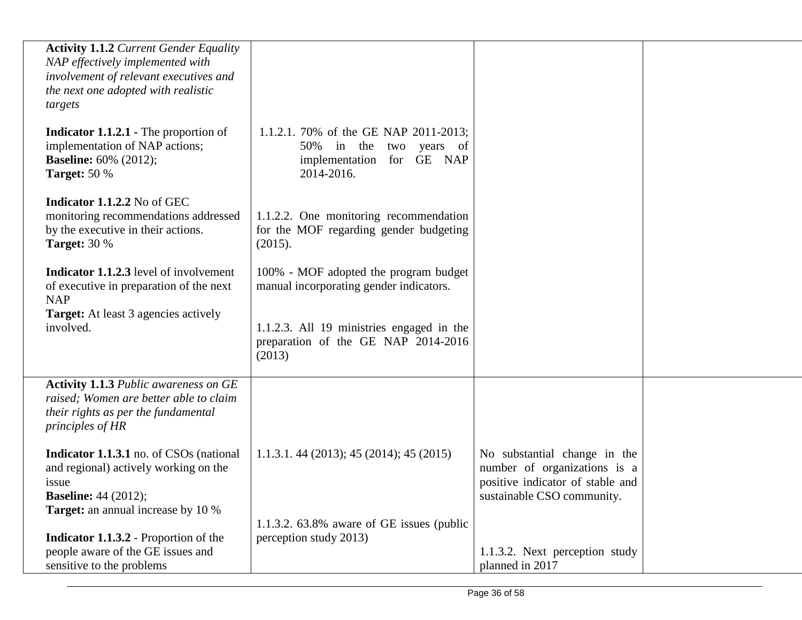| <b>Activity 1.1.2 Current Gender Equality</b><br>NAP effectively implemented with<br>involvement of relevant executives and<br>the next one adopted with realistic<br>targets |                                                                                                             |                                                                                                                                |  |
|-------------------------------------------------------------------------------------------------------------------------------------------------------------------------------|-------------------------------------------------------------------------------------------------------------|--------------------------------------------------------------------------------------------------------------------------------|--|
| <b>Indicator 1.1.2.1 - The proportion of</b><br>implementation of NAP actions;<br><b>Baseline:</b> 60% (2012);<br><b>Target: 50 %</b>                                         | 1.1.2.1. 70% of the GE NAP 2011-2013;<br>50% in the two years of<br>implementation for GE NAP<br>2014-2016. |                                                                                                                                |  |
| Indicator 1.1.2.2 No of GEC<br>monitoring recommendations addressed<br>by the executive in their actions.<br><b>Target: 30 %</b>                                              | 1.1.2.2. One monitoring recommendation<br>for the MOF regarding gender budgeting<br>(2015).                 |                                                                                                                                |  |
| <b>Indicator 1.1.2.3</b> level of involvement<br>of executive in preparation of the next<br><b>NAP</b>                                                                        | 100% - MOF adopted the program budget<br>manual incorporating gender indicators.                            |                                                                                                                                |  |
| <b>Target:</b> At least 3 agencies actively<br>involved.                                                                                                                      | 1.1.2.3. All 19 ministries engaged in the<br>preparation of the GE NAP 2014-2016<br>(2013)                  |                                                                                                                                |  |
| <b>Activity 1.1.3 Public awareness on GE</b><br>raised; Women are better able to claim<br>their rights as per the fundamental<br>principles of HR                             |                                                                                                             |                                                                                                                                |  |
| <b>Indicator 1.1.3.1</b> no. of CSOs (national<br>and regional) actively working on the<br>issue<br><b>Baseline:</b> 44 (2012);<br><b>Target:</b> an annual increase by 10 %  | 1.1.3.1. 44 (2013); 45 (2014); 45 (2015)                                                                    | No substantial change in the<br>number of organizations is a<br>positive indicator of stable and<br>sustainable CSO community. |  |
| <b>Indicator 1.1.3.2</b> - Proportion of the<br>people aware of the GE issues and                                                                                             | 1.1.3.2. $63.8\%$ aware of GE issues (public<br>perception study 2013)                                      | 1.1.3.2. Next perception study                                                                                                 |  |
| sensitive to the problems                                                                                                                                                     |                                                                                                             | planned in 2017                                                                                                                |  |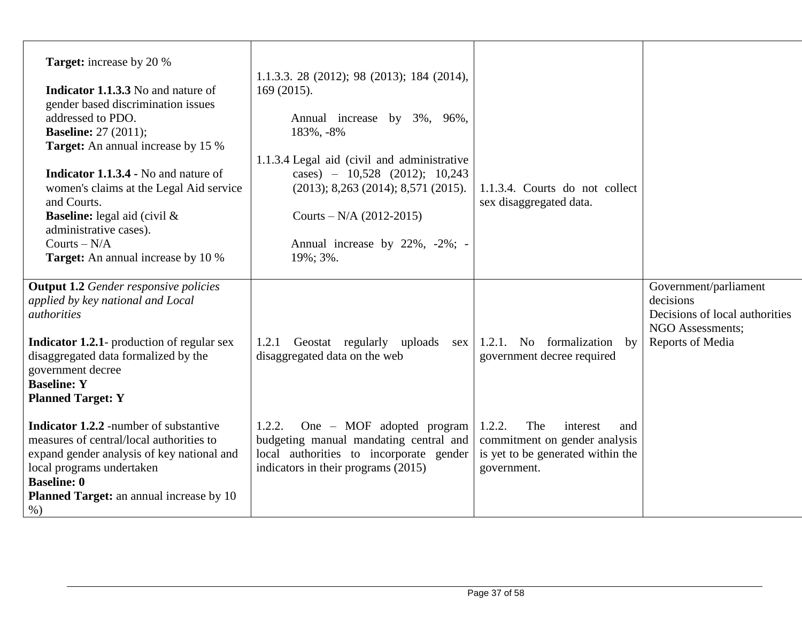| <b>Target:</b> increase by 20 %<br><b>Indicator 1.1.3.3</b> No and nature of<br>gender based discrimination issues<br>addressed to PDO.<br><b>Baseline:</b> 27 (2011);<br><b>Target:</b> An annual increase by 15 %<br><b>Indicator 1.1.3.4 - No and nature of</b><br>women's claims at the Legal Aid service<br>and Courts.<br><b>Baseline:</b> legal aid (civil $\&$<br>administrative cases).<br>Courts $-N/A$<br><b>Target:</b> An annual increase by 10 %                                                                  | 1.1.3.3. 28 (2012); 98 (2013); 184 (2014),<br>169(2015).<br>Annual increase by 3%, 96%,<br>183%, -8%<br>1.1.3.4 Legal aid (civil and administrative<br>cases) $- 10,528$ (2012); 10,243<br>(2013); 8,263 (2014); 8,571 (2015).<br>Courts – $N/A$ (2012-2015)<br>Annual increase by 22%, -2%; -<br>19%; 3%. | 1.1.3.4. Courts do not collect<br>sex disaggregated data.                                                                                                                               |                                                                                                              |
|---------------------------------------------------------------------------------------------------------------------------------------------------------------------------------------------------------------------------------------------------------------------------------------------------------------------------------------------------------------------------------------------------------------------------------------------------------------------------------------------------------------------------------|------------------------------------------------------------------------------------------------------------------------------------------------------------------------------------------------------------------------------------------------------------------------------------------------------------|-----------------------------------------------------------------------------------------------------------------------------------------------------------------------------------------|--------------------------------------------------------------------------------------------------------------|
| <b>Output 1.2</b> Gender responsive policies<br>applied by key national and Local<br><i>authorities</i><br><b>Indicator 1.2.1</b> - production of regular sex<br>disaggregated data formalized by the<br>government decree<br><b>Baseline: Y</b><br><b>Planned Target: Y</b><br><b>Indicator 1.2.2</b> -number of substantive<br>measures of central/local authorities to<br>expand gender analysis of key national and<br>local programs undertaken<br><b>Baseline: 0</b><br>Planned Target: an annual increase by 10<br>$%$ ) | 1.2.1 Geostat regularly uploads<br>disaggregated data on the web<br>One - MOF adopted program<br>1.2.2.<br>budgeting manual mandating central and<br>local authorities to incorporate gender<br>indicators in their programs (2015)                                                                        | sex   1.2.1. No formalization by<br>government decree required<br>1.2.2.<br>The<br>interest<br>and<br>commitment on gender analysis<br>is yet to be generated within the<br>government. | Government/parliament<br>decisions<br>Decisions of local authorities<br>NGO Assessments;<br>Reports of Media |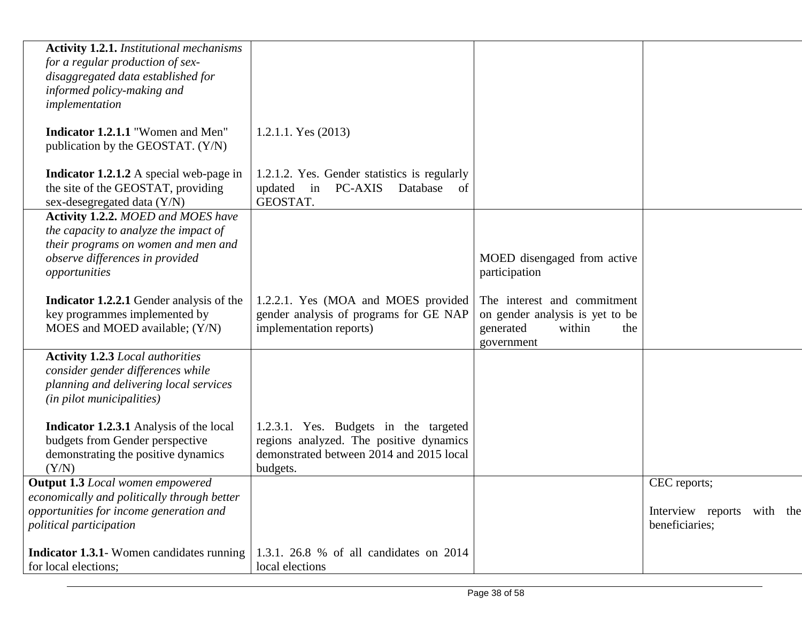| <b>Activity 1.2.1.</b> Institutional mechanisms<br>for a regular production of sex-<br>disaggregated data established for<br>informed policy-making and<br>implementation     |                                                                                                                                          |                                                                                                            |                                              |
|-------------------------------------------------------------------------------------------------------------------------------------------------------------------------------|------------------------------------------------------------------------------------------------------------------------------------------|------------------------------------------------------------------------------------------------------------|----------------------------------------------|
| Indicator 1.2.1.1 "Women and Men"<br>publication by the GEOSTAT. (Y/N)                                                                                                        | 1.2.1.1. Yes $(2013)$                                                                                                                    |                                                                                                            |                                              |
| <b>Indicator 1.2.1.2</b> A special web-page in<br>the site of the GEOSTAT, providing<br>sex-desegregated data (Y/N)                                                           | 1.2.1.2. Yes. Gender statistics is regularly<br>updated<br>in<br><b>PC-AXIS</b><br>Database<br>of<br>GEOSTAT.                            |                                                                                                            |                                              |
| <b>Activity 1.2.2. MOED and MOES have</b><br>the capacity to analyze the impact of<br>their programs on women and men and<br>observe differences in provided<br>opportunities |                                                                                                                                          | MOED disengaged from active<br>participation                                                               |                                              |
| Indicator 1.2.2.1 Gender analysis of the<br>key programmes implemented by<br>MOES and MOED available; (Y/N)                                                                   | 1.2.2.1. Yes (MOA and MOES provided<br>gender analysis of programs for GE NAP<br>implementation reports)                                 | The interest and commitment<br>on gender analysis is yet to be<br>generated<br>within<br>the<br>government |                                              |
| <b>Activity 1.2.3 Local authorities</b><br>consider gender differences while<br>planning and delivering local services<br>(in pilot municipalities)                           |                                                                                                                                          |                                                                                                            |                                              |
| <b>Indicator 1.2.3.1</b> Analysis of the local<br>budgets from Gender perspective<br>demonstrating the positive dynamics<br>(Y/N)                                             | 1.2.3.1. Yes. Budgets in the targeted<br>regions analyzed. The positive dynamics<br>demonstrated between 2014 and 2015 local<br>budgets. |                                                                                                            |                                              |
| <b>Output 1.3</b> Local women empowered                                                                                                                                       |                                                                                                                                          |                                                                                                            | CEC reports;                                 |
| economically and politically through better<br>opportunities for income generation and<br>political participation                                                             |                                                                                                                                          |                                                                                                            | Interview reports with the<br>beneficiaries; |
| <b>Indicator 1.3.1</b> Women candidates running<br>for local elections;                                                                                                       | 1.3.1. 26.8 % of all candidates on 2014<br>local elections                                                                               |                                                                                                            |                                              |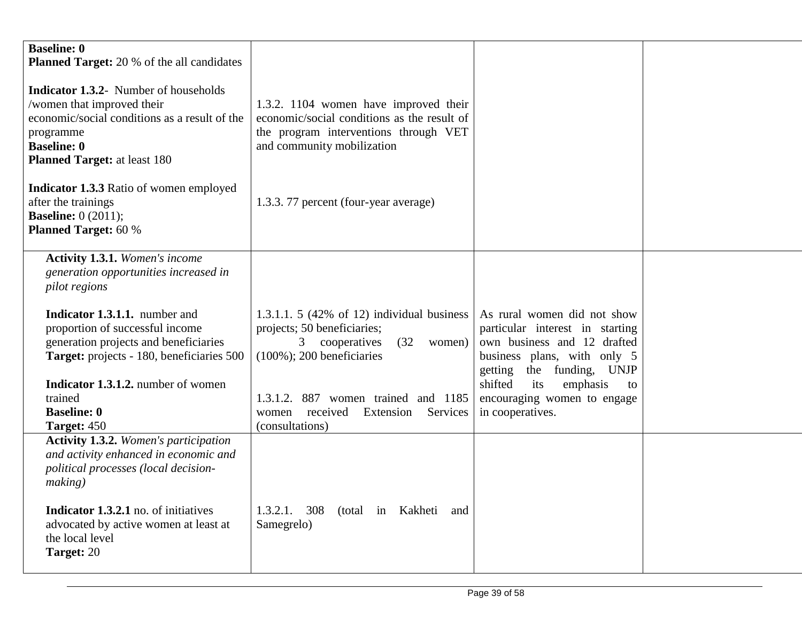| <b>Baseline: 0</b><br><b>Planned Target:</b> 20 % of the all candidates<br><b>Indicator 1.3.2-</b> Number of households<br>/women that improved their<br>economic/social conditions as a result of the<br>programme<br><b>Baseline: 0</b><br><b>Planned Target:</b> at least 180<br><b>Indicator 1.3.3</b> Ratio of women employed<br>after the trainings<br><b>Baseline:</b> $0(2011)$ ;<br><b>Planned Target: 60 %</b> | 1.3.2. 1104 women have improved their<br>economic/social conditions as the result of<br>the program interventions through VET<br>and community mobilization<br>1.3.3. 77 percent (four-year average)                                                   |                                                                                                                                                                                                                                                     |  |
|--------------------------------------------------------------------------------------------------------------------------------------------------------------------------------------------------------------------------------------------------------------------------------------------------------------------------------------------------------------------------------------------------------------------------|--------------------------------------------------------------------------------------------------------------------------------------------------------------------------------------------------------------------------------------------------------|-----------------------------------------------------------------------------------------------------------------------------------------------------------------------------------------------------------------------------------------------------|--|
| <b>Activity 1.3.1.</b> Women's income<br>generation opportunities increased in<br><i>pilot regions</i><br><b>Indicator 1.3.1.1.</b> number and<br>proportion of successful income<br>generation projects and beneficiaries<br>Target: projects - 180, beneficiaries 500<br><b>Indicator 1.3.1.2.</b> number of women<br>trained<br><b>Baseline: 0</b><br><b>Target: 450</b>                                              | 1.3.1.1. 5 (42% of 12) individual business<br>projects; 50 beneficiaries;<br>3 cooperatives<br>(32)<br>women)<br>$(100\%)$ ; 200 beneficiaries<br>1.3.1.2. 887 women trained and 1185<br>Services<br>received<br>Extension<br>women<br>(consultations) | As rural women did not show<br>particular interest in starting<br>own business and 12 drafted<br>business plans, with only 5<br>the funding, UNJP<br>getting<br>shifted<br>emphasis<br>its<br>to<br>encouraging women to engage<br>in cooperatives. |  |
| <b>Activity 1.3.2.</b> Women's participation<br>and activity enhanced in economic and<br>political processes (local decision-<br>making)<br><b>Indicator 1.3.2.1</b> no. of initiatives<br>advocated by active women at least at<br>the local level<br>Target: 20                                                                                                                                                        | $1.3.2.1.$ 308<br>(total in Kakheti<br>and<br>Samegrelo)                                                                                                                                                                                               |                                                                                                                                                                                                                                                     |  |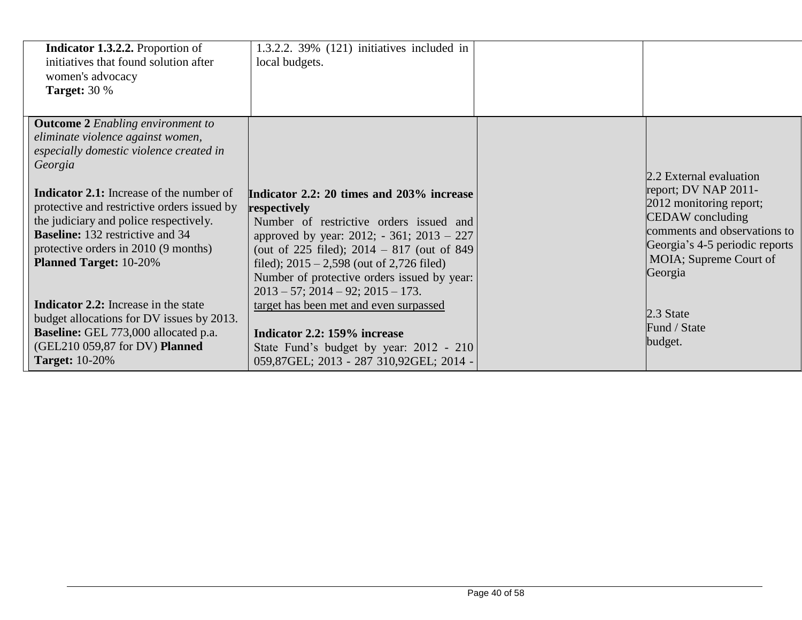| <b>Indicator 1.3.2.2.</b> Proportion of<br>initiatives that found solution after<br>women's advocacy<br><b>Target: 30 %</b>                                                                                                                                                                                                                                                                         | $1.3.2.2.39\%$ (121) initiatives included in<br>local budgets.                                                                                                                                                                                                                                                                                 |                                                                                                                                                                                                       |
|-----------------------------------------------------------------------------------------------------------------------------------------------------------------------------------------------------------------------------------------------------------------------------------------------------------------------------------------------------------------------------------------------------|------------------------------------------------------------------------------------------------------------------------------------------------------------------------------------------------------------------------------------------------------------------------------------------------------------------------------------------------|-------------------------------------------------------------------------------------------------------------------------------------------------------------------------------------------------------|
| <b>Outcome 2</b> Enabling environment to<br>eliminate violence against women,<br>especially domestic violence created in<br>Georgia<br><b>Indicator 2.1:</b> Increase of the number of<br>protective and restrictive orders issued by<br>the judiciary and police respectively.<br><b>Baseline:</b> 132 restrictive and 34<br>protective orders in 2010 (9 months)<br><b>Planned Target: 10-20%</b> | Indicator 2.2: 20 times and 203% increase<br>respectively<br>Number of restrictive orders issued and<br>approved by year: 2012; - 361; 2013 – 227<br>(out of 225 filed); $2014 - 817$ (out of 849)<br>filed); $2015 - 2,598$ (out of 2,726 filed)<br>Number of protective orders issued by year:<br>$2013 - 57$ ; $2014 - 92$ ; $2015 - 173$ . | 2.2 External evaluation<br>report; DV NAP 2011-<br>2012 monitoring report;<br>CEDAW concluding<br>comments and observations to<br>Georgia's 4-5 periodic reports<br>MOIA; Supreme Court of<br>Georgia |
| Indicator 2.2: Increase in the state<br>budget allocations for DV issues by 2013.<br><b>Baseline:</b> GEL 773,000 allocated p.a.<br>(GEL210 059,87 for DV) Planned<br><b>Target:</b> 10-20%                                                                                                                                                                                                         | target has been met and even surpassed<br>Indicator 2.2: 159% increase<br>State Fund's budget by year: 2012 - 210<br>059,87GEL; 2013 - 287 310,92GEL; 2014 -                                                                                                                                                                                   | 2.3 State<br>Fund / State<br>budget.                                                                                                                                                                  |

342 368,27GEL; 509 472, 509 472, 509 472, 509 472, 509 472, 509 472, 509 472, 509 472, 509 472, 509 472, 509 4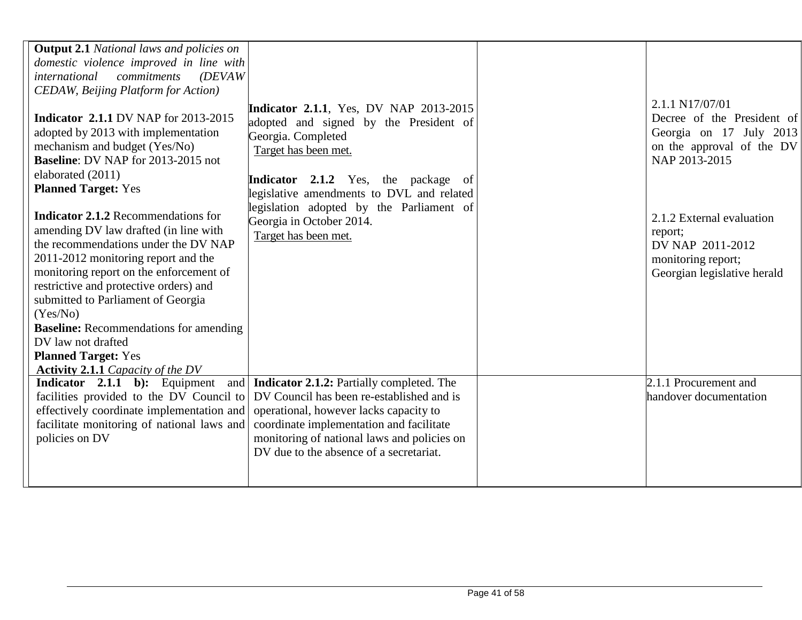| <b>Output 2.1</b> National laws and policies on<br>domestic violence improved in line with<br><i>international</i><br>commitments<br>(DEVAW)                                                                                                                                                                                                                                             |                                                                                                                                                                                                                                                                              |                                                                                                                        |
|------------------------------------------------------------------------------------------------------------------------------------------------------------------------------------------------------------------------------------------------------------------------------------------------------------------------------------------------------------------------------------------|------------------------------------------------------------------------------------------------------------------------------------------------------------------------------------------------------------------------------------------------------------------------------|------------------------------------------------------------------------------------------------------------------------|
| <b>CEDAW</b> , Beijing Platform for Action)<br><b>Indicator 2.1.1 DV NAP for 2013-2015</b><br>adopted by 2013 with implementation<br>mechanism and budget (Yes/No)<br><b>Baseline: DV NAP for 2013-2015 not</b><br>elaborated (2011)                                                                                                                                                     | <b>Indicator 2.1.1, Yes, DV NAP 2013-2015</b><br>adopted and signed by the President of<br>Georgia. Completed<br>Target has been met.<br>Indicator 2.1.2 Yes, the package of                                                                                                 | 2.1.1 N17/07/01<br>Decree of the President of<br>Georgia on 17 July 2013<br>on the approval of the DV<br>NAP 2013-2015 |
| <b>Planned Target: Yes</b><br><b>Indicator 2.1.2</b> Recommendations for<br>amending DV law drafted (in line with<br>the recommendations under the DV NAP<br>2011-2012 monitoring report and the<br>monitoring report on the enforcement of<br>restrictive and protective orders) and<br>submitted to Parliament of Georgia<br>(Yes/No)<br><b>Baseline:</b> Recommendations for amending | legislative amendments to DVL and related<br>legislation adopted by the Parliament of<br>Georgia in October 2014.<br>Target has been met.                                                                                                                                    | 2.1.2 External evaluation<br>report;<br>DV NAP 2011-2012<br>monitoring report;<br>Georgian legislative herald          |
| DV law not drafted<br><b>Planned Target: Yes</b><br><b>Activity 2.1.1</b> Capacity of the DV                                                                                                                                                                                                                                                                                             |                                                                                                                                                                                                                                                                              |                                                                                                                        |
| <b>Indicator</b> 2.1.1 b): Equipment<br>facilities provided to the DV Council to<br>effectively coordinate implementation and<br>facilitate monitoring of national laws and<br>policies on DV                                                                                                                                                                                            | and   Indicator 2.1.2: Partially completed. The<br>DV Council has been re-established and is<br>operational, however lacks capacity to<br>coordinate implementation and facilitate<br>monitoring of national laws and policies on<br>DV due to the absence of a secretariat. | 2.1.1 Procurement and<br>handover documentation                                                                        |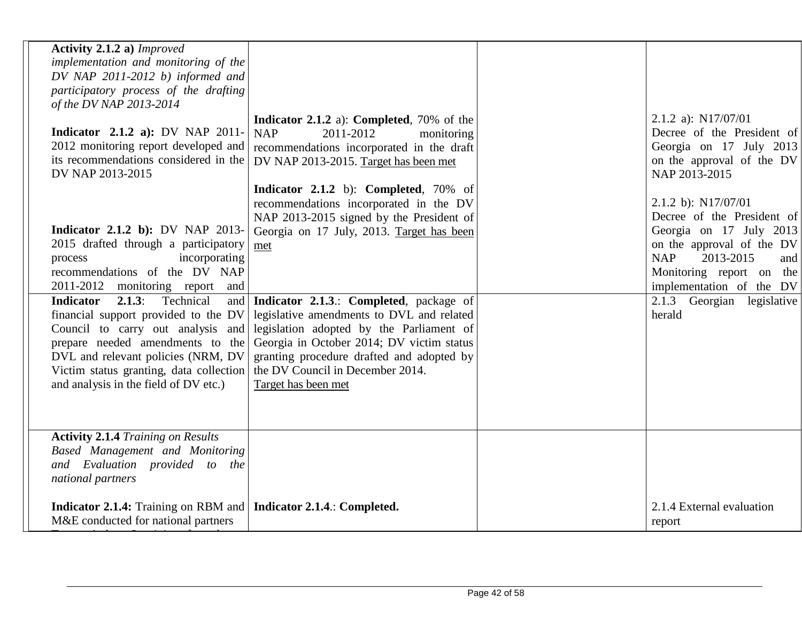| Activity 2.1.2 a) Improved<br>implementation and monitoring of the<br>DV NAP 2011-2012 b) informed and<br>participatory process of the drafting<br>of the DV NAP 2013-2014<br>2.1.2 a): $N17/07/01$<br>Indicator 2.1.2 a): Completed, 70% of the<br>Indicator $2.1.2$ a): DV NAP 2011-<br><b>NAP</b><br>2011-2012<br>monitoring<br>2012 monitoring report developed and<br>recommendations incorporated in the draft<br>its recommendations considered in the<br>DV NAP 2013-2015. Target has been met<br>DV NAP 2013-2015<br>NAP 2013-2015<br>Indicator 2.1.2 b): Completed, 70% of<br>2.1.2 b): N17/07/01<br>recommendations incorporated in the DV<br>NAP 2013-2015 signed by the President of<br><b>Indicator 2.1.2 b): DV NAP 2013-</b><br>Georgia on 17 July, 2013. Target has been<br>2015 drafted through a participatory<br>met<br>incorporating<br><b>NAP</b><br>2013-2015<br>process<br>recommendations of the DV NAP<br>2011-2012<br>monitoring report<br>and<br>implementation of the DV<br>2.1.3:<br>Technical<br>Indicator 2.1.3.: Completed, package of<br><b>Indicator</b><br>and<br>legislative amendments to DVL and related<br>financial support provided to the DV<br>herald<br>Council to carry out analysis and<br>legislation adopted by the Parliament of<br>Georgia in October 2014; DV victim status<br>prepare needed amendments to the<br>DVL and relevant policies (NRM, DV<br>granting procedure drafted and adopted by<br>the DV Council in December 2014.<br>Victim status granting, data collection<br>and analysis in the field of DV etc.)<br>Target has been met<br><b>Activity 2.1.4 Training on Results</b><br>Based Management and Monitoring<br>and Evaluation provided to the<br>national partners<br>Indicator 2.1.4: Training on RBM and   Indicator 2.1.4.: Completed.<br>2.1.4 External evaluation<br>M&E conducted for national partners<br>report |  |  |                                                                                                                       |
|---------------------------------------------------------------------------------------------------------------------------------------------------------------------------------------------------------------------------------------------------------------------------------------------------------------------------------------------------------------------------------------------------------------------------------------------------------------------------------------------------------------------------------------------------------------------------------------------------------------------------------------------------------------------------------------------------------------------------------------------------------------------------------------------------------------------------------------------------------------------------------------------------------------------------------------------------------------------------------------------------------------------------------------------------------------------------------------------------------------------------------------------------------------------------------------------------------------------------------------------------------------------------------------------------------------------------------------------------------------------------------------------------------------------------------------------------------------------------------------------------------------------------------------------------------------------------------------------------------------------------------------------------------------------------------------------------------------------------------------------------------------------------------------------------------------------------------------------------------------------------------------------------|--|--|-----------------------------------------------------------------------------------------------------------------------|
|                                                                                                                                                                                                                                                                                                                                                                                                                                                                                                                                                                                                                                                                                                                                                                                                                                                                                                                                                                                                                                                                                                                                                                                                                                                                                                                                                                                                                                                                                                                                                                                                                                                                                                                                                                                                                                                                                                   |  |  |                                                                                                                       |
|                                                                                                                                                                                                                                                                                                                                                                                                                                                                                                                                                                                                                                                                                                                                                                                                                                                                                                                                                                                                                                                                                                                                                                                                                                                                                                                                                                                                                                                                                                                                                                                                                                                                                                                                                                                                                                                                                                   |  |  | Decree of the President of<br>Georgia on 17 July 2013<br>on the approval of the DV                                    |
|                                                                                                                                                                                                                                                                                                                                                                                                                                                                                                                                                                                                                                                                                                                                                                                                                                                                                                                                                                                                                                                                                                                                                                                                                                                                                                                                                                                                                                                                                                                                                                                                                                                                                                                                                                                                                                                                                                   |  |  | Decree of the President of<br>Georgia on 17 July 2013<br>on the approval of the DV<br>and<br>Monitoring report on the |
|                                                                                                                                                                                                                                                                                                                                                                                                                                                                                                                                                                                                                                                                                                                                                                                                                                                                                                                                                                                                                                                                                                                                                                                                                                                                                                                                                                                                                                                                                                                                                                                                                                                                                                                                                                                                                                                                                                   |  |  | 2.1.3 Georgian legislative                                                                                            |
|                                                                                                                                                                                                                                                                                                                                                                                                                                                                                                                                                                                                                                                                                                                                                                                                                                                                                                                                                                                                                                                                                                                                                                                                                                                                                                                                                                                                                                                                                                                                                                                                                                                                                                                                                                                                                                                                                                   |  |  |                                                                                                                       |
|                                                                                                                                                                                                                                                                                                                                                                                                                                                                                                                                                                                                                                                                                                                                                                                                                                                                                                                                                                                                                                                                                                                                                                                                                                                                                                                                                                                                                                                                                                                                                                                                                                                                                                                                                                                                                                                                                                   |  |  |                                                                                                                       |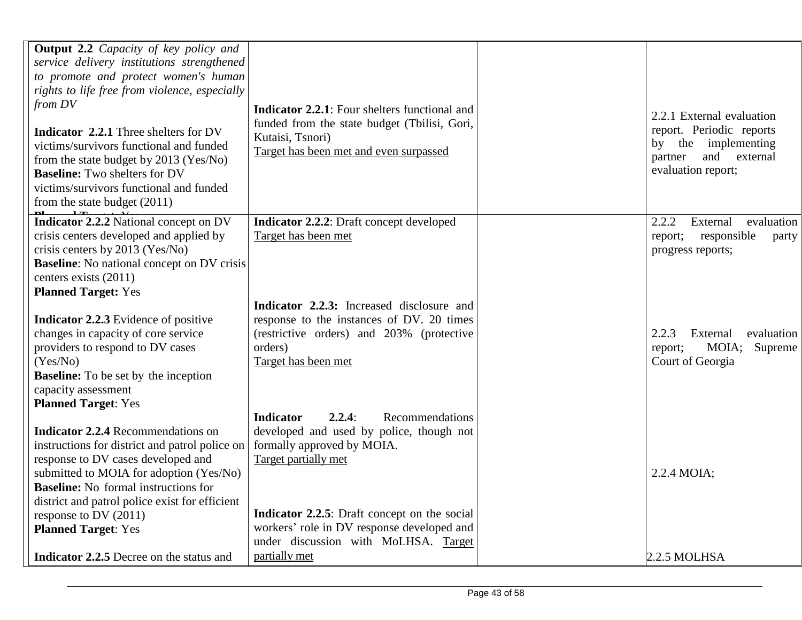| <b>Output 2.2</b> Capacity of key policy and                                                                                                                                                                                                           |                                                                                                            |                                                                                                                                  |
|--------------------------------------------------------------------------------------------------------------------------------------------------------------------------------------------------------------------------------------------------------|------------------------------------------------------------------------------------------------------------|----------------------------------------------------------------------------------------------------------------------------------|
| service delivery institutions strengthened                                                                                                                                                                                                             |                                                                                                            |                                                                                                                                  |
| to promote and protect women's human                                                                                                                                                                                                                   |                                                                                                            |                                                                                                                                  |
| rights to life free from violence, especially                                                                                                                                                                                                          |                                                                                                            |                                                                                                                                  |
| from DV                                                                                                                                                                                                                                                | <b>Indicator 2.2.1:</b> Four shelters functional and                                                       |                                                                                                                                  |
| <b>Indicator 2.2.1</b> Three shelters for DV<br>victims/survivors functional and funded<br>from the state budget by 2013 (Yes/No)<br><b>Baseline:</b> Two shelters for DV<br>victims/survivors functional and funded<br>from the state budget $(2011)$ | funded from the state budget (Tbilisi, Gori,<br>Kutaisi, Tsnori)<br>Target has been met and even surpassed | 2.2.1 External evaluation<br>report. Periodic reports<br>the implementing<br>by<br>and external<br>partner<br>evaluation report; |
| Indicator 2.2.2 National concept on DV                                                                                                                                                                                                                 | <b>Indicator 2.2.2:</b> Draft concept developed                                                            | 2.2.2<br>External<br>evaluation                                                                                                  |
| crisis centers developed and applied by                                                                                                                                                                                                                | Target has been met                                                                                        | responsible<br>report;<br>party                                                                                                  |
| crisis centers by 2013 (Yes/No)                                                                                                                                                                                                                        |                                                                                                            | progress reports;                                                                                                                |
| <b>Baseline:</b> No national concept on DV crisis                                                                                                                                                                                                      |                                                                                                            |                                                                                                                                  |
| centers exists (2011)                                                                                                                                                                                                                                  |                                                                                                            |                                                                                                                                  |
| <b>Planned Target: Yes</b>                                                                                                                                                                                                                             |                                                                                                            |                                                                                                                                  |
|                                                                                                                                                                                                                                                        | Indicator 2.2.3: Increased disclosure and                                                                  |                                                                                                                                  |
| <b>Indicator 2.2.3</b> Evidence of positive                                                                                                                                                                                                            | response to the instances of DV. 20 times                                                                  |                                                                                                                                  |
| changes in capacity of core service<br>providers to respond to DV cases                                                                                                                                                                                | (restrictive orders) and 203% (protective<br>orders)                                                       | 2.2.3<br>External<br>evaluation<br>MOIA;                                                                                         |
| (Yes/No)                                                                                                                                                                                                                                               | Target has been met                                                                                        | Supreme<br>report;<br>Court of Georgia                                                                                           |
| <b>Baseline:</b> To be set by the inception                                                                                                                                                                                                            |                                                                                                            |                                                                                                                                  |
| capacity assessment                                                                                                                                                                                                                                    |                                                                                                            |                                                                                                                                  |
| <b>Planned Target: Yes</b>                                                                                                                                                                                                                             |                                                                                                            |                                                                                                                                  |
|                                                                                                                                                                                                                                                        | 2.2.4:<br><b>Indicator</b><br>Recommendations                                                              |                                                                                                                                  |
| <b>Indicator 2.2.4 Recommendations on</b>                                                                                                                                                                                                              | developed and used by police, though not                                                                   |                                                                                                                                  |
| instructions for district and patrol police on                                                                                                                                                                                                         | formally approved by MOIA.                                                                                 |                                                                                                                                  |
| response to DV cases developed and                                                                                                                                                                                                                     | Target partially met                                                                                       |                                                                                                                                  |
| submitted to MOIA for adoption (Yes/No)                                                                                                                                                                                                                |                                                                                                            | $2.2.4$ MOIA;                                                                                                                    |
| <b>Baseline:</b> No formal instructions for                                                                                                                                                                                                            |                                                                                                            |                                                                                                                                  |
| district and patrol police exist for efficient                                                                                                                                                                                                         |                                                                                                            |                                                                                                                                  |
| response to DV (2011)                                                                                                                                                                                                                                  | Indicator 2.2.5: Draft concept on the social                                                               |                                                                                                                                  |
| <b>Planned Target: Yes</b>                                                                                                                                                                                                                             | workers' role in DV response developed and                                                                 |                                                                                                                                  |
|                                                                                                                                                                                                                                                        | under discussion with MoLHSA. Target                                                                       |                                                                                                                                  |
| <b>Indicator 2.2.5</b> Decree on the status and                                                                                                                                                                                                        | partially met                                                                                              | 2.2.5 MOLHSA                                                                                                                     |

DV drafted and submitted to MoLHSA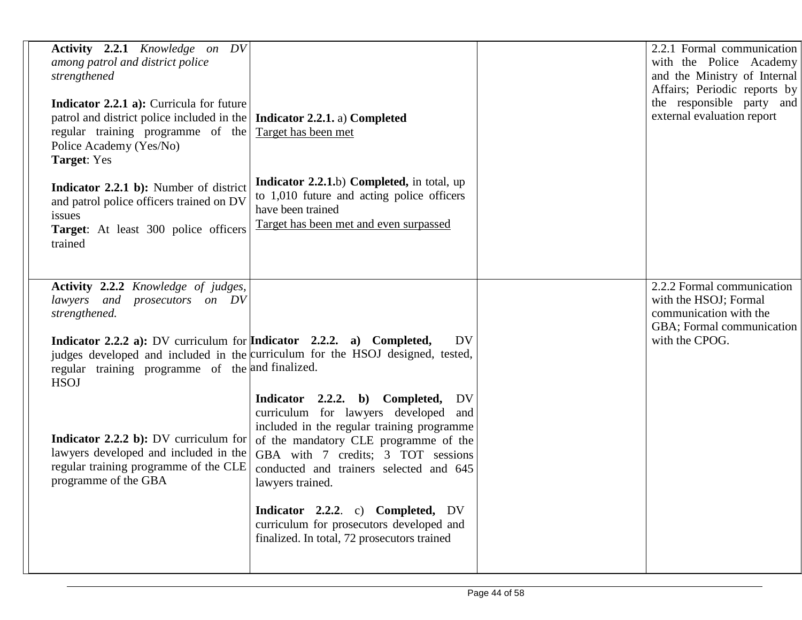| <b>Activity 2.2.1</b> Knowledge on DV<br>among patrol and district police<br>strengthened<br>Indicator 2.2.1 a): Curricula for future<br>patrol and district police included in the<br>regular training programme of the<br>Police Academy (Yes/No)<br><b>Target:</b> Yes | Indicator 2.2.1. a) Completed<br>Target has been met                                                                                                                                                                                                                     | 2.2.1 Formal communication<br>with the Police Academy<br>and the Ministry of Internal<br>Affairs; Periodic reports by<br>the responsible party and<br>external evaluation report |
|---------------------------------------------------------------------------------------------------------------------------------------------------------------------------------------------------------------------------------------------------------------------------|--------------------------------------------------------------------------------------------------------------------------------------------------------------------------------------------------------------------------------------------------------------------------|----------------------------------------------------------------------------------------------------------------------------------------------------------------------------------|
| Indicator 2.2.1 b): Number of district<br>and patrol police officers trained on DV<br>issues<br>Target: At least 300 police officers<br>trained                                                                                                                           | <b>Indicator 2.2.1.b) Completed, in total, up</b><br>to 1,010 future and acting police officers<br>have been trained<br>Target has been met and even surpassed                                                                                                           |                                                                                                                                                                                  |
| <b>Activity 2.2.2</b> Knowledge of judges,<br>lawyers and prosecutors on DV<br>strengthened.                                                                                                                                                                              |                                                                                                                                                                                                                                                                          | 2.2.2 Formal communication<br>with the HSOJ; Formal<br>communication with the<br>GBA; Formal communication                                                                       |
| <b>Indicator 2.2.2 a):</b> DV curriculum for <b>Indicator</b> 2.2.2. a) Completed,<br>regular training programme of the and finalized.<br><b>HSOJ</b>                                                                                                                     | DV<br>judges developed and included in the curriculum for the HSOJ designed, tested,                                                                                                                                                                                     | with the CPOG.                                                                                                                                                                   |
| <b>Indicator 2.2.2 b):</b> DV curriculum for<br>lawyers developed and included in the<br>regular training programme of the CLE<br>programme of the GBA                                                                                                                    | Indicator 2.2.2. b) Completed,<br>DV<br>curriculum for lawyers developed and<br>included in the regular training programme<br>of the mandatory CLE programme of the<br>GBA with 7 credits; 3 TOT sessions<br>conducted and trainers selected and 645<br>lawyers trained. |                                                                                                                                                                                  |
|                                                                                                                                                                                                                                                                           | Indicator 2.2.2. c) Completed, DV<br>curriculum for prosecutors developed and<br>finalized. In total, 72 prosecutors trained                                                                                                                                             |                                                                                                                                                                                  |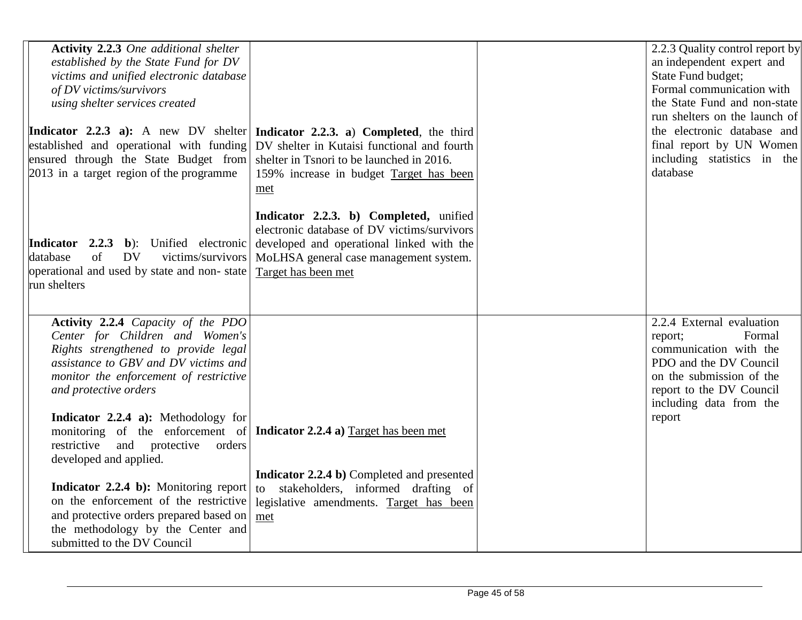| <b>Activity 2.2.3</b> One additional shelter<br>established by the State Fund for DV<br>victims and unified electronic database<br>of DV victims/survivors<br>using shelter services created<br>established and operational with funding<br>ensured through the State Budget from<br>2013 in a target region of the programme | Indicator 2.2.3 a): A new DV shelter   Indicator 2.2.3. a) Completed, the third<br>DV shelter in Kutaisi functional and fourth<br>shelter in Tsnori to be launched in 2016.<br>159% increase in budget Target has been<br>met | 2.2.3 Quality control report by<br>an independent expert and<br>State Fund budget;<br>Formal communication with<br>the State Fund and non-state<br>run shelters on the launch of<br>the electronic database and<br>final report by UN Women<br>including statistics in the<br>database |
|-------------------------------------------------------------------------------------------------------------------------------------------------------------------------------------------------------------------------------------------------------------------------------------------------------------------------------|-------------------------------------------------------------------------------------------------------------------------------------------------------------------------------------------------------------------------------|----------------------------------------------------------------------------------------------------------------------------------------------------------------------------------------------------------------------------------------------------------------------------------------|
| Indicator 2.2.3 b): Unified electronic<br>of<br>victims/survivors<br>database<br><b>DV</b><br>operational and used by state and non-state<br>run shelters                                                                                                                                                                     | Indicator 2.2.3. b) Completed, unified<br>electronic database of DV victims/survivors<br>developed and operational linked with the<br>MoLHSA general case management system.<br>Target has been met                           |                                                                                                                                                                                                                                                                                        |
| Activity 2.2.4 Capacity of the PDO<br>Center for Children and Women's<br>Rights strengthened to provide legal<br>assistance to GBV and DV victims and<br>monitor the enforcement of restrictive<br>and protective orders<br>Indicator 2.2.4 a): Methodology for<br>monitoring of the enforcement of                           | Indicator 2.2.4 a) Target has been met                                                                                                                                                                                        | 2.2.4 External evaluation<br>Formal<br>report;<br>communication with the<br>PDO and the DV Council<br>on the submission of the<br>report to the DV Council<br>including data from the<br>report                                                                                        |
| restrictive<br>and protective<br>orders<br>developed and applied.                                                                                                                                                                                                                                                             | <b>Indicator 2.2.4 b)</b> Completed and presented                                                                                                                                                                             |                                                                                                                                                                                                                                                                                        |
| Indicator 2.2.4 b): Monitoring report<br>on the enforcement of the restrictive<br>and protective orders prepared based on<br>the methodology by the Center and<br>submitted to the DV Council                                                                                                                                 | to stakeholders, informed drafting of<br>legislative amendments. Target has been<br>met                                                                                                                                       |                                                                                                                                                                                                                                                                                        |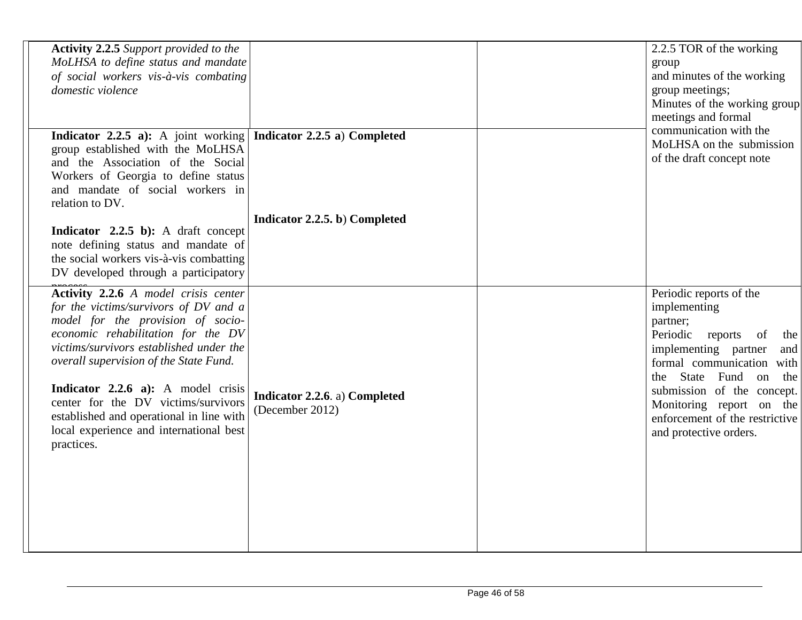| <b>Activity 2.2.5</b> Support provided to the<br>MoLHSA to define status and mandate<br>of social workers vis-à-vis combating<br>domestic violence                                                                                                                                    |                                                  | 2.2.5 TOR of the working<br>group<br>and minutes of the working<br>group meetings;<br>Minutes of the working group<br>meetings and formal<br>communication with the                                           |
|---------------------------------------------------------------------------------------------------------------------------------------------------------------------------------------------------------------------------------------------------------------------------------------|--------------------------------------------------|---------------------------------------------------------------------------------------------------------------------------------------------------------------------------------------------------------------|
| <b>Indicator 2.2.5 a):</b> A joint working <b>Indicator 2.2.5 a)</b> Completed<br>group established with the MoLHSA<br>and the Association of the Social<br>Workers of Georgia to define status<br>and mandate of social workers in<br>relation to DV.                                |                                                  | MoLHSA on the submission<br>of the draft concept note                                                                                                                                                         |
| <b>Indicator</b> 2.2.5 b): A draft concept<br>note defining status and mandate of<br>the social workers vis-à-vis combatting<br>DV developed through a participatory                                                                                                                  | Indicator 2.2.5. b) Completed                    |                                                                                                                                                                                                               |
| Activity 2.2.6 A model crisis center<br>for the victims/survivors of DV and a<br>model for the provision of socio-<br>economic rehabilitation for the DV<br>victims/survivors established under the<br>overall supervision of the State Fund.<br>Indicator $2.2.6$ a): A model crisis |                                                  | Periodic reports of the<br>implementing<br>partner;<br>Periodic<br>reports<br>of<br>the<br>implementing partner<br>and<br>formal communication with<br>the State Fund on<br>the<br>submission of the concept. |
| center for the DV victims/survivors<br>established and operational in line with<br>local experience and international best<br>practices.                                                                                                                                              | Indicator 2.2.6. a) Completed<br>(December 2012) | Monitoring report on the<br>enforcement of the restrictive<br>and protective orders.                                                                                                                          |
|                                                                                                                                                                                                                                                                                       |                                                  |                                                                                                                                                                                                               |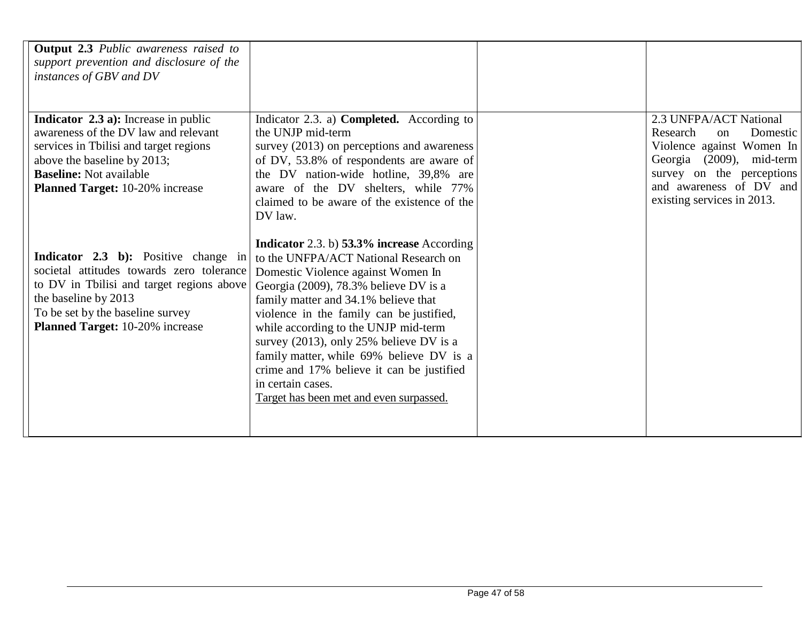| <b>Output 2.3</b> Public awareness raised to<br>support prevention and disclosure of the<br>instances of GBV and DV                                                                                                                      |                                                                                                                                                                                                                                                                                                                                                                                                                                                                                                    |                                                                                                                                                                                                     |
|------------------------------------------------------------------------------------------------------------------------------------------------------------------------------------------------------------------------------------------|----------------------------------------------------------------------------------------------------------------------------------------------------------------------------------------------------------------------------------------------------------------------------------------------------------------------------------------------------------------------------------------------------------------------------------------------------------------------------------------------------|-----------------------------------------------------------------------------------------------------------------------------------------------------------------------------------------------------|
| <b>Indicator 2.3 a):</b> Increase in public<br>awareness of the DV law and relevant<br>services in Tbilisi and target regions<br>above the baseline by 2013;<br><b>Baseline:</b> Not available<br><b>Planned Target:</b> 10-20% increase | Indicator 2.3. a) <b>Completed.</b> According to<br>the UNJP mid-term<br>survey (2013) on perceptions and awareness<br>of DV, 53.8% of respondents are aware of<br>the DV nation-wide hotline, 39,8% are<br>aware of the DV shelters, while 77%<br>claimed to be aware of the existence of the<br>DV law.                                                                                                                                                                                          | 2.3 UNFPA/ACT National<br>Domestic<br>Research<br>on<br>Violence against Women In<br>Georgia (2009), mid-term<br>survey on the perceptions<br>and awareness of DV and<br>existing services in 2013. |
| Indicator 2.3 b): Positive change in<br>societal attitudes towards zero tolerance<br>to DV in Tbilisi and target regions above<br>the baseline by 2013<br>To be set by the baseline survey<br><b>Planned Target:</b> 10-20% increase     | Indicator 2.3. b) 53.3% increase According<br>to the UNFPA/ACT National Research on<br>Domestic Violence against Women In<br>Georgia (2009), 78.3% believe DV is a<br>family matter and 34.1% believe that<br>violence in the family can be justified,<br>while according to the UNJP mid-term<br>survey (2013), only 25% believe DV is a<br>family matter, while 69% believe DV is a<br>crime and 17% believe it can be justified<br>in certain cases.<br>Target has been met and even surpassed. |                                                                                                                                                                                                     |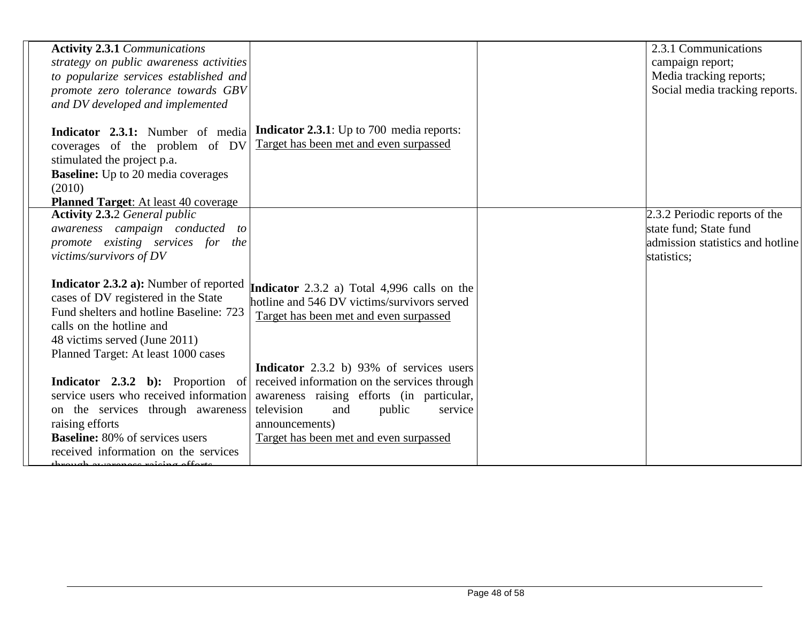| <b>Activity 2.3.1 Communications</b>          |                                                                                       | 2.3.1 Communications             |
|-----------------------------------------------|---------------------------------------------------------------------------------------|----------------------------------|
| strategy on public awareness activities       |                                                                                       | campaign report;                 |
| to popularize services established and        |                                                                                       | Media tracking reports;          |
| promote zero tolerance towards GBV            |                                                                                       | Social media tracking reports.   |
| and DV developed and implemented              |                                                                                       |                                  |
|                                               |                                                                                       |                                  |
| Indicator 2.3.1: Number of media              | <b>Indicator 2.3.1</b> : Up to 700 media reports:                                     |                                  |
| coverages of the problem of DV                | Target has been met and even surpassed                                                |                                  |
| stimulated the project p.a.                   |                                                                                       |                                  |
| <b>Baseline:</b> Up to 20 media coverages     |                                                                                       |                                  |
| (2010)                                        |                                                                                       |                                  |
| <b>Planned Target:</b> At least 40 coverage   |                                                                                       |                                  |
| <b>Activity 2.3.2 General public</b>          |                                                                                       | 2.3.2 Periodic reports of the    |
| awareness campaign conducted to               |                                                                                       | state fund; State fund           |
| promote existing services for the             |                                                                                       | admission statistics and hotline |
| victims/survivors of DV                       |                                                                                       | statistics;                      |
|                                               |                                                                                       |                                  |
| <b>Indicator 2.3.2 a):</b> Number of reported | Indicator 2.3.2 a) Total 4,996 calls on the                                           |                                  |
| cases of DV registered in the State           | hotline and 546 DV victims/survivors served                                           |                                  |
| Fund shelters and hotline Baseline: 723       | Target has been met and even surpassed                                                |                                  |
| calls on the hotline and                      |                                                                                       |                                  |
| 48 victims served (June 2011)                 |                                                                                       |                                  |
| Planned Target: At least 1000 cases           |                                                                                       |                                  |
|                                               | Indicator 2.3.2 b) 93% of services users                                              |                                  |
|                                               | <b>Indicator</b> 2.3.2 b): Proportion of received information on the services through |                                  |
| service users who received information        | awareness raising efforts (in particular,                                             |                                  |
| on the services through awareness             | television<br>and<br>public<br>service                                                |                                  |
| raising efforts                               | announcements)                                                                        |                                  |
| <b>Baseline:</b> 80% of services users        | Target has been met and even surpassed                                                |                                  |
| received information on the services          |                                                                                       |                                  |
|                                               |                                                                                       |                                  |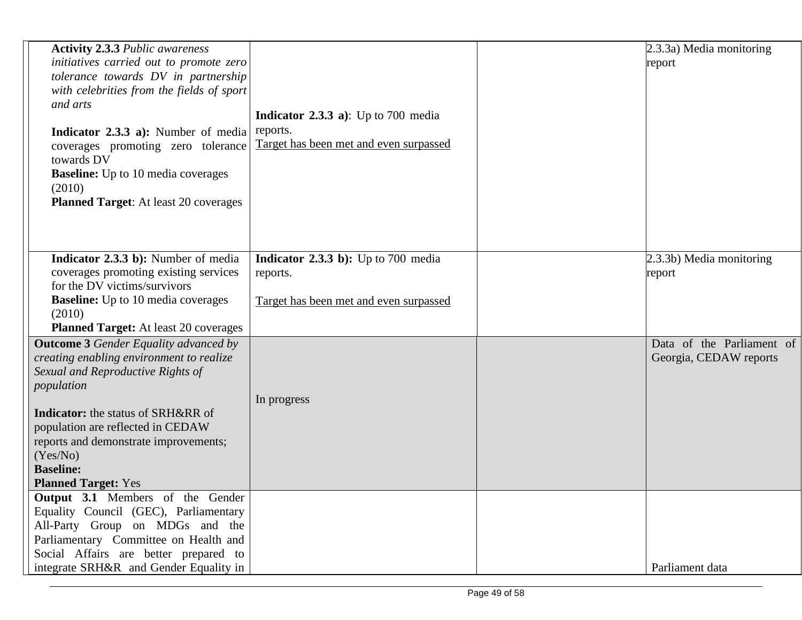| <b>Activity 2.3.3 Public awareness</b>       |                                             | 2.3.3a) Media monitoring  |
|----------------------------------------------|---------------------------------------------|---------------------------|
| initiatives carried out to promote zero      |                                             | report                    |
| tolerance towards DV in partnership          |                                             |                           |
| with celebrities from the fields of sport    |                                             |                           |
| and arts                                     |                                             |                           |
|                                              | <b>Indicator 2.3.3 a</b> ): Up to 700 media |                           |
| Indicator 2.3.3 a): Number of media          | reports.                                    |                           |
| coverages promoting zero tolerance           | Target has been met and even surpassed      |                           |
| towards DV                                   |                                             |                           |
| <b>Baseline:</b> Up to 10 media coverages    |                                             |                           |
| (2010)                                       |                                             |                           |
| <b>Planned Target:</b> At least 20 coverages |                                             |                           |
|                                              |                                             |                           |
|                                              |                                             |                           |
|                                              |                                             |                           |
| Indicator 2.3.3 b): Number of media          | <b>Indicator 2.3.3 b):</b> Up to 700 media  | 2.3.3b) Media monitoring  |
| coverages promoting existing services        | reports.                                    | report                    |
| for the DV victims/survivors                 |                                             |                           |
| <b>Baseline:</b> Up to 10 media coverages    | Target has been met and even surpassed      |                           |
| (2010)                                       |                                             |                           |
| <b>Planned Target:</b> At least 20 coverages |                                             |                           |
| <b>Outcome 3</b> Gender Equality advanced by |                                             | Data of the Parliament of |
| creating enabling environment to realize     |                                             | Georgia, CEDAW reports    |
| Sexual and Reproductive Rights of            |                                             |                           |
| population                                   |                                             |                           |
|                                              | In progress                                 |                           |
| <b>Indicator:</b> the status of SRH&RR of    |                                             |                           |
| population are reflected in CEDAW            |                                             |                           |
| reports and demonstrate improvements;        |                                             |                           |
| (Yes/No)                                     |                                             |                           |
| <b>Baseline:</b>                             |                                             |                           |
| <b>Planned Target: Yes</b>                   |                                             |                           |
| <b>Output 3.1</b> Members of the Gender      |                                             |                           |
| Equality Council (GEC), Parliamentary        |                                             |                           |
| All-Party Group on MDGs and the              |                                             |                           |
| Parliamentary Committee on Health and        |                                             |                           |
| Social Affairs are better prepared to        |                                             |                           |
| integrate SRH&R and Gender Equality in       |                                             | Parliament data           |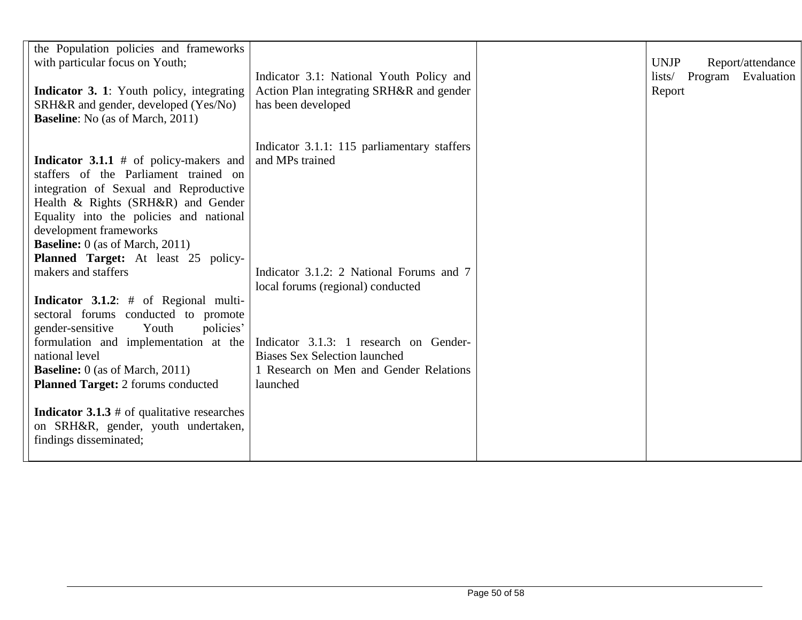| the Population policies and frameworks<br>with particular focus on Youth;<br>Indicator 3. 1: Youth policy, integrating<br>SRH&R and gender, developed (Yes/No)<br><b>Baseline:</b> No (as of March, 2011)                                                                                                                      | Indicator 3.1: National Youth Policy and<br>Action Plan integrating SRH&R and gender<br>has been developed                           | <b>UNJP</b><br>Report/attendance<br>Program Evaluation<br>lists/<br>Report |
|--------------------------------------------------------------------------------------------------------------------------------------------------------------------------------------------------------------------------------------------------------------------------------------------------------------------------------|--------------------------------------------------------------------------------------------------------------------------------------|----------------------------------------------------------------------------|
| <b>Indicator 3.1.1</b> $#$ of policy-makers and<br>staffers of the Parliament trained on<br>integration of Sexual and Reproductive<br>Health & Rights (SRH&R) and Gender<br>Equality into the policies and national<br>development frameworks<br><b>Baseline:</b> 0 (as of March, 2011)<br>Planned Target: At least 25 policy- | Indicator 3.1.1: 115 parliamentary staffers<br>and MPs trained                                                                       |                                                                            |
| makers and staffers                                                                                                                                                                                                                                                                                                            | Indicator 3.1.2: 2 National Forums and 7<br>local forums (regional) conducted                                                        |                                                                            |
| <b>Indicator 3.1.2:</b> $#$ of Regional multi-<br>sectoral forums conducted to promote<br>policies'<br>gender-sensitive<br>Youth<br>formulation and implementation at the<br>national level<br><b>Baseline:</b> 0 (as of March, 2011)<br><b>Planned Target:</b> 2 forums conducted                                             | Indicator 3.1.3: 1 research on Gender-<br><b>Biases Sex Selection launched</b><br>1 Research on Men and Gender Relations<br>launched |                                                                            |
| <b>Indicator 3.1.3</b> # of qualitative researches<br>on SRH&R, gender, youth undertaken,<br>findings disseminated;                                                                                                                                                                                                            |                                                                                                                                      |                                                                            |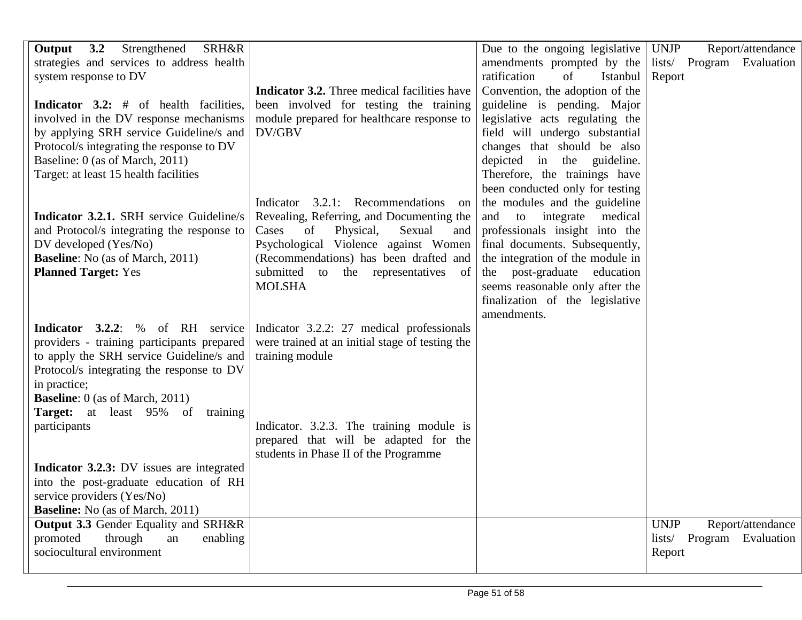| Output 3.2<br>Strengthened<br><b>SRH&amp;R</b>  |                                                            | Due to the ongoing legislative                                     | Report/attendance<br><b>UNJP</b> |
|-------------------------------------------------|------------------------------------------------------------|--------------------------------------------------------------------|----------------------------------|
| strategies and services to address health       |                                                            | amendments prompted by the                                         | lists/ Program Evaluation        |
| system response to DV                           |                                                            | ratification<br>of<br>Istanbul                                     | Report                           |
|                                                 | <b>Indicator 3.2.</b> Three medical facilities have        | Convention, the adoption of the                                    |                                  |
| Indicator 3.2: # of health facilities,          | been involved for testing the training                     | guideline is pending. Major                                        |                                  |
| involved in the DV response mechanisms          | module prepared for healthcare response to                 | legislative acts regulating the                                    |                                  |
| by applying SRH service Guideline/s and         | DV/GBV                                                     | field will undergo substantial                                     |                                  |
| Protocol/s integrating the response to DV       |                                                            | changes that should be also                                        |                                  |
| Baseline: 0 (as of March, 2011)                 |                                                            | depicted in the guideline.                                         |                                  |
| Target: at least 15 health facilities           |                                                            | Therefore, the trainings have                                      |                                  |
|                                                 |                                                            | been conducted only for testing                                    |                                  |
|                                                 | Indicator 3.2.1: Recommendations<br>on                     | the modules and the guideline                                      |                                  |
| Indicator 3.2.1. SRH service Guideline/s        | Revealing, Referring, and Documenting the                  | medical<br>and<br>to integrate                                     |                                  |
| and Protocol/s integrating the response to      | Cases<br>of<br>Physical,<br>Sexual<br>and                  | professionals insight into the                                     |                                  |
| DV developed (Yes/No)                           | Psychological Violence against Women                       | final documents. Subsequently,                                     |                                  |
| <b>Baseline:</b> No (as of March, 2011)         | (Recommendations) has been drafted and                     | the integration of the module in                                   |                                  |
| <b>Planned Target: Yes</b>                      | submitted to<br>the representatives<br>of<br><b>MOLSHA</b> | the post-graduate<br>education                                     |                                  |
|                                                 |                                                            | seems reasonable only after the<br>finalization of the legislative |                                  |
|                                                 |                                                            | amendments.                                                        |                                  |
| <b>Indicator</b> 3.2.2: % of RH service         | Indicator 3.2.2: 27 medical professionals                  |                                                                    |                                  |
| providers - training participants prepared      | were trained at an initial stage of testing the            |                                                                    |                                  |
| to apply the SRH service Guideline/s and        | training module                                            |                                                                    |                                  |
| Protocol/s integrating the response to DV       |                                                            |                                                                    |                                  |
| in practice;                                    |                                                            |                                                                    |                                  |
| <b>Baseline:</b> 0 (as of March, 2011)          |                                                            |                                                                    |                                  |
| <b>Target:</b> at least 95% of<br>training      |                                                            |                                                                    |                                  |
| participants                                    | Indicator. 3.2.3. The training module is                   |                                                                    |                                  |
|                                                 | prepared that will be adapted for the                      |                                                                    |                                  |
|                                                 | students in Phase II of the Programme                      |                                                                    |                                  |
| Indicator 3.2.3: DV issues are integrated       |                                                            |                                                                    |                                  |
| into the post-graduate education of RH          |                                                            |                                                                    |                                  |
| service providers (Yes/No)                      |                                                            |                                                                    |                                  |
| <b>Baseline:</b> No (as of March, 2011)         |                                                            |                                                                    |                                  |
| <b>Output 3.3 Gender Equality and SRH&amp;R</b> |                                                            |                                                                    | <b>UNJP</b><br>Report/attendance |
| promoted<br>through<br>an<br>enabling           |                                                            |                                                                    | lists/ Program Evaluation        |
| sociocultural environment                       |                                                            |                                                                    | Report                           |
|                                                 |                                                            |                                                                    |                                  |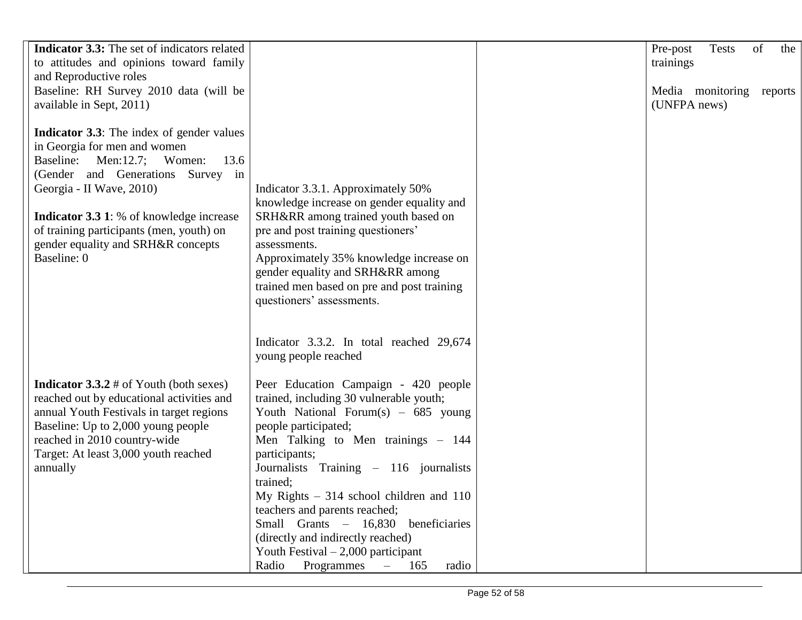| <b>Indicator 3.3:</b> The set of indicators related<br>to attitudes and opinions toward family<br>and Reproductive roles                                                                                                                                                                                                                               |                                                                                                                                                                                                                                                                                                                                                                                                                                                                                                        | Pre-post<br>Tests<br>of<br>the<br>trainings |
|--------------------------------------------------------------------------------------------------------------------------------------------------------------------------------------------------------------------------------------------------------------------------------------------------------------------------------------------------------|--------------------------------------------------------------------------------------------------------------------------------------------------------------------------------------------------------------------------------------------------------------------------------------------------------------------------------------------------------------------------------------------------------------------------------------------------------------------------------------------------------|---------------------------------------------|
| Baseline: RH Survey 2010 data (will be<br>available in Sept, 2011)                                                                                                                                                                                                                                                                                     |                                                                                                                                                                                                                                                                                                                                                                                                                                                                                                        | Media monitoring<br>reports<br>(UNFPA news) |
| <b>Indicator 3.3</b> : The index of gender values<br>in Georgia for men and women<br>Men: $12.7$ ;<br>Women:<br>Baseline:<br>13.6<br>(Gender and Generations Survey in<br>Georgia - II Wave, 2010)<br><b>Indicator 3.3 1:</b> % of knowledge increase<br>of training participants (men, youth) on<br>gender equality and SRH&R concepts<br>Baseline: 0 | Indicator 3.3.1. Approximately 50%<br>knowledge increase on gender equality and<br>SRH&RR among trained youth based on<br>pre and post training questioners'<br>assessments.<br>Approximately 35% knowledge increase on<br>gender equality and SRH&RR among<br>trained men based on pre and post training<br>questioners' assessments.                                                                                                                                                                 |                                             |
|                                                                                                                                                                                                                                                                                                                                                        | Indicator 3.3.2. In total reached 29,674<br>young people reached                                                                                                                                                                                                                                                                                                                                                                                                                                       |                                             |
| <b>Indicator 3.3.2</b> # of Youth (both sexes)<br>reached out by educational activities and<br>annual Youth Festivals in target regions<br>Baseline: Up to 2,000 young people<br>reached in 2010 country-wide<br>Target: At least 3,000 youth reached<br>annually                                                                                      | Peer Education Campaign - 420 people<br>trained, including 30 vulnerable youth;<br>Youth National Forum(s) $-685$ young<br>people participated;<br>Men Talking to Men trainings - 144<br>participants;<br>Journalists Training - 116 journalists<br>trained;<br>My Rights $-314$ school children and 110<br>teachers and parents reached;<br>Small Grants - 16,830<br>beneficiaries<br>(directly and indirectly reached)<br>Youth Festival $-2,000$ participant<br>Radio<br>Programmes $-165$<br>radio |                                             |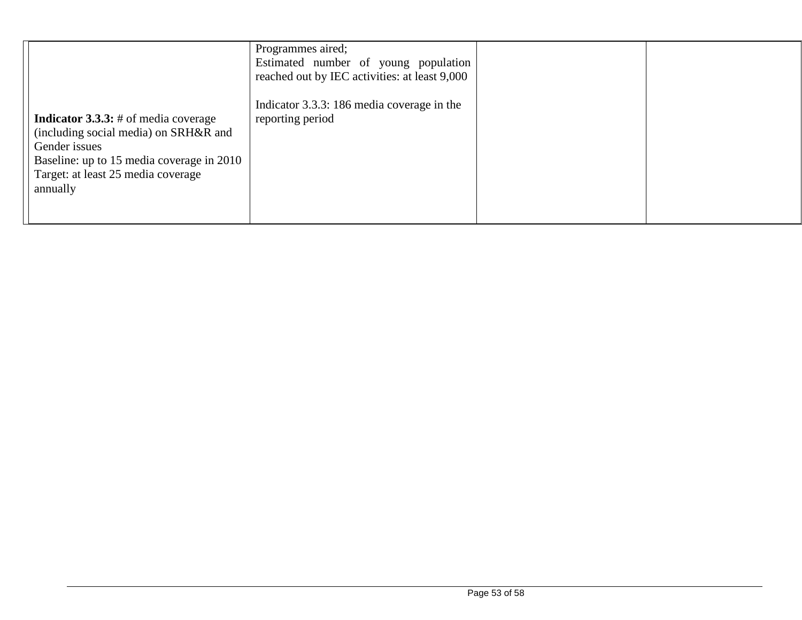| <b>Indicator 3.3.3:</b> # of media coverage<br>(including social media) on SRH&R and<br>Gender issues<br>Baseline: up to 15 media coverage in 2010<br>Target: at least 25 media coverage<br>annually | Programmes aired;<br>Estimated number of young population<br>reached out by IEC activities: at least 9,000<br>Indicator 3.3.3: 186 media coverage in the<br>reporting period |  |
|------------------------------------------------------------------------------------------------------------------------------------------------------------------------------------------------------|------------------------------------------------------------------------------------------------------------------------------------------------------------------------------|--|
|                                                                                                                                                                                                      |                                                                                                                                                                              |  |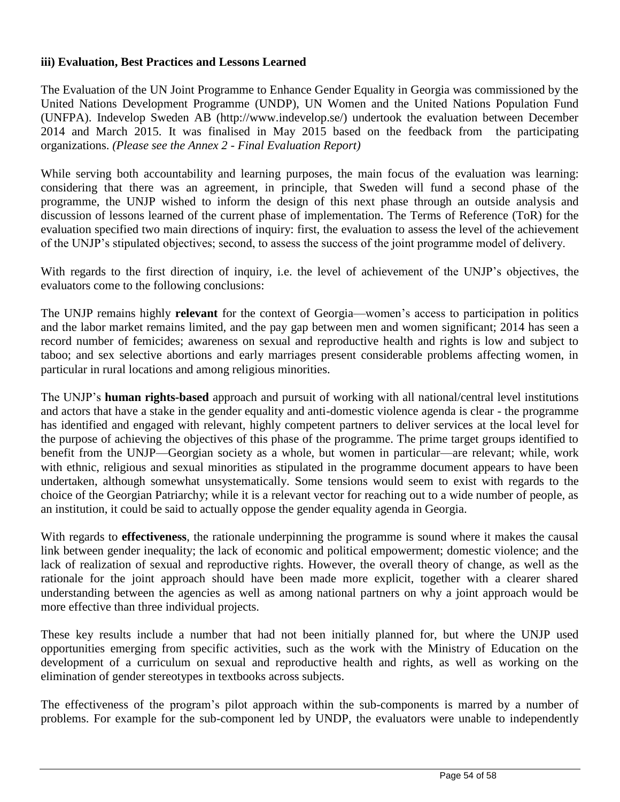#### **iii) Evaluation, Best Practices and Lessons Learned**

The Evaluation of the UN Joint Programme to Enhance Gender Equality in Georgia was commissioned by the United Nations Development Programme (UNDP), UN Women and the United Nations Population Fund (UNFPA). Indevelop Sweden AB (http://www.indevelop.se/) undertook the evaluation between December 2014 and March 2015. It was finalised in May 2015 based on the feedback from the participating organizations. *(Please see the Annex 2 - Final Evaluation Report)*

While serving both accountability and learning purposes, the main focus of the evaluation was learning: considering that there was an agreement, in principle, that Sweden will fund a second phase of the programme, the UNJP wished to inform the design of this next phase through an outside analysis and discussion of lessons learned of the current phase of implementation. The Terms of Reference (ToR) for the evaluation specified two main directions of inquiry: first, the evaluation to assess the level of the achievement of the UNJP's stipulated objectives; second, to assess the success of the joint programme model of delivery.

With regards to the first direction of inquiry, i.e. the level of achievement of the UNJP's objectives, the evaluators come to the following conclusions:

The UNJP remains highly **relevant** for the context of Georgia—women's access to participation in politics and the labor market remains limited, and the pay gap between men and women significant; 2014 has seen a record number of femicides; awareness on sexual and reproductive health and rights is low and subject to taboo; and sex selective abortions and early marriages present considerable problems affecting women, in particular in rural locations and among religious minorities.

The UNJP's **human rights-based** approach and pursuit of working with all national/central level institutions and actors that have a stake in the gender equality and anti-domestic violence agenda is clear - the programme has identified and engaged with relevant, highly competent partners to deliver services at the local level for the purpose of achieving the objectives of this phase of the programme. The prime target groups identified to benefit from the UNJP—Georgian society as a whole, but women in particular—are relevant; while, work with ethnic, religious and sexual minorities as stipulated in the programme document appears to have been undertaken, although somewhat unsystematically. Some tensions would seem to exist with regards to the choice of the Georgian Patriarchy; while it is a relevant vector for reaching out to a wide number of people, as an institution, it could be said to actually oppose the gender equality agenda in Georgia.

With regards to **effectiveness**, the rationale underpinning the programme is sound where it makes the causal link between gender inequality; the lack of economic and political empowerment; domestic violence; and the lack of realization of sexual and reproductive rights. However, the overall theory of change, as well as the rationale for the joint approach should have been made more explicit, together with a clearer shared understanding between the agencies as well as among national partners on why a joint approach would be more effective than three individual projects.

These key results include a number that had not been initially planned for, but where the UNJP used opportunities emerging from specific activities, such as the work with the Ministry of Education on the development of a curriculum on sexual and reproductive health and rights, as well as working on the elimination of gender stereotypes in textbooks across subjects.

The effectiveness of the program's pilot approach within the sub-components is marred by a number of problems. For example for the sub-component led by UNDP, the evaluators were unable to independently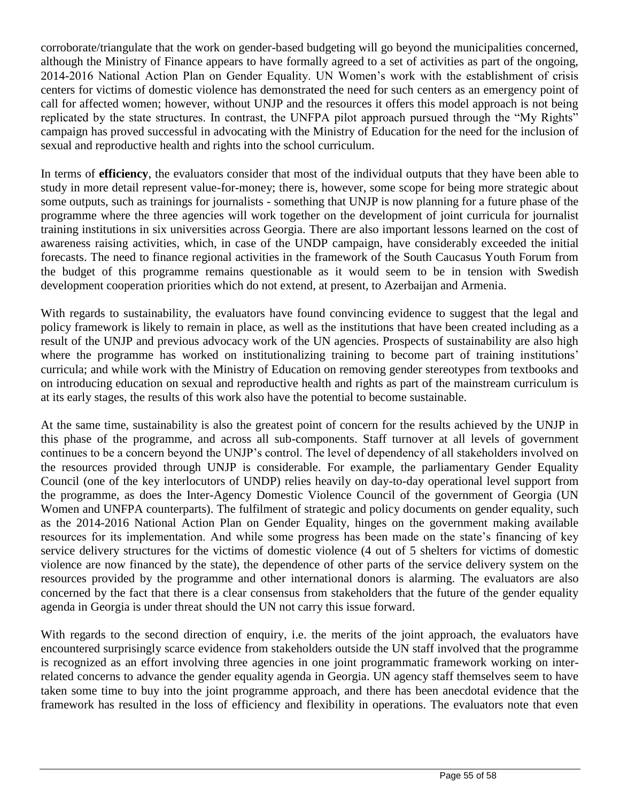corroborate/triangulate that the work on gender-based budgeting will go beyond the municipalities concerned, although the Ministry of Finance appears to have formally agreed to a set of activities as part of the ongoing, 2014-2016 National Action Plan on Gender Equality. UN Women's work with the establishment of crisis centers for victims of domestic violence has demonstrated the need for such centers as an emergency point of call for affected women; however, without UNJP and the resources it offers this model approach is not being replicated by the state structures. In contrast, the UNFPA pilot approach pursued through the "My Rights" campaign has proved successful in advocating with the Ministry of Education for the need for the inclusion of sexual and reproductive health and rights into the school curriculum.

In terms of **efficiency**, the evaluators consider that most of the individual outputs that they have been able to study in more detail represent value-for-money; there is, however, some scope for being more strategic about some outputs, such as trainings for journalists - something that UNJP is now planning for a future phase of the programme where the three agencies will work together on the development of joint curricula for journalist training institutions in six universities across Georgia. There are also important lessons learned on the cost of awareness raising activities, which, in case of the UNDP campaign, have considerably exceeded the initial forecasts. The need to finance regional activities in the framework of the South Caucasus Youth Forum from the budget of this programme remains questionable as it would seem to be in tension with Swedish development cooperation priorities which do not extend, at present, to Azerbaijan and Armenia.

With regards to sustainability, the evaluators have found convincing evidence to suggest that the legal and policy framework is likely to remain in place, as well as the institutions that have been created including as a result of the UNJP and previous advocacy work of the UN agencies. Prospects of sustainability are also high where the programme has worked on institutionalizing training to become part of training institutions' curricula; and while work with the Ministry of Education on removing gender stereotypes from textbooks and on introducing education on sexual and reproductive health and rights as part of the mainstream curriculum is at its early stages, the results of this work also have the potential to become sustainable.

At the same time, sustainability is also the greatest point of concern for the results achieved by the UNJP in this phase of the programme, and across all sub-components. Staff turnover at all levels of government continues to be a concern beyond the UNJP's control. The level of dependency of all stakeholders involved on the resources provided through UNJP is considerable. For example, the parliamentary Gender Equality Council (one of the key interlocutors of UNDP) relies heavily on day-to-day operational level support from the programme, as does the Inter-Agency Domestic Violence Council of the government of Georgia (UN Women and UNFPA counterparts). The fulfilment of strategic and policy documents on gender equality, such as the 2014-2016 National Action Plan on Gender Equality, hinges on the government making available resources for its implementation. And while some progress has been made on the state's financing of key service delivery structures for the victims of domestic violence (4 out of 5 shelters for victims of domestic violence are now financed by the state), the dependence of other parts of the service delivery system on the resources provided by the programme and other international donors is alarming. The evaluators are also concerned by the fact that there is a clear consensus from stakeholders that the future of the gender equality agenda in Georgia is under threat should the UN not carry this issue forward.

With regards to the second direction of enquiry, i.e. the merits of the joint approach, the evaluators have encountered surprisingly scarce evidence from stakeholders outside the UN staff involved that the programme is recognized as an effort involving three agencies in one joint programmatic framework working on interrelated concerns to advance the gender equality agenda in Georgia. UN agency staff themselves seem to have taken some time to buy into the joint programme approach, and there has been anecdotal evidence that the framework has resulted in the loss of efficiency and flexibility in operations. The evaluators note that even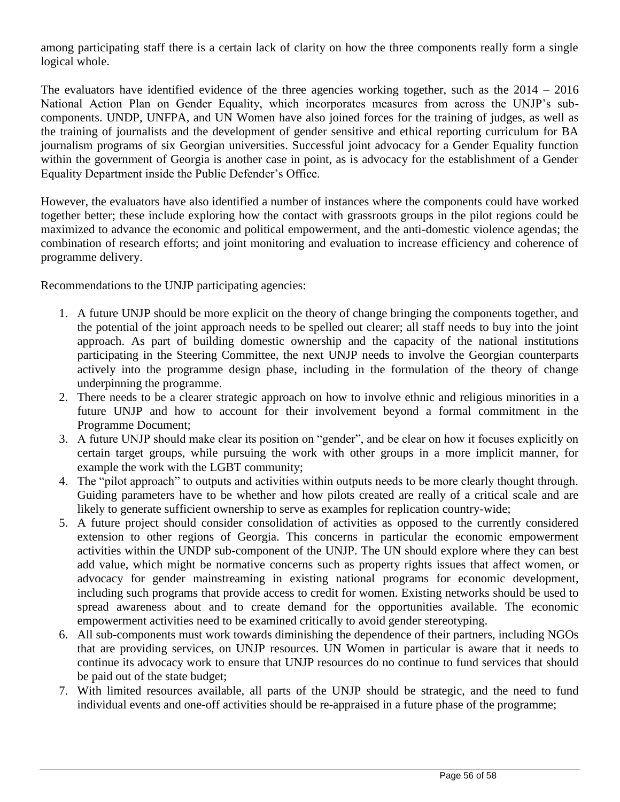among participating staff there is a certain lack of clarity on how the three components really form a single logical whole.

The evaluators have identified evidence of the three agencies working together, such as the  $2014 - 2016$ National Action Plan on Gender Equality, which incorporates measures from across the UNJP's subcomponents. UNDP, UNFPA, and UN Women have also joined forces for the training of judges, as well as the training of journalists and the development of gender sensitive and ethical reporting curriculum for BA journalism programs of six Georgian universities. Successful joint advocacy for a Gender Equality function within the government of Georgia is another case in point, as is advocacy for the establishment of a Gender Equality Department inside the Public Defender's Office.

However, the evaluators have also identified a number of instances where the components could have worked together better; these include exploring how the contact with grassroots groups in the pilot regions could be maximized to advance the economic and political empowerment, and the anti-domestic violence agendas; the combination of research efforts; and joint monitoring and evaluation to increase efficiency and coherence of programme delivery.

Recommendations to the UNJP participating agencies:

- 1. A future UNJP should be more explicit on the theory of change bringing the components together, and the potential of the joint approach needs to be spelled out clearer; all staff needs to buy into the joint approach. As part of building domestic ownership and the capacity of the national institutions participating in the Steering Committee, the next UNJP needs to involve the Georgian counterparts actively into the programme design phase, including in the formulation of the theory of change underpinning the programme.
- 2. There needs to be a clearer strategic approach on how to involve ethnic and religious minorities in a future UNJP and how to account for their involvement beyond a formal commitment in the Programme Document;
- 3. A future UNJP should make clear its position on "gender", and be clear on how it focuses explicitly on certain target groups, while pursuing the work with other groups in a more implicit manner, for example the work with the LGBT community;
- 4. The "pilot approach" to outputs and activities within outputs needs to be more clearly thought through. Guiding parameters have to be whether and how pilots created are really of a critical scale and are likely to generate sufficient ownership to serve as examples for replication country-wide;
- 5. A future project should consider consolidation of activities as opposed to the currently considered extension to other regions of Georgia. This concerns in particular the economic empowerment activities within the UNDP sub-component of the UNJP. The UN should explore where they can best add value, which might be normative concerns such as property rights issues that affect women, or advocacy for gender mainstreaming in existing national programs for economic development, including such programs that provide access to credit for women. Existing networks should be used to spread awareness about and to create demand for the opportunities available. The economic empowerment activities need to be examined critically to avoid gender stereotyping.
- 6. All sub-components must work towards diminishing the dependence of their partners, including NGOs that are providing services, on UNJP resources. UN Women in particular is aware that it needs to continue its advocacy work to ensure that UNJP resources do no continue to fund services that should be paid out of the state budget;
- 7. With limited resources available, all parts of the UNJP should be strategic, and the need to fund individual events and one-off activities should be re-appraised in a future phase of the programme;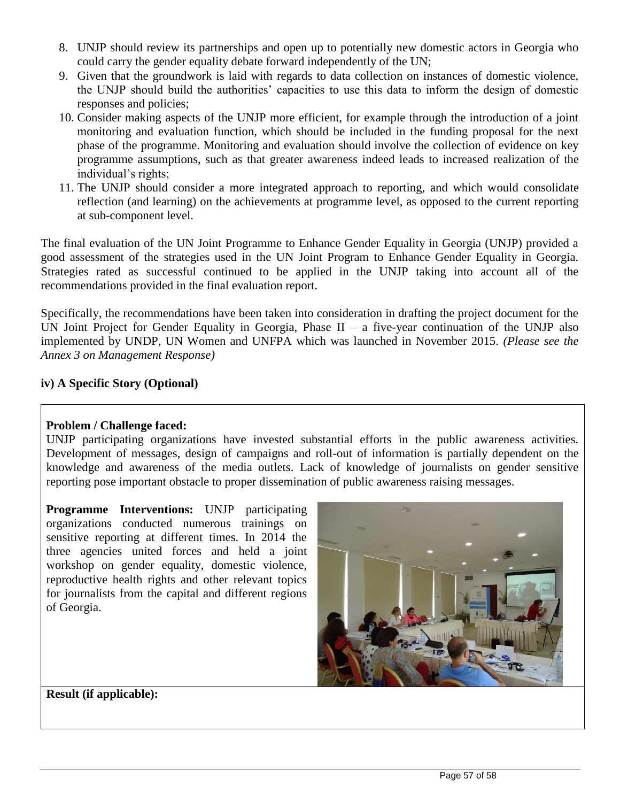- 8. UNJP should review its partnerships and open up to potentially new domestic actors in Georgia who could carry the gender equality debate forward independently of the UN;
- 9. Given that the groundwork is laid with regards to data collection on instances of domestic violence, the UNJP should build the authorities' capacities to use this data to inform the design of domestic responses and policies;
- 10. Consider making aspects of the UNJP more efficient, for example through the introduction of a joint monitoring and evaluation function, which should be included in the funding proposal for the next phase of the programme. Monitoring and evaluation should involve the collection of evidence on key programme assumptions, such as that greater awareness indeed leads to increased realization of the individual's rights;
- 11. The UNJP should consider a more integrated approach to reporting, and which would consolidate reflection (and learning) on the achievements at programme level, as opposed to the current reporting at sub-component level.

The final evaluation of the UN Joint Programme to Enhance Gender Equality in Georgia (UNJP) provided a good assessment of the strategies used in the UN Joint Program to Enhance Gender Equality in Georgia. Strategies rated as successful continued to be applied in the UNJP taking into account all of the recommendations provided in the final evaluation report.

Specifically, the recommendations have been taken into consideration in drafting the project document for the UN Joint Project for Gender Equality in Georgia, Phase  $II - a$  five-year continuation of the UNJP also implemented by UNDP, UN Women and UNFPA which was launched in November 2015. *(Please see the Annex 3 on Management Response)* 

### **iv) A Specific Story (Optional)**

#### **Problem / Challenge faced:**

UNJP participating organizations have invested substantial efforts in the public awareness activities. Development of messages, design of campaigns and roll-out of information is partially dependent on the knowledge and awareness of the media outlets. Lack of knowledge of journalists on gender sensitive reporting pose important obstacle to proper dissemination of public awareness raising messages.

**Programme Interventions:** UNJP participating organizations conducted numerous trainings on sensitive reporting at different times. In 2014 the three agencies united forces and held a joint workshop on gender equality, domestic violence, reproductive health rights and other relevant topics for journalists from the capital and different regions of Georgia.



**Result (if applicable):**